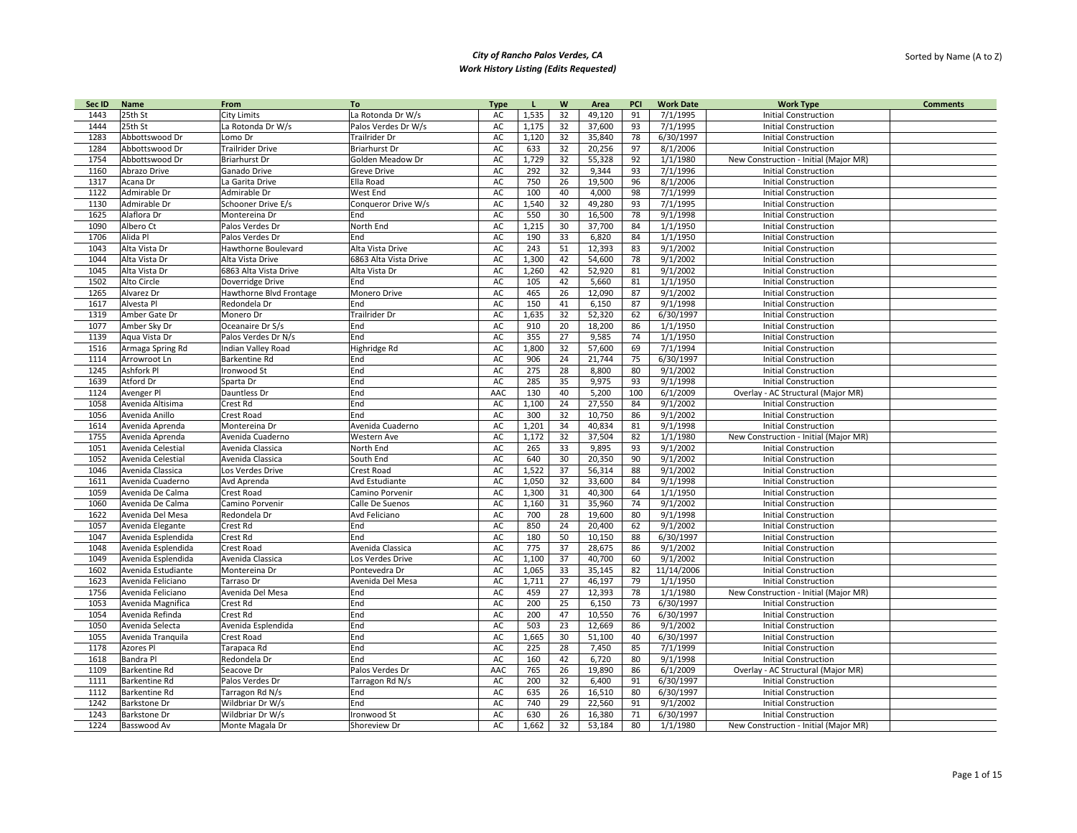| Sec ID | Name               | From                    | To                    | <b>Type</b> |       | W  | Area   | PCI | <b>Work Date</b> | <b>Work Type</b>                      | <b>Comments</b> |
|--------|--------------------|-------------------------|-----------------------|-------------|-------|----|--------|-----|------------------|---------------------------------------|-----------------|
| 1443   | 25th St            | <b>City Limits</b>      | La Rotonda Dr W/s     | AC          | 1,535 | 32 | 49,120 | 91  | 7/1/1995         | <b>Initial Construction</b>           |                 |
| 1444   | 25th St            | La Rotonda Dr W/s       | Palos Verdes Dr W/s   | AC          | 1,175 | 32 | 37,600 | 93  | 7/1/1995         | <b>Initial Construction</b>           |                 |
| 1283   | Abbottswood Dr     | Lomo Dr                 | Trailrider Dr         | AC          | 1,120 | 32 | 35,840 | 78  | 6/30/1997        | <b>Initial Construction</b>           |                 |
| 1284   | Abbottswood Dr     | <b>Trailrider Drive</b> | <b>Briarhurst Dr</b>  | AC          | 633   | 32 | 20,256 | 97  | 8/1/2006         | <b>Initial Construction</b>           |                 |
| 1754   | Abbottswood Dr     | <b>Briarhurst Dr</b>    | Golden Meadow Dr      | AC          | 1,729 | 32 | 55,328 | 92  | 1/1/1980         | New Construction - Initial (Major MR) |                 |
| 1160   | Abrazo Drive       | Ganado Drive            | Greve Drive           | AC          | 292   | 32 | 9,344  | 93  | 7/1/1996         | <b>Initial Construction</b>           |                 |
| 1317   | Acana Dr           | La Garita Drive         | Ella Road             | AC          | 750   | 26 | 19,500 | 96  | 8/1/2006         | <b>Initial Construction</b>           |                 |
| 1122   | Admirable Dr       | Admirable Dr            | West End              | AC          | 100   | 40 | 4,000  | 98  | 7/1/1999         | <b>Initial Construction</b>           |                 |
| 1130   | Admirable Dr       | Schooner Drive E/s      | Conqueror Drive W/s   | AC          | 1,540 | 32 | 49,280 | 93  | 7/1/1995         | <b>Initial Construction</b>           |                 |
| 1625   | Alaflora Dr        | Montereina Dr           | End                   | AC          | 550   | 30 | 16,500 | 78  | 9/1/1998         | <b>Initial Construction</b>           |                 |
| 1090   | Albero Ct          | Palos Verdes Dr         | North End             | AC          | 1,215 | 30 | 37,700 | 84  | 1/1/1950         | <b>Initial Construction</b>           |                 |
| 1706   | Alida Pl           | Palos Verdes Dr         | End                   | AC          | 190   | 33 | 6,820  | 84  | 1/1/1950         | <b>Initial Construction</b>           |                 |
| 1043   | Alta Vista Dr      | Hawthorne Boulevard     | Alta Vista Drive      | AC          | 243   | 51 | 12,393 | 83  | 9/1/2002         | <b>Initial Construction</b>           |                 |
| 1044   | Alta Vista Dr      | Alta Vista Drive        | 6863 Alta Vista Drive | AC          | 1,300 | 42 | 54,600 | 78  | 9/1/2002         | <b>Initial Construction</b>           |                 |
| 1045   | Alta Vista Dr      | 6863 Alta Vista Drive   | Alta Vista Dr         | AC          | 1,260 | 42 | 52,920 | 81  | 9/1/2002         | <b>Initial Construction</b>           |                 |
| 1502   | Alto Circle        | Doverridge Drive        | End                   | AC          | 105   | 42 | 5,660  | 81  | 1/1/1950         | <b>Initial Construction</b>           |                 |
| 1265   | Alvarez Dr         | Hawthorne Blvd Frontage | Monero Drive          | AC          | 465   | 26 | 12,090 | 87  | 9/1/2002         | <b>Initial Construction</b>           |                 |
| 1617   | Alvesta Pl         | Redondela Dr            | End                   | AC          | 150   | 41 | 6,150  | 87  | 9/1/1998         | <b>Initial Construction</b>           |                 |
| 1319   | Amber Gate Dr      | Monero Dr               | Trailrider Dr         | AC          | 1,635 | 32 | 52,320 | 62  | 6/30/1997        | <b>Initial Construction</b>           |                 |
| 1077   | Amber Sky Dr       | Oceanaire Dr S/s        | End                   | AC          | 910   | 20 | 18,200 | 86  | 1/1/1950         | <b>Initial Construction</b>           |                 |
| 1139   | Aqua Vista Dr      | Palos Verdes Dr N/s     | End                   | AC          | 355   | 27 | 9,585  | 74  | 1/1/1950         | <b>Initial Construction</b>           |                 |
| 1516   | Armaga Spring Rd   | Indian Valley Road      | Highridge Rd          | AC          | 1,800 | 32 | 57,600 | 69  | 7/1/1994         | <b>Initial Construction</b>           |                 |
| 1114   | Arrowroot Ln       | Barkentine Rd           | End                   | AC          | 906   | 24 | 21,744 | 75  | 6/30/1997        | <b>Initial Construction</b>           |                 |
| 1245   | Ashfork Pl         | Ironwood St             | End                   | AC          | 275   | 28 | 8,800  | 80  | 9/1/2002         | <b>Initial Construction</b>           |                 |
| 1639   | Atford Dr          | Sparta Dr               | End                   | AC          | 285   | 35 | 9,975  | 93  | 9/1/1998         | <b>Initial Construction</b>           |                 |
| 1124   | Avenger Pl         | Dauntless Dr            | End                   | AAC         | 130   | 40 | 5,200  | 100 | 6/1/2009         | Overlay - AC Structural (Major MR)    |                 |
| 1058   | Avenida Altisima   | Crest Rd                | End                   | AC          | 1,100 | 24 | 27,550 | 84  | 9/1/2002         | <b>Initial Construction</b>           |                 |
| 1056   | Avenida Anillo     | Crest Road              | End                   | AC          | 300   | 32 | 10,750 | 86  | 9/1/2002         | <b>Initial Construction</b>           |                 |
| 1614   | Avenida Aprenda    | Montereina Dr           | Avenida Cuaderno      | AC          | 1,201 | 34 | 40,834 | 81  | 9/1/1998         | <b>Initial Construction</b>           |                 |
| 1755   | Avenida Aprenda    | Avenida Cuaderno        | Western Ave           | AC          | 1,172 | 32 | 37,504 | 82  | 1/1/1980         | New Construction - Initial (Major MR) |                 |
| 1051   | Avenida Celestial  | Avenida Classica        | North End             | AC          | 265   | 33 | 9,895  | 93  | 9/1/2002         | <b>Initial Construction</b>           |                 |
| 1052   | Avenida Celestial  | Avenida Classica        | South End             | AC          | 640   | 30 | 20,350 | 90  | 9/1/2002         | <b>Initial Construction</b>           |                 |
| 1046   | Avenida Classica   | Los Verdes Drive        | Crest Road            | AC          | 1,522 | 37 | 56,314 | 88  | 9/1/2002         | <b>Initial Construction</b>           |                 |
| 1611   | Avenida Cuaderno   | Avd Aprenda             | Avd Estudiante        | AC          | 1,050 | 32 | 33,600 | 84  | 9/1/1998         | <b>Initial Construction</b>           |                 |
| 1059   | Avenida De Calma   | Crest Road              | Camino Porvenir       | AC          | 1,300 | 31 | 40,300 | 64  | 1/1/1950         | <b>Initial Construction</b>           |                 |
| 1060   | Avenida De Calma   | Camino Porvenir         | Calle De Suenos       | AC          | 1,160 | 31 | 35,960 | 74  | 9/1/2002         | <b>Initial Construction</b>           |                 |
| 1622   | Avenida Del Mesa   | Redondela Dr            | Avd Feliciano         | AC          | 700   | 28 | 19,600 | 80  | 9/1/1998         | <b>Initial Construction</b>           |                 |
| 1057   | Avenida Elegante   | Crest Rd                | End                   | AC          | 850   | 24 | 20,400 | 62  | 9/1/2002         | <b>Initial Construction</b>           |                 |
| 1047   | Avenida Esplendida | Crest Rd                | End                   | AC          | 180   | 50 | 10,150 | 88  | 6/30/1997        | <b>Initial Construction</b>           |                 |
| 1048   | Avenida Esplendida | Crest Road              | Avenida Classica      | AC          | 775   | 37 | 28,675 | 86  | 9/1/2002         | <b>Initial Construction</b>           |                 |
| 1049   | Avenida Esplendida | Avenida Classica        | Los Verdes Drive      | AC          | 1,100 | 37 | 40,700 | 60  | 9/1/2002         | <b>Initial Construction</b>           |                 |
| 1602   | Avenida Estudiante | Montereina Dr           | Pontevedra Dr         | AC          | 1,065 | 33 | 35,145 | 82  | 11/14/2006       | <b>Initial Construction</b>           |                 |
| 1623   | Avenida Feliciano  | <b>Tarraso Dr</b>       | Avenida Del Mesa      | AC          | 1,711 | 27 | 46,197 | 79  | 1/1/1950         | <b>Initial Construction</b>           |                 |
| 1756   | Avenida Feliciano  | Avenida Del Mesa        | End                   | AC          | 459   | 27 | 12,393 | 78  | 1/1/1980         | New Construction - Initial (Major MR) |                 |
| 1053   | Avenida Magnifica  | Crest Rd                | End                   | AC          | 200   | 25 | 6,150  | 73  | 6/30/1997        | <b>Initial Construction</b>           |                 |
| 1054   | Avenida Refinda    | Crest Rd                | End                   | AC          | 200   | 47 | 10,550 | 76  | 6/30/1997        | <b>Initial Construction</b>           |                 |
| 1050   | Avenida Selecta    | Avenida Esplendida      | End                   | AC          | 503   | 23 | 12,669 | 86  | 9/1/2002         | <b>Initial Construction</b>           |                 |
| 1055   | Avenida Tranquila  | Crest Road              | End                   | AC          | 1,665 | 30 | 51,100 | 40  | 6/30/1997        | <b>Initial Construction</b>           |                 |
| 1178   | Azores Pl          | Tarapaca Rd             | End                   | AC          | 225   | 28 | 7,450  | 85  | 7/1/1999         | <b>Initial Construction</b>           |                 |
| 1618   | Bandra Pl          | Redondela Dr            | End                   | AC          | 160   | 42 | 6,720  | 80  | 9/1/1998         | <b>Initial Construction</b>           |                 |
| 1109   | Barkentine Rd      | Seacove Dr              | Palos Verdes Dr       | AAC         | 765   | 26 | 19,890 | 86  | 6/1/2009         | Overlay - AC Structural (Major MR)    |                 |
| 1111   | Barkentine Rd      | Palos Verdes Dr         | Tarragon Rd N/s       | AC          | 200   | 32 | 6,400  | 91  | 6/30/1997        | <b>Initial Construction</b>           |                 |
| 1112   | Barkentine Rd      | Tarragon Rd N/s         | End                   | AC          | 635   | 26 | 16,510 | 80  | 6/30/1997        | <b>Initial Construction</b>           |                 |
| 1242   | Barkstone Dr       | Wildbriar Dr W/s        | End                   | AC          | 740   | 29 | 22,560 | 91  | 9/1/2002         | <b>Initial Construction</b>           |                 |
| 1243   | Barkstone Dr       | Wildbriar Dr W/s        | Ironwood St           | AC          | 630   | 26 | 16,380 | 71  | 6/30/1997        | <b>Initial Construction</b>           |                 |
| 1224   | Basswood Av        | Monte Magala Dr         | Shoreview Dr          | AC          | 1,662 | 32 | 53,184 | 80  | 1/1/1980         | New Construction - Initial (Major MR) |                 |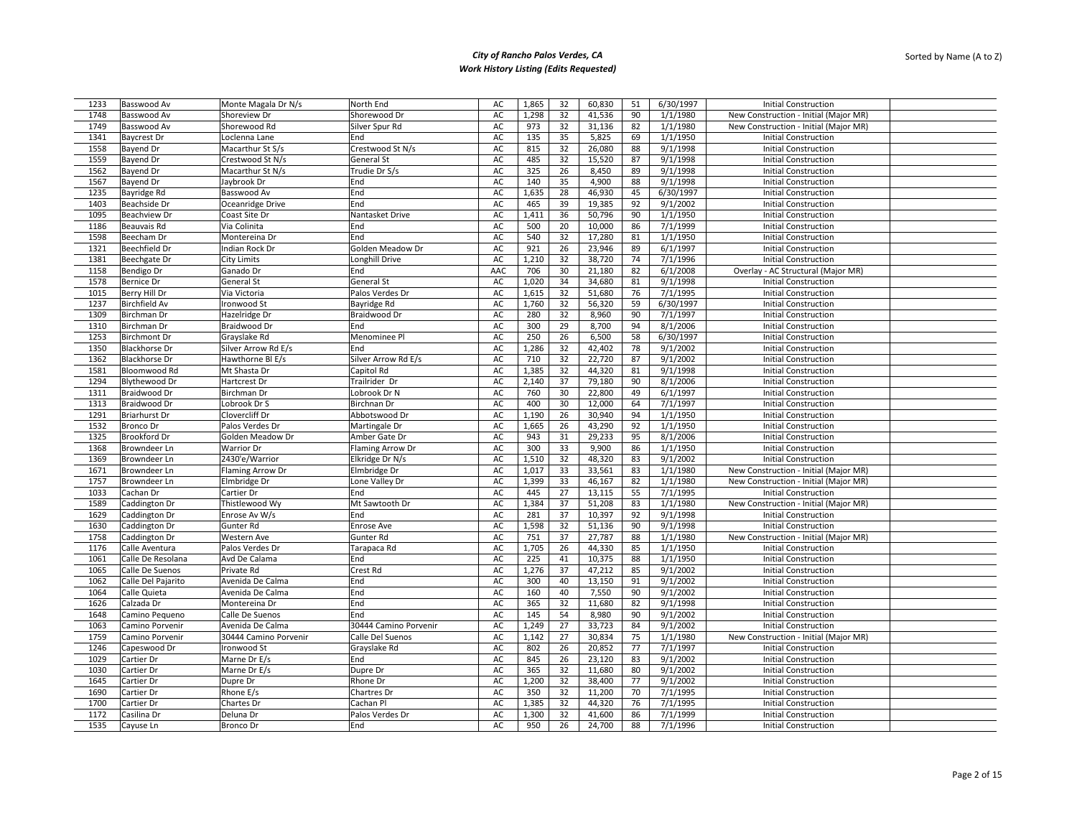| 1233         | Basswood Av          | Monte Magala Dr N/s   | North End               | AC  | 1,865 | 32 | 60,830 | 51 | 6/30/1997 | <b>Initial Construction</b>           |
|--------------|----------------------|-----------------------|-------------------------|-----|-------|----|--------|----|-----------|---------------------------------------|
| 1748         | Basswood Av          | Shoreview Dr          | Shorewood Dr            | AC  | 1,298 | 32 | 41,536 | 90 | 1/1/1980  | New Construction - Initial (Major MR) |
| 1749         | Basswood Av          | Shorewood Rd          | Silver Spur Rd          | AC  | 973   | 32 | 31,136 | 82 | 1/1/1980  | New Construction - Initial (Major MR) |
| 1341         | <b>Baycrest Dr</b>   | Loclenna Lane         | End                     | AC  | 135   | 35 | 5,825  | 69 | 1/1/1950  | <b>Initial Construction</b>           |
| 1558         | <b>Bayend Dr</b>     | Macarthur St S/s      | Crestwood St N/s        | AC  | 815   | 32 | 26,080 | 88 | 9/1/1998  | <b>Initial Construction</b>           |
| 1559         | <b>Bayend Dr</b>     | Crestwood St N/s      | General St              | AC  | 485   | 32 | 15,520 | 87 | 9/1/1998  | <b>Initial Construction</b>           |
| 1562         | <b>Bayend Dr</b>     | Macarthur St N/s      | Trudie Dr S/s           | AC  | 325   | 26 | 8,450  | 89 | 9/1/1998  | <b>Initial Construction</b>           |
| 1567         | Bayend Dr            | Jaybrook Dr           | End                     | AC  | 140   | 35 | 4,900  | 88 | 9/1/1998  | <b>Initial Construction</b>           |
|              |                      |                       | End                     | AC  |       | 28 | 46,930 | 45 |           |                                       |
| 1235<br>1403 | Bayridge Rd          | Basswood Av           | End                     |     | 1,635 |    |        |    | 6/30/1997 | <b>Initial Construction</b>           |
|              | Beachside Dr         | Oceanridge Drive      |                         | AC  | 465   | 39 | 19,385 | 92 | 9/1/2002  | <b>Initial Construction</b>           |
| 1095         | <b>Beachview Dr</b>  | Coast Site Dr         | Nantasket Drive         | AC  | 1,411 | 36 | 50,796 | 90 | 1/1/1950  | <b>Initial Construction</b>           |
| 1186         | Beauvais Rd          | Via Colinita          | End                     | AC  | 500   | 20 | 10,000 | 86 | 7/1/1999  | <b>Initial Construction</b>           |
| 1598         | Beecham Dr           | Montereina Dr         | End                     | AC  | 540   | 32 | 17,280 | 81 | 1/1/1950  | <b>Initial Construction</b>           |
| 1321         | <b>Beechfield Dr</b> | Indian Rock Dr        | Golden Meadow Dr        | AC  | 921   | 26 | 23,946 | 89 | 6/1/1997  | <b>Initial Construction</b>           |
| 1381         | Beechgate Dr         | City Limits           | Longhill Drive          | AC  | 1,210 | 32 | 38,720 | 74 | 7/1/1996  | <b>Initial Construction</b>           |
| 1158         | Bendigo Dr           | Ganado Dr             | End                     | AAC | 706   | 30 | 21,180 | 82 | 6/1/2008  | Overlay - AC Structural (Major MR)    |
| 1578         | <b>Bernice Dr</b>    | General St            | General St              | AC  | 1,020 | 34 | 34,680 | 81 | 9/1/1998  | <b>Initial Construction</b>           |
| 1015         | Berry Hill Dr        | Via Victoria          | Palos Verdes Dr         | AC  | 1,615 | 32 | 51,680 | 76 | 7/1/1995  | <b>Initial Construction</b>           |
| 1237         | <b>Birchfield Av</b> | Ironwood St           | Bayridge Rd             | AC  | 1,760 | 32 | 56,320 | 59 | 6/30/1997 | <b>Initial Construction</b>           |
| 1309         | Birchman Dr          | Hazelridge Dr         | <b>Braidwood Dr</b>     | AC  | 280   | 32 | 8,960  | 90 | 7/1/1997  | <b>Initial Construction</b>           |
| 1310         | Birchman Dr          | Braidwood Dr          | End                     | AC  | 300   | 29 | 8,700  | 94 | 8/1/2006  | <b>Initial Construction</b>           |
| 1253         | <b>Birchmont Dr</b>  | Grayslake Rd          | Menominee Pl            | AC  | 250   | 26 | 6,500  | 58 | 6/30/1997 | <b>Initial Construction</b>           |
| 1350         | <b>Blackhorse Dr</b> | Silver Arrow Rd E/s   | End                     | AC  | 1,286 | 32 | 42,402 | 78 | 9/1/2002  | <b>Initial Construction</b>           |
| 1362         | <b>Blackhorse Dr</b> | Hawthorne Bl E/s      | Silver Arrow Rd E/s     | AC  | 710   | 32 | 22,720 | 87 | 9/1/2002  | <b>Initial Construction</b>           |
| 1581         | Bloomwood Rd         | Mt Shasta Dr          | Capitol Rd              | AC  | 1,385 | 32 | 44,320 | 81 | 9/1/1998  | <b>Initial Construction</b>           |
| 1294         | Blythewood Dr        | Hartcrest Dr          | Trailrider Dr           | AC  | 2,140 | 37 | 79,180 | 90 | 8/1/2006  | <b>Initial Construction</b>           |
| 1311         | Braidwood Dr         | Birchman Dr           | Lobrook Dr N            | AC  | 760   | 30 | 22,800 | 49 | 6/1/1997  | <b>Initial Construction</b>           |
| 1313         | Braidwood Dr         | Lobrook Dr S          | Birchnan Dr             | AC  | 400   | 30 | 12,000 | 64 | 7/1/1997  | <b>Initial Construction</b>           |
| 1291         | <b>Briarhurst Dr</b> | Clovercliff Dr        | Abbotswood Dr           | AC  | 1,190 | 26 | 30,940 | 94 | 1/1/1950  | <b>Initial Construction</b>           |
| 1532         | Bronco Dr            | Palos Verdes Dr       | Martingale Dr           | AC  | 1,665 | 26 | 43,290 | 92 | 1/1/1950  | <b>Initial Construction</b>           |
| 1325         | Brookford Dr         | Golden Meadow Dr      | Amber Gate Dr           | AC  | 943   | 31 | 29,233 | 95 | 8/1/2006  | <b>Initial Construction</b>           |
| 1368         | Browndeer Ln         | <b>Warrior Dr</b>     | <b>Flaming Arrow Dr</b> | AC  | 300   | 33 | 9,900  | 86 | 1/1/1950  | <b>Initial Construction</b>           |
| 1369         | Browndeer Ln         | 2430'e/Warrior        | Elkridge Dr N/s         | AC  | 1,510 | 32 | 48,320 | 83 | 9/1/2002  | <b>Initial Construction</b>           |
| 1671         | Browndeer Ln         | Flaming Arrow Dr      | Elmbridge Dr            | AC  | 1,017 | 33 | 33,561 | 83 | 1/1/1980  | New Construction - Initial (Major MR) |
| 1757         | Browndeer Ln         | Elmbridge Dr          | Lone Valley Dr          | AC  | 1,399 | 33 | 46,167 | 82 | 1/1/1980  | New Construction - Initial (Major MR) |
| 1033         | Cachan Dr            | Cartier Dr            | End                     | AC  | 445   | 27 | 13,115 | 55 | 7/1/1995  | <b>Initial Construction</b>           |
| 1589         | Caddington Dr        | Thistlewood Wy        | Mt Sawtooth Dr          | AC  | 1,384 | 37 | 51,208 | 83 | 1/1/1980  | New Construction - Initial (Major MR) |
| 1629         | Caddington Dr        | Enrose Av W/s         | End                     | AC  | 281   | 37 | 10,397 | 92 | 9/1/1998  | <b>Initial Construction</b>           |
| 1630         | Caddington Dr        |                       |                         |     | 1,598 | 32 | 51,136 | 90 |           | <b>Initial Construction</b>           |
|              |                      | Gunter Rd             | <b>Enrose Ave</b>       | AC  |       | 37 |        |    | 9/1/1998  |                                       |
| 1758<br>1176 | Caddington Dr        | Western Ave           | Gunter Rd               | AC  | 751   |    | 27,787 | 88 | 1/1/1980  | New Construction - Initial (Major MR) |
|              | Calle Aventura       | Palos Verdes Dr       | Tarapaca Rd             | AC  | 1,705 | 26 | 44,330 | 85 | 1/1/1950  | <b>Initial Construction</b>           |
| 1061         | Calle De Resolana    | Avd De Calama         | End                     | AC  | 225   | 41 | 10,375 | 88 | 1/1/1950  | <b>Initial Construction</b>           |
| 1065         | Calle De Suenos      | Private Rd            | Crest Rd                | AC  | 1,276 | 37 | 47,212 | 85 | 9/1/2002  | <b>Initial Construction</b>           |
| 1062         | Calle Del Pajarito   | Avenida De Calma      | End                     | AC  | 300   | 40 | 13,150 | 91 | 9/1/2002  | <b>Initial Construction</b>           |
| 1064         | Calle Quieta         | Avenida De Calma      | End                     | AC  | 160   | 40 | 7,550  | 90 | 9/1/2002  | <b>Initial Construction</b>           |
| 1626         | Calzada Dr           | Montereina Dr         | End                     | AC  | 365   | 32 | 11,680 | 82 | 9/1/1998  | <b>Initial Construction</b>           |
| 1648         | Camino Pequeno       | Calle De Suenos       | End                     | AC  | 145   | 54 | 8,980  | 90 | 9/1/2002  | <b>Initial Construction</b>           |
| 1063         | Camino Porvenir      | Avenida De Calma      | 30444 Camino Porvenir   | AC  | 1,249 | 27 | 33,723 | 84 | 9/1/2002  | <b>Initial Construction</b>           |
| 1759         | Camino Porvenir      | 30444 Camino Porvenir | Calle Del Suenos        | AC  | 1,142 | 27 | 30,834 | 75 | 1/1/1980  | New Construction - Initial (Major MR) |
| 1246         | Capeswood Dr         | Ironwood St           | Grayslake Rd            | AC  | 802   | 26 | 20,852 | 77 | 7/1/1997  | <b>Initial Construction</b>           |
| 1029         | Cartier Dr           | Marne Dr E/s          | End                     | AC  | 845   | 26 | 23,120 | 83 | 9/1/2002  | <b>Initial Construction</b>           |
| 1030         | Cartier Dr           | Marne Dr E/s          | Dupre Dr                | AC  | 365   | 32 | 11,680 | 80 | 9/1/2002  | <b>Initial Construction</b>           |
| 1645         | Cartier Dr           | Dupre Dr              | Rhone Dr                | AC  | 1,200 | 32 | 38,400 | 77 | 9/1/2002  | <b>Initial Construction</b>           |
| 1690         | Cartier Dr           | Rhone E/s             | Chartres Dr             | AC  | 350   | 32 | 11,200 | 70 | 7/1/1995  | <b>Initial Construction</b>           |
| 1700         | Cartier Dr           | Chartes Dr            | Cachan Pl               | AC  | 1,385 | 32 | 44,320 | 76 | 7/1/1995  | <b>Initial Construction</b>           |
| 1172         | Casilina Dr          | Deluna Dr             | Palos Verdes Dr         | AC  | 1,300 | 32 | 41,600 | 86 | 7/1/1999  | <b>Initial Construction</b>           |
| 1535         | Cayuse Ln            | Bronco Dr             | End                     | AC  | 950   | 26 | 24,700 | 88 | 7/1/1996  | <b>Initial Construction</b>           |
|              |                      |                       |                         |     |       |    |        |    |           |                                       |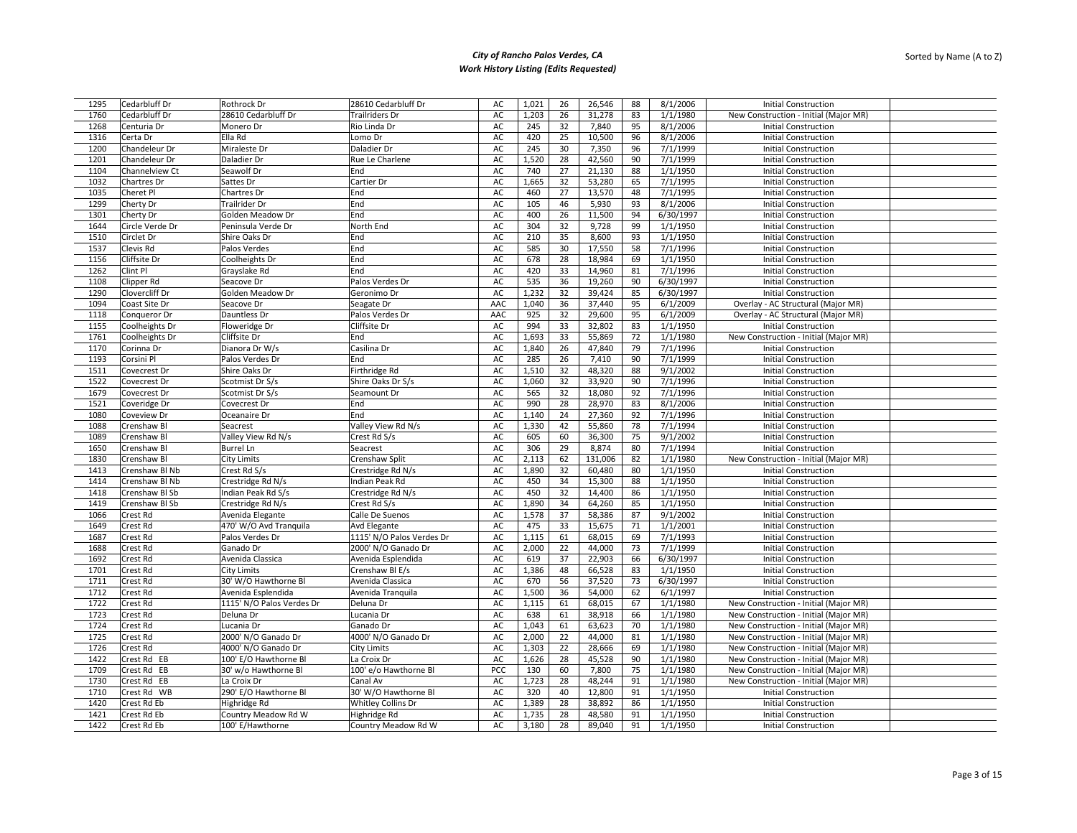| 1295 | Cedarbluff Dr      | Rothrock Dr               | 28610 Cedarbluff Dr       | AC  | 1,021 | 26 | 26,546  | 88 | 8/1/2006  | <b>Initial Construction</b>           |
|------|--------------------|---------------------------|---------------------------|-----|-------|----|---------|----|-----------|---------------------------------------|
| 1760 | Cedarbluff Dr      | 28610 Cedarbluff Dr       | <b>Trailriders Dr</b>     | AC  | 1,203 | 26 | 31,278  | 83 | 1/1/1980  | New Construction - Initial (Major MR) |
| 1268 | Centuria Dr        | Monero Dr                 | Rio Linda Dr              | AC  | 245   | 32 | 7,840   | 95 | 8/1/2006  | <b>Initial Construction</b>           |
| 1316 | Certa Dr           | Ella Rd                   | Lomo Dr                   | AC  | 420   | 25 | 10,500  | 96 | 8/1/2006  | <b>Initial Construction</b>           |
| 1200 | Chandeleur Dr      | Miraleste Dr              | Daladier Dr               | AC  | 245   | 30 | 7,350   | 96 | 7/1/1999  | <b>Initial Construction</b>           |
| 1201 | Chandeleur Dr      | Daladier Dr               | Rue Le Charlene           | AC  | 1,520 | 28 | 42,560  | 90 | 7/1/1999  | <b>Initial Construction</b>           |
| 1104 | Channelview Ct     | Seawolf Dr                | End                       | AC  | 740   | 27 | 21,130  | 88 | 1/1/1950  | <b>Initial Construction</b>           |
| 1032 | Chartres Dr        | Sattes Dr                 | Cartier Dr                | AC  | 1,665 | 32 | 53,280  | 65 | 7/1/1995  | <b>Initial Construction</b>           |
| 1035 | Cheret Pl          | Chartres Dr               | End                       | AC  | 460   | 27 | 13,570  | 48 | 7/1/1995  | <b>Initial Construction</b>           |
| 1299 | Cherty Dr          | <b>Trailrider Dr</b>      | End                       | AC  | 105   | 46 | 5,930   | 93 | 8/1/2006  | <b>Initial Construction</b>           |
| 1301 | Cherty Dr          | Golden Meadow Dr          | End                       | AC  | 400   | 26 | 11,500  | 94 | 6/30/1997 | <b>Initial Construction</b>           |
| 1644 | Circle Verde Dr    | Peninsula Verde Dr        | North End                 | AC  | 304   | 32 | 9,728   | 99 | 1/1/1950  | <b>Initial Construction</b>           |
| 1510 | Circlet Dr         | Shire Oaks Dr             | End                       | AC  | 210   | 35 | 8,600   | 93 | 1/1/1950  | <b>Initial Construction</b>           |
| 1537 | Clevis Rd          | Palos Verdes              | End                       | AC  | 585   | 30 | 17,550  | 58 | 7/1/1996  | <b>Initial Construction</b>           |
| 1156 | Cliffsite Dr       |                           | End                       | AC  | 678   | 28 | 18,984  | 69 | 1/1/1950  | <b>Initial Construction</b>           |
| 1262 | Clint Pl           | Coolheights Dr            | End                       | AC  | 420   | 33 | 14,960  | 81 | 7/1/1996  | <b>Initial Construction</b>           |
|      |                    | Grayslake Rd              |                           |     |       |    |         |    |           |                                       |
| 1108 | Clipper Rd         | Seacove Dr                | Palos Verdes Dr           | AC  | 535   | 36 | 19,260  | 90 | 6/30/1997 | <b>Initial Construction</b>           |
| 1290 | Clovercliff Dr     | Golden Meadow Dr          | Geronimo Dr               | AC  | 1,232 | 32 | 39,424  | 85 | 6/30/1997 | <b>Initial Construction</b>           |
| 1094 | Coast Site Dr      | Seacove Dr                | Seagate Dr                | AAC | 1,040 | 36 | 37,440  | 95 | 6/1/2009  | Overlay - AC Structural (Major MR)    |
| 1118 | Conqueror Dr       | Dauntless Dr              | Palos Verdes Dr           | AAC | 925   | 32 | 29,600  | 95 | 6/1/2009  | Overlay - AC Structural (Major MR)    |
| 1155 | Coolheights Dr     | Floweridge Dr             | Cliffsite Dr              | AC  | 994   | 33 | 32,802  | 83 | 1/1/1950  | <b>Initial Construction</b>           |
| 1761 | Coolheights Dr     | Cliffsite Dr              | End                       | AC  | 1,693 | 33 | 55,869  | 72 | 1/1/1980  | New Construction - Initial (Major MR) |
| 1170 | Corinna Dr         | Dianora Dr W/s            | Casilina Dr               | AC  | 1,840 | 26 | 47,840  | 79 | 7/1/1996  | <b>Initial Construction</b>           |
| 1193 | Corsini Pl         | Palos Verdes Dr           | End                       | AC  | 285   | 26 | 7,410   | 90 | 7/1/1999  | <b>Initial Construction</b>           |
| 1511 | Covecrest Dr       | Shire Oaks Dr             | Firthridge Rd             | AC  | 1,510 | 32 | 48,320  | 88 | 9/1/2002  | <b>Initial Construction</b>           |
| 1522 | Covecrest Dr       | Scotmist Dr S/s           | Shire Oaks Dr S/s         | AC  | 1,060 | 32 | 33,920  | 90 | 7/1/1996  | <b>Initial Construction</b>           |
| 1679 | Covecrest Dr       | Scotmist Dr S/s           | Seamount Dr               | AC  | 565   | 32 | 18,080  | 92 | 7/1/1996  | <b>Initial Construction</b>           |
| 1521 | Coveridge Dr       | Covecrest Dr              | End                       | AC  | 990   | 28 | 28,970  | 83 | 8/1/2006  | Initial Construction                  |
| 1080 | Coveview Dr        | Oceanaire Dr              | End                       | AC  | 1,140 | 24 | 27,360  | 92 | 7/1/1996  | <b>Initial Construction</b>           |
| 1088 | Crenshaw Bl        | Seacrest                  | Valley View Rd N/s        | AC  | 1,330 | 42 | 55,860  | 78 | 7/1/1994  | <b>Initial Construction</b>           |
| 1089 | Crenshaw Bl        | Valley View Rd N/s        | Crest Rd S/s              | AC  | 605   | 60 | 36,300  | 75 | 9/1/2002  | <b>Initial Construction</b>           |
| 1650 | Crenshaw Bl        | <b>Burrel Ln</b>          | Seacrest                  | AC  | 306   | 29 | 8,874   | 80 | 7/1/1994  | <b>Initial Construction</b>           |
| 1830 | Crenshaw Bl        | <b>City Limits</b>        | Crenshaw Split            | AC  | 2,113 | 62 | 131,006 | 82 | 1/1/1980  | New Construction - Initial (Major MR) |
| 1413 | Crenshaw Bl Nb     | Crest Rd S/s              | Crestridge Rd N/s         | AC  | 1,890 | 32 | 60,480  | 80 | 1/1/1950  | <b>Initial Construction</b>           |
| 1414 | Crenshaw Bl Nb     | Crestridge Rd N/s         | Indian Peak Rd            | AC  | 450   | 34 | 15,300  | 88 | 1/1/1950  | <b>Initial Construction</b>           |
| 1418 | Crenshaw Bl Sb     | Indian Peak Rd S/s        | Crestridge Rd N/s         | AC  | 450   | 32 | 14,400  | 86 | 1/1/1950  | <b>Initial Construction</b>           |
| 1419 | Crenshaw BI Sb     | Crestridge Rd N/s         | Crest Rd S/s              | AC  | 1,890 | 34 | 64,260  | 85 | 1/1/1950  | <b>Initial Construction</b>           |
| 1066 | Crest Rd           | Avenida Elegante          | Calle De Suenos           | AC  | 1,578 | 37 | 58,386  | 87 | 9/1/2002  | <b>Initial Construction</b>           |
| 1649 | Crest Rd           | 470' W/O Avd Tranquila    | Avd Elegante              | AC  | 475   | 33 | 15,675  | 71 | 1/1/2001  | <b>Initial Construction</b>           |
| 1687 | Crest Rd           | Palos Verdes Dr           | 1115' N/O Palos Verdes Dr | AC  | 1,115 | 61 | 68,015  | 69 | 7/1/1993  | <b>Initial Construction</b>           |
| 1688 | Crest Rd           | Ganado Dr                 | 2000' N/O Ganado Dr       | AC  | 2,000 | 22 | 44,000  | 73 | 7/1/1999  | Initial Construction                  |
| 1692 | Crest Rd           | Avenida Classica          | Avenida Esplendida        | AC  | 619   | 37 | 22,903  | 66 | 6/30/1997 | <b>Initial Construction</b>           |
| 1701 | Crest Rd           | <b>City Limits</b>        | Crenshaw Bl E/s           | AC  | 1,386 | 48 | 66,528  | 83 | 1/1/1950  | <b>Initial Construction</b>           |
| 1711 | Crest Rd           | 30' W/O Hawthorne Bl      | Avenida Classica          | AC  | 670   | 56 | 37,520  | 73 | 6/30/1997 | <b>Initial Construction</b>           |
| 1712 | Crest Rd           | Avenida Esplendida        | Avenida Tranquila         | AC  | 1,500 | 36 | 54,000  | 62 | 6/1/1997  | <b>Initial Construction</b>           |
| 1722 | Crest Rd           | 1115' N/O Palos Verdes Dr | Deluna Dr                 | AC  | 1,115 | 61 | 68,015  | 67 | 1/1/1980  | New Construction - Initial (Major MR) |
| 1723 | Crest Rd           | Deluna Dr                 | Lucania Dr                | AC  | 638   | 61 | 38,918  | 66 | 1/1/1980  | New Construction - Initial (Major MR) |
| 1724 | Crest Rd           | Lucania Dr                | Ganado Dr                 | AC  | 1,043 | 61 | 63,623  | 70 | 1/1/1980  | New Construction - Initial (Major MR) |
| 1725 | Crest Rd           | 2000' N/O Ganado Dr       | 4000' N/O Ganado Dr       | AC  | 2,000 | 22 | 44,000  | 81 | 1/1/1980  | New Construction - Initial (Major MR) |
| 1726 | Crest Rd           | 4000' N/O Ganado Dr       | <b>City Limits</b>        | AC  | 1,303 | 22 | 28,666  | 69 | 1/1/1980  | New Construction - Initial (Major MR) |
| 1422 | Crest Rd EB        | 100' E/O Hawthorne Bl     | La Croix Dr               | AC  | 1,626 | 28 | 45,528  | 90 | 1/1/1980  | New Construction - Initial (Major MR) |
| 1709 | Crest Rd EB        | 30' w/o Hawthorne Bl      | 100' e/o Hawthorne Bl     | PCC | 130   | 60 | 7,800   | 75 | 1/1/1980  | New Construction - Initial (Major MR) |
| 1730 | Crest Rd EB        | La Croix Dr               | Canal Av                  | AC  | 1,723 | 28 | 48,244  | 91 | 1/1/1980  | New Construction - Initial (Major MR) |
| 1710 | Crest Rd WB        | 290' E/O Hawthorne Bl     | 30' W/O Hawthorne Bl      | AC  | 320   | 40 | 12,800  | 91 | 1/1/1950  | <b>Initial Construction</b>           |
| 1420 | Crest Rd Eb        | Highridge Rd              | Whitley Collins Dr        | AC  | 1,389 | 28 | 38,892  | 86 | 1/1/1950  | <b>Initial Construction</b>           |
| 1421 | Crest Rd Eb        |                           |                           | AC  | 1,735 | 28 | 48,580  | 91 | 1/1/1950  | <b>Initial Construction</b>           |
|      |                    | Country Meadow Rd W       | Highridge Rd              |     |       |    |         |    |           |                                       |
| 1422 | <b>Crest Rd Eb</b> | 100' E/Hawthorne          | Country Meadow Rd W       | AC  | 3.180 | 28 | 89,040  | 91 | 1/1/1950  | <b>Initial Construction</b>           |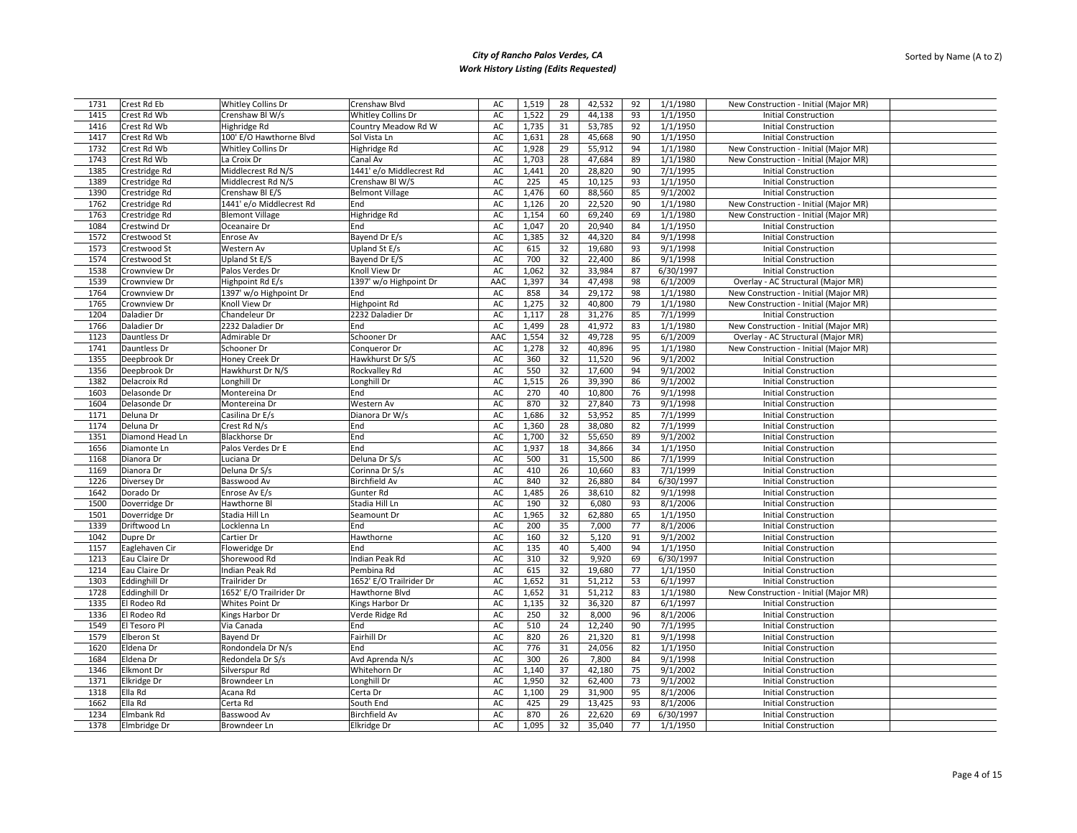| 1731 | Crest Rd Eb          | Whitley Collins Dr       | Crenshaw Blvd             | AC  | 1,519 | 28 | 42,532 | 92 | 1/1/1980  | New Construction - Initial (Major MR) |  |
|------|----------------------|--------------------------|---------------------------|-----|-------|----|--------|----|-----------|---------------------------------------|--|
| 1415 | Crest Rd Wb          | Crenshaw Bl W/s          | <b>Whitley Collins Dr</b> | AC  | 1,522 | 29 | 44,138 | 93 | 1/1/1950  | <b>Initial Construction</b>           |  |
| 1416 | Crest Rd Wb          | Highridge Rd             | Country Meadow Rd W       | AC  | 1,735 | 31 | 53,785 | 92 | 1/1/1950  | <b>Initial Construction</b>           |  |
| 1417 | Crest Rd Wb          | 100' E/O Hawthorne Blvd  | Sol Vista Ln              | AC  | 1,631 | 28 | 45,668 | 90 | 1/1/1950  | <b>Initial Construction</b>           |  |
| 1732 | Crest Rd Wb          | Whitley Collins Dr       | Highridge Rd              | AC  | 1,928 | 29 | 55,912 | 94 | 1/1/1980  | New Construction - Initial (Major MR) |  |
| 1743 | Crest Rd Wb          | La Croix Dr              | Canal Av                  | AC  | 1,703 | 28 | 47,684 | 89 | 1/1/1980  | New Construction - Initial (Major MR) |  |
| 1385 | Crestridge Rd        | Middlecrest Rd N/S       | 1441' e/o Middlecrest Rd  | AC  | 1,441 | 20 | 28,820 | 90 | 7/1/1995  | <b>Initial Construction</b>           |  |
| 1389 | Crestridge Rd        | Middlecrest Rd N/S       | Crenshaw Bl W/S           | AC  | 225   | 45 | 10,125 | 93 | 1/1/1950  | <b>Initial Construction</b>           |  |
|      |                      | Crenshaw BI E/S          |                           | AC  | 1,476 | 60 |        | 85 | 9/1/2002  |                                       |  |
| 1390 | Crestridge Rd        | 1441' e/o Middlecrest Rd | <b>Belmont Village</b>    |     |       | 20 | 88,560 |    |           | <b>Initial Construction</b>           |  |
| 1762 | Crestridge Rd        |                          | End                       | AC  | 1,126 |    | 22,520 | 90 | 1/1/1980  | New Construction - Initial (Major MR) |  |
| 1763 | Crestridge Rd        | <b>Blemont Village</b>   | Highridge Rd              | AC  | 1,154 | 60 | 69,240 | 69 | 1/1/1980  | New Construction - Initial (Major MR) |  |
| 1084 | Crestwind Dr         | Oceanaire Dr             | End                       | AC  | 1,047 | 20 | 20,940 | 84 | 1/1/1950  | <b>Initial Construction</b>           |  |
| 1572 | Crestwood St         | Enrose Av                | Bayend Dr E/s             | AC  | 1,385 | 32 | 44,320 | 84 | 9/1/1998  | <b>Initial Construction</b>           |  |
| 1573 | Crestwood St         | Western Av               | Upland St E/s             | AC  | 615   | 32 | 19,680 | 93 | 9/1/1998  | <b>Initial Construction</b>           |  |
| 1574 | Crestwood St         | Upland St E/S            | Bayend Dr E/S             | AC  | 700   | 32 | 22,400 | 86 | 9/1/1998  | <b>Initial Construction</b>           |  |
| 1538 | Crownview Dr         | Palos Verdes Dr          | Knoll View Dr             | AC  | 1,062 | 32 | 33,984 | 87 | 6/30/1997 | <b>Initial Construction</b>           |  |
| 1539 | Crownview Dr         | Highpoint Rd E/s         | 1397' w/o Highpoint Dr    | AAC | 1,397 | 34 | 47,498 | 98 | 6/1/2009  | Overlay - AC Structural (Major MR)    |  |
| 1764 | Crownview Dr         | 1397' w/o Highpoint Dr   | End                       | AC  | 858   | 34 | 29,172 | 98 | 1/1/1980  | New Construction - Initial (Major MR) |  |
| 1765 | Crownview Dr         | Knoll View Dr            | Highpoint Rd              | AC  | 1,275 | 32 | 40,800 | 79 | 1/1/1980  | New Construction - Initial (Major MR) |  |
| 1204 | Daladier Dr          | Chandeleur Dr            | 2232 Daladier Dr          | AC  | 1,117 | 28 | 31,276 | 85 | 7/1/1999  | <b>Initial Construction</b>           |  |
| 1766 | Daladier Dr          | 2232 Daladier Dr         | End                       | AC  | 1,499 | 28 | 41,972 | 83 | 1/1/1980  | New Construction - Initial (Major MR) |  |
| 1123 | Dauntless Dr         | Admirable Dr             | Schooner Dr               | AAC | 1,554 | 32 | 49,728 | 95 | 6/1/2009  | Overlay - AC Structural (Major MR)    |  |
| 1741 | Dauntless Dr         | Schooner Dr              | Conqueror Dr              | AC  | 1,278 | 32 | 40,896 | 95 | 1/1/1980  | New Construction - Initial (Major MR) |  |
| 1355 | Deepbrook Dr         | Honey Creek Dr           | Hawkhurst Dr S/S          | AC  | 360   | 32 | 11,520 | 96 | 9/1/2002  | <b>Initial Construction</b>           |  |
| 1356 | Deepbrook Dr         | Hawkhurst Dr N/S         | Rockvalley Rd             | AC  | 550   | 32 | 17,600 | 94 | 9/1/2002  | <b>Initial Construction</b>           |  |
| 1382 | Delacroix Rd         | Longhill Dr              | Longhill Dr               | AC  | 1,515 | 26 | 39,390 | 86 | 9/1/2002  | <b>Initial Construction</b>           |  |
| 1603 | Delasonde Dr         | Montereina Dr            | End                       | AC  | 270   | 40 | 10,800 | 76 | 9/1/1998  | <b>Initial Construction</b>           |  |
| 1604 | Delasonde Dr         | Montereina Dr            | Western Av                | AC  | 870   | 32 | 27,840 | 73 | 9/1/1998  | <b>Initial Construction</b>           |  |
| 1171 | Deluna Dr            | Casilina Dr E/s          | Dianora Dr W/s            | AC  | 1,686 | 32 | 53,952 | 85 | 7/1/1999  | <b>Initial Construction</b>           |  |
| 1174 | Deluna Dr            | Crest Rd N/s             | End                       | AC  | 1,360 | 28 | 38,080 | 82 | 7/1/1999  | <b>Initial Construction</b>           |  |
| 1351 | Diamond Head Ln      | <b>Blackhorse Dr</b>     | End                       | AC  | 1,700 | 32 | 55,650 | 89 | 9/1/2002  | <b>Initial Construction</b>           |  |
| 1656 | Diamonte Ln          | Palos Verdes Dr E        | End                       | AC  | 1,937 | 18 | 34,866 | 34 | 1/1/1950  | <b>Initial Construction</b>           |  |
| 1168 | Dianora Dr           | Luciana Dr               | Deluna Dr S/s             | AC  | 500   | 31 | 15,500 | 86 | 7/1/1999  | <b>Initial Construction</b>           |  |
| 1169 | Dianora Dr           | Deluna Dr S/s            | Corinna Dr S/s            | AC  | 410   | 26 | 10,660 | 83 | 7/1/1999  | <b>Initial Construction</b>           |  |
| 1226 | Diversey Dr          | Basswood Av              | <b>Birchfield Av</b>      | AC  | 840   | 32 | 26,880 | 84 | 6/30/1997 | <b>Initial Construction</b>           |  |
| 1642 | Dorado Dr            | Enrose Av E/s            | Gunter Rd                 | AC  | 1,485 | 26 | 38,610 | 82 | 9/1/1998  | <b>Initial Construction</b>           |  |
| 1500 | Doverridge Dr        | Hawthorne Bl             | Stadia Hill Ln            | AC  | 190   | 32 | 6,080  | 93 | 8/1/2006  | <b>Initial Construction</b>           |  |
| 1501 | Doverridge Dr        | Stadia Hill Ln           | Seamount Dr               | AC  | 1,965 | 32 | 62,880 | 65 | 1/1/1950  | <b>Initial Construction</b>           |  |
| 1339 | Driftwood Ln         | Locklenna Ln             | End                       | AC  | 200   | 35 | 7,000  | 77 | 8/1/2006  | <b>Initial Construction</b>           |  |
| 1042 | Dupre Dr             | Cartier Dr               | Hawthorne                 | AC  | 160   | 32 | 5,120  | 91 | 9/1/2002  | <b>Initial Construction</b>           |  |
| 1157 | Eaglehaven Cir       | Floweridge Dr            | End                       | AC  | 135   | 40 | 5,400  | 94 | 1/1/1950  | <b>Initial Construction</b>           |  |
| 1213 | Eau Claire Dr        | Shorewood Rd             | Indian Peak Rd            | AC  | 310   | 32 | 9,920  | 69 | 6/30/1997 | <b>Initial Construction</b>           |  |
| 1214 | Eau Claire Dr        | Indian Peak Rd           |                           | AC  | 615   | 32 | 19,680 | 77 | 1/1/1950  |                                       |  |
|      |                      |                          | Pembina Rd                |     |       |    |        |    |           | <b>Initial Construction</b>           |  |
| 1303 | <b>Eddinghill Dr</b> | Trailrider Dr            | 1652' E/O Trailrider Dr   | AC  | 1,652 | 31 | 51,212 | 53 | 6/1/1997  | <b>Initial Construction</b>           |  |
| 1728 | <b>Eddinghill Dr</b> | 1652' E/O Trailrider Dr  | Hawthorne Blvd            | AC  | 1,652 | 31 | 51,212 | 83 | 1/1/1980  | New Construction - Initial (Major MR) |  |
| 1335 | El Rodeo Rd          | Whites Point Dr          | Kings Harbor Dr           | AC  | 1,135 | 32 | 36,320 | 87 | 6/1/1997  | <b>Initial Construction</b>           |  |
| 1336 | El Rodeo Rd          | Kings Harbor Dr          | Verde Ridge Rd            | AC  | 250   | 32 | 8,000  | 96 | 8/1/2006  | <b>Initial Construction</b>           |  |
| 1549 | El Tesoro Pl         | Via Canada               | End                       | AC  | 510   | 24 | 12,240 | 90 | 7/1/1995  | <b>Initial Construction</b>           |  |
| 1579 | Elberon St           | Bayend Dr                | Fairhill Dr               | AC  | 820   | 26 | 21,320 | 81 | 9/1/1998  | <b>Initial Construction</b>           |  |
| 1620 | Eldena Dr            | Rondondela Dr N/s        | End                       | AC  | 776   | 31 | 24,056 | 82 | 1/1/1950  | <b>Initial Construction</b>           |  |
| 1684 | Eldena Dr            | Redondela Dr S/s         | Avd Aprenda N/s           | AC  | 300   | 26 | 7,800  | 84 | 9/1/1998  | <b>Initial Construction</b>           |  |
| 1346 | <b>Elkmont Dr</b>    | Silverspur Rd            | Whitehorn Dr              | AC  | 1,140 | 37 | 42,180 | 75 | 9/1/2002  | <b>Initial Construction</b>           |  |
| 1371 | Elkridge Dr          | Browndeer Ln             | Longhill Dr               | AC  | 1,950 | 32 | 62,400 | 73 | 9/1/2002  | <b>Initial Construction</b>           |  |
| 1318 | Ella Rd              | Acana Rd                 | Certa Dr                  | AC  | 1,100 | 29 | 31,900 | 95 | 8/1/2006  | <b>Initial Construction</b>           |  |
| 1662 | Ella Rd              | Certa Rd                 | South End                 | AC  | 425   | 29 | 13,425 | 93 | 8/1/2006  | <b>Initial Construction</b>           |  |
| 1234 | Elmbank Rd           | Basswood Av              | <b>Birchfield Av</b>      | AC  | 870   | 26 | 22,620 | 69 | 6/30/1997 | <b>Initial Construction</b>           |  |
| 1378 | Elmbridge Dr         | Browndeer Ln             | Elkridge Dr               | AC  | 1,095 | 32 | 35,040 | 77 | 1/1/1950  | <b>Initial Construction</b>           |  |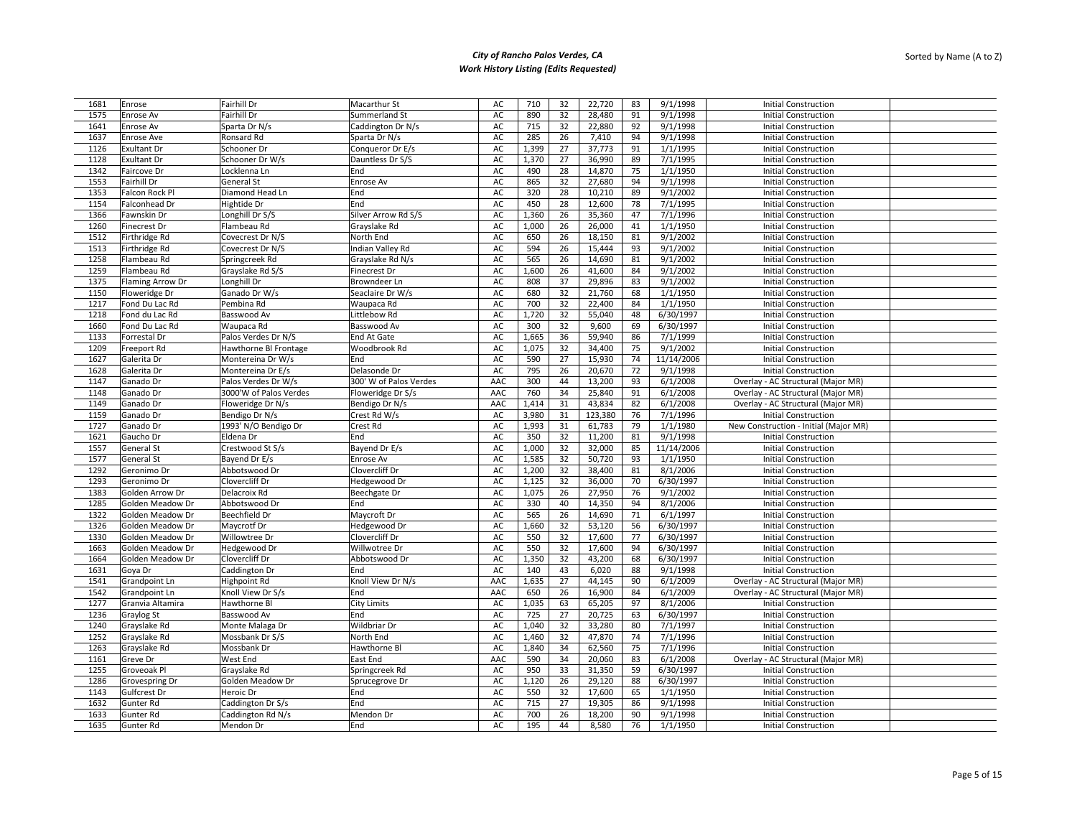| 1681 | Enrose             | <b>Fairhill Dr</b>     | Macarthur St           | AC  | 710   | 32 | 22,720  | 83 | 9/1/1998   | <b>Initial Construction</b>           |
|------|--------------------|------------------------|------------------------|-----|-------|----|---------|----|------------|---------------------------------------|
| 1575 | Enrose Av          | <b>Fairhill Dr</b>     | Summerland St          | AC  | 890   | 32 | 28,480  | 91 | 9/1/1998   | <b>Initial Construction</b>           |
| 1641 | Enrose Av          | Sparta Dr N/s          | Caddington Dr N/s      | AC  | 715   | 32 | 22,880  | 92 | 9/1/1998   | <b>Initial Construction</b>           |
| 1637 | Enrose Ave         | Ronsard Rd             | Sparta Dr N/s          | AC  | 285   | 26 | 7,410   | 94 | 9/1/1998   | <b>Initial Construction</b>           |
| 1126 | <b>Exultant Dr</b> | Schooner Dr            | Conqueror Dr E/s       | AC  | 1,399 | 27 | 37,773  | 91 | 1/1/1995   | <b>Initial Construction</b>           |
| 1128 | <b>Exultant Dr</b> | Schooner Dr W/s        | Dauntless Dr S/S       | AC  | 1,370 | 27 | 36,990  | 89 | 7/1/1995   | <b>Initial Construction</b>           |
| 1342 | Faircove Dr        | Locklenna Ln           | End                    | AC  | 490   | 28 | 14,870  | 75 | 1/1/1950   | <b>Initial Construction</b>           |
| 1553 | Fairhill Dr        | <b>General St</b>      | Enrose Av              | AC  | 865   | 32 | 27,680  | 94 | 9/1/1998   | <b>Initial Construction</b>           |
| 1353 | Falcon Rock Pl     | Diamond Head Ln        | End                    | AC  | 320   | 28 | 10,210  | 89 | 9/1/2002   | <b>Initial Construction</b>           |
| 1154 | Falconhead Dr      | Hightide Dr            | End                    | AC  | 450   | 28 | 12,600  | 78 | 7/1/1995   | <b>Initial Construction</b>           |
| 1366 | Fawnskin Dr        | Longhill Dr S/S        | Silver Arrow Rd S/S    | AC  | 1,360 | 26 | 35,360  | 47 | 7/1/1996   | <b>Initial Construction</b>           |
| 1260 | Finecrest Dr       | Flambeau Rd            | Grayslake Rd           | AC  | 1,000 | 26 | 26,000  | 41 | 1/1/1950   | <b>Initial Construction</b>           |
| 1512 | Firthridge Rd      | Covecrest Dr N/S       | North End              | AC  | 650   | 26 | 18,150  | 81 | 9/1/2002   | <b>Initial Construction</b>           |
| 1513 | Firthridge Rd      | Covecrest Dr N/S       | Indian Valley Rd       | AC  | 594   | 26 | 15,444  | 93 | 9/1/2002   | <b>Initial Construction</b>           |
| 1258 | Flambeau Rd        | Springcreek Rd         | Grayslake Rd N/s       | AC  | 565   | 26 | 14,690  | 81 | 9/1/2002   | <b>Initial Construction</b>           |
| 1259 | Flambeau Rd        | Grayslake Rd S/S       | <b>Finecrest Dr</b>    | AC  | 1,600 | 26 | 41,600  | 84 | 9/1/2002   | <b>Initial Construction</b>           |
|      |                    |                        | Browndeer Ln           | AC  | 808   | 37 |         | 83 |            | <b>Initial Construction</b>           |
| 1375 | Flaming Arrow Dr   | Longhill Dr            |                        |     |       |    | 29,896  |    | 9/1/2002   |                                       |
| 1150 | Floweridge Dr      | Ganado Dr W/s          | Seaclaire Dr W/s       | AC  | 680   | 32 | 21,760  | 68 | 1/1/1950   | <b>Initial Construction</b>           |
| 1217 | Fond Du Lac Rd     | Pembina Rd             | Waupaca Rd             | AC  | 700   | 32 | 22,400  | 84 | 1/1/1950   | <b>Initial Construction</b>           |
| 1218 | Fond du Lac Rd     | Basswood Av            | Littlebow Rd           | AC  | 1,720 | 32 | 55,040  | 48 | 6/30/1997  | <b>Initial Construction</b>           |
| 1660 | Fond Du Lac Rd     | Waupaca Rd             | Basswood Av            | AC  | 300   | 32 | 9,600   | 69 | 6/30/1997  | <b>Initial Construction</b>           |
| 1133 | Forrestal Dr       | Palos Verdes Dr N/S    | End At Gate            | AC  | 1,665 | 36 | 59,940  | 86 | 7/1/1999   | <b>Initial Construction</b>           |
| 1209 | Freeport Rd        | Hawthorne BI Frontage  | Woodbrook Rd           | AC  | 1,075 | 32 | 34,400  | 75 | 9/1/2002   | <b>Initial Construction</b>           |
| 1627 | Galerita Dr        | Montereina Dr W/s      | End                    | AC  | 590   | 27 | 15,930  | 74 | 11/14/2006 | <b>Initial Construction</b>           |
| 1628 | Galerita Dr        | Montereina Dr E/s      | Delasonde Dr           | AC  | 795   | 26 | 20,670  | 72 | 9/1/1998   | <b>Initial Construction</b>           |
| 1147 | Ganado Dr          | Palos Verdes Dr W/s    | 300' W of Palos Verdes | AAC | 300   | 44 | 13,200  | 93 | 6/1/2008   | Overlay - AC Structural (Major MR)    |
| 1148 | Ganado Dr          | 3000'W of Palos Verdes | Floweridge Dr S/s      | AAC | 760   | 34 | 25,840  | 91 | 6/1/2008   | Overlay - AC Structural (Major MR)    |
| 1149 | Ganado Dr          | Floweridge Dr N/s      | Bendigo Dr N/s         | AAC | 1,414 | 31 | 43,834  | 82 | 6/1/2008   | Overlay - AC Structural (Major MR)    |
| 1159 | Ganado Dr          | Bendigo Dr N/s         | Crest Rd W/s           | AC  | 3,980 | 31 | 123,380 | 76 | 7/1/1996   | <b>Initial Construction</b>           |
| 1727 | Ganado Dr          | 1993' N/O Bendigo Dr   | Crest Rd               | AC  | 1,993 | 31 | 61,783  | 79 | 1/1/1980   | New Construction - Initial (Major MR) |
| 1621 | Gaucho Dr          | Eldena Dr              | End                    | AC  | 350   | 32 | 11,200  | 81 | 9/1/1998   | <b>Initial Construction</b>           |
| 1557 | General St         | Crestwood St S/s       | Bayend Dr E/s          | AC  | 1,000 | 32 | 32,000  | 85 | 11/14/2006 | <b>Initial Construction</b>           |
| 1577 | General St         | Bayend Dr E/s          | Enrose Av              | AC  | 1,585 | 32 | 50,720  | 93 | 1/1/1950   | <b>Initial Construction</b>           |
| 1292 | Geronimo Dr        | Abbotswood Dr          | Clovercliff Dr         | AC  | 1,200 | 32 | 38,400  | 81 | 8/1/2006   | <b>Initial Construction</b>           |
| 1293 | Geronimo Dr        | Clovercliff Dr         | Hedgewood Dr           | AC  | 1,125 | 32 | 36,000  | 70 | 6/30/1997  | <b>Initial Construction</b>           |
| 1383 | Golden Arrow Dr    | Delacroix Rd           | Beechgate Dr           | AC  | 1,075 | 26 | 27,950  | 76 | 9/1/2002   | <b>Initial Construction</b>           |
| 1285 | Golden Meadow Dr   | Abbotswood Dr          | End                    | AC  | 330   | 40 | 14,350  | 94 | 8/1/2006   | <b>Initial Construction</b>           |
| 1322 | Golden Meadow Dr   | <b>Beechfield Dr</b>   | Maycroft Dr            | AC  | 565   | 26 | 14,690  | 71 | 6/1/1997   | <b>Initial Construction</b>           |
| 1326 | Golden Meadow Dr   | Maycrotf Dr            | Hedgewood Dr           | AC  | 1.660 | 32 | 53,120  | 56 | 6/30/1997  | <b>Initial Construction</b>           |
| 1330 | Golden Meadow Dr   | Willowtree Dr          | Clovercliff Dr         | AC  | 550   | 32 | 17,600  | 77 | 6/30/1997  | <b>Initial Construction</b>           |
| 1663 | Golden Meadow Dr   | Hedgewood Dr           | Willwotree Dr          | AC  | 550   | 32 | 17,600  | 94 | 6/30/1997  | <b>Initial Construction</b>           |
| 1664 | Golden Meadow Dr   | Clovercliff Dr         | Abbotswood Dr          | AC  | 1,350 | 32 | 43,200  | 68 | 6/30/1997  | <b>Initial Construction</b>           |
| 1631 | Goya Dr            | <b>Caddington Dr</b>   | End                    | AC  | 140   | 43 | 6,020   | 88 | 9/1/1998   | <b>Initial Construction</b>           |
| 1541 | Grandpoint Ln      | <b>Highpoint Rd</b>    | Knoll View Dr N/s      | AAC | 1,635 | 27 | 44,145  | 90 | 6/1/2009   | Overlay - AC Structural (Major MR)    |
| 1542 | Grandpoint Ln      | Knoll View Dr S/s      | End                    | AAC | 650   | 26 | 16,900  | 84 | 6/1/2009   | Overlay - AC Structural (Major MR)    |
| 1277 | Granvia Altamira   | Hawthorne Bl           | <b>City Limits</b>     | AC  | 1,035 | 63 | 65,205  | 97 | 8/1/2006   | <b>Initial Construction</b>           |
| 1236 | Graylog St         | Basswood Av            | End                    | AC  | 725   | 27 | 20,725  | 63 | 6/30/1997  | <b>Initial Construction</b>           |
| 1240 | Grayslake Rd       | Monte Malaga Dr        | Wildbriar Dr           | AC  | 1,040 | 32 | 33,280  | 80 | 7/1/1997   | <b>Initial Construction</b>           |
| 1252 | Grayslake Rd       | Mossbank Dr S/S        | North End              | AC  | 1.460 | 32 | 47,870  | 74 | 7/1/1996   | <b>Initial Construction</b>           |
| 1263 | Grayslake Rd       | Mossbank Dr            | Hawthorne Bl           | AC  | 1,840 | 34 | 62,560  | 75 | 7/1/1996   | <b>Initial Construction</b>           |
| 1161 | Greve Dr           | West End               | East End               | AAC | 590   | 34 | 20,060  | 83 | 6/1/2008   | Overlay - AC Structural (Major MR)    |
| 1255 | Groveoak Pl        | Grayslake Rd           | Springcreek Rd         | AC  | 950   | 33 | 31,350  | 59 | 6/30/1997  | <b>Initial Construction</b>           |
| 1286 | Grovespring Dr     | Golden Meadow Dr       | Sprucegrove Dr         | AC  | 1,120 | 26 | 29,120  | 88 | 6/30/1997  | <b>Initial Construction</b>           |
| 1143 | Gulfcrest Dr       | Heroic Dr              | End                    | AC  | 550   | 32 | 17,600  | 65 | 1/1/1950   | <b>Initial Construction</b>           |
| 1632 | Gunter Rd          | Caddington Dr S/s      | End                    | AC  | 715   | 27 | 19,305  | 86 | 9/1/1998   | <b>Initial Construction</b>           |
| 1633 | Gunter Rd          | Caddington Rd N/s      | Mendon Dr              | AC  | 700   | 26 | 18,200  | 90 | 9/1/1998   | <b>Initial Construction</b>           |
| 1635 | <b>Gunter Rd</b>   | Mendon Dr              | End                    | AC  | 195   | 44 | 8,580   | 76 | 1/1/1950   | <b>Initial Construction</b>           |
|      |                    |                        |                        |     |       |    |         |    |            |                                       |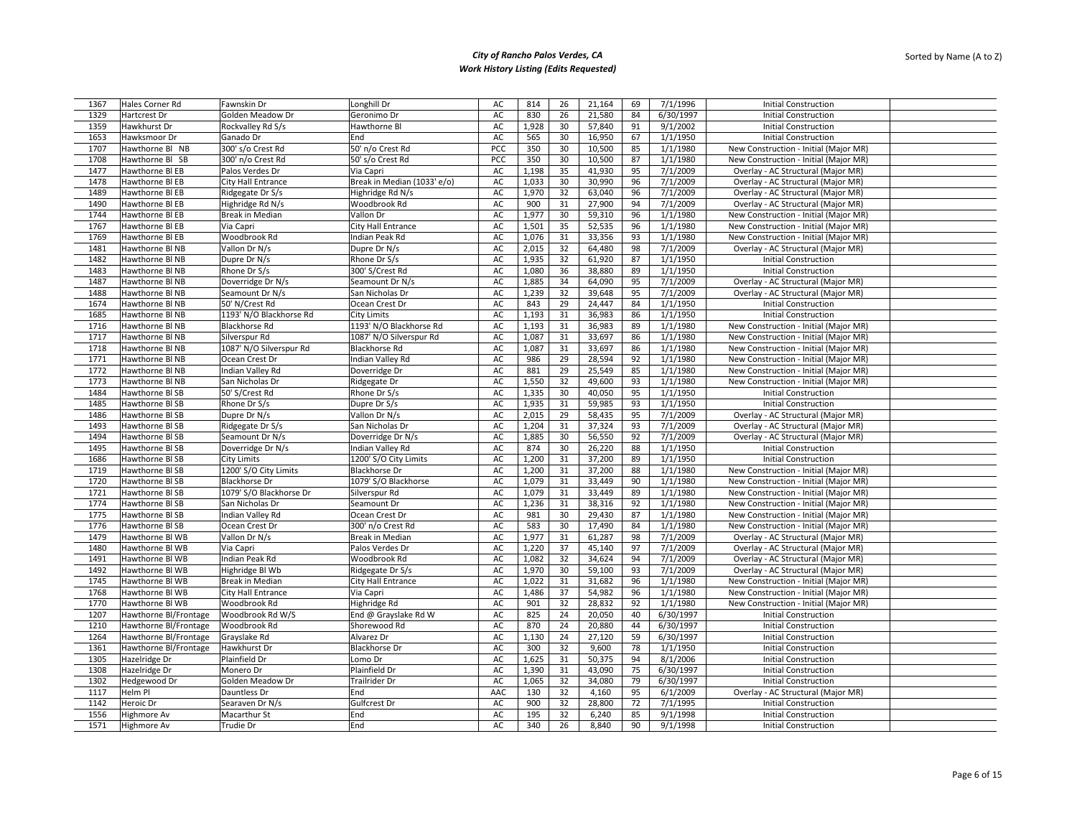| 1367         | Hales Corner Rd       | Fawnskin Dr                  | Longhill Dr                        | AC       | 814   | 26       | 21,164          | 69       | 7/1/1996              | <b>Initial Construction</b>                                |  |
|--------------|-----------------------|------------------------------|------------------------------------|----------|-------|----------|-----------------|----------|-----------------------|------------------------------------------------------------|--|
| 1329         | Hartcrest Dr          | Golden Meadow Dr             | Geronimo Dr                        | AC       | 830   | 26       | 21,580          | 84       | 6/30/1997             | <b>Initial Construction</b>                                |  |
| 1359         | Hawkhurst Dr          | Rockvalley Rd S/s            | Hawthorne Bl                       | AC       | 1,928 | 30       | 57,840          | 91       | 9/1/2002              | <b>Initial Construction</b>                                |  |
| 1653         | Hawksmoor Dr          | Ganado Dr                    | End                                | AC       | 565   | 30       | 16,950          | 67       | 1/1/1950              | <b>Initial Construction</b>                                |  |
| 1707         | Hawthorne Bl NB       | 300' s/o Crest Rd            | 50' n/o Crest Rd                   | PCC      | 350   | 30       | 10,500          | 85       | 1/1/1980              | New Construction - Initial (Major MR)                      |  |
| 1708         | Hawthorne BI SB       | 300' n/o Crest Rd            | 50' s/o Crest Rd                   | PCC      | 350   | 30       | 10,500          | 87       | 1/1/1980              | New Construction - Initial (Major MR)                      |  |
| 1477         | Hawthorne BI EB       | Palos Verdes Dr              | Via Capri                          | AC       | 1,198 | 35       | 41,930          | 95       | 7/1/2009              | Overlay - AC Structural (Major MR)                         |  |
| 1478         | Hawthorne BI EB       | City Hall Entrance           | Break in Median (1033' e/o)        | AC       | 1,033 | 30       | 30,990          | 96       | 7/1/2009              | Overlay - AC Structural (Major MR)                         |  |
| 1489         | Hawthorne BI EB       | Ridgegate Dr S/s             | Highridge Rd N/s                   | AC       | 1,970 | 32       | 63,040          | 96       | 7/1/2009              | Overlay - AC Structural (Major MR)                         |  |
| 1490         | Hawthorne BI EB       | Highridge Rd N/s             | Woodbrook Rd                       | AC       | 900   | 31       | 27,900          | 94       | 7/1/2009              | Overlay - AC Structural (Major MR)                         |  |
| 1744         | Hawthorne BI EB       | Break in Median              | Vallon Dr                          | AC       | 1,977 | 30       | 59,310          | 96       | 1/1/1980              | New Construction - Initial (Major MR)                      |  |
| 1767         | Hawthorne BI EB       | Via Capri                    | <b>City Hall Entrance</b>          | AC       | 1,501 | 35       | 52,535          | 96       | 1/1/1980              | New Construction - Initial (Major MR)                      |  |
| 1769         | Hawthorne BI EB       | Woodbrook Rd                 | Indian Peak Rd                     | AC       | 1,076 | 31       | 33,356          | 93       | 1/1/1980              | New Construction - Initial (Major MR)                      |  |
| 1481         | Hawthorne Bl NB       | Vallon Dr N/s                | Dupre Dr N/s                       | AC       | 2,015 | 32       | 64,480          | 98       | 7/1/2009              | Overlay - AC Structural (Major MR)                         |  |
| 1482         | Hawthorne Bl NB       | Dupre Dr N/s                 | Rhone Dr S/s                       | AC       | 1,935 | 32       | 61,920          | 87       | 1/1/1950              | <b>Initial Construction</b>                                |  |
|              |                       |                              |                                    |          |       |          |                 |          | 1/1/1950              |                                                            |  |
| 1483         | Hawthorne Bl NB       | Rhone Dr S/s                 | 300' S/Crest Rd                    | AC       | 1,080 | 36<br>34 | 38,880          | 89       |                       | <b>Initial Construction</b>                                |  |
| 1487         | Hawthorne Bl NB       | Doverridge Dr N/s            | Seamount Dr N/s                    | AC       | 1,885 |          | 64,090          | 95       | 7/1/2009              | Overlay - AC Structural (Major MR)                         |  |
| 1488         | Hawthorne Bl NB       | Seamount Dr N/s              | San Nicholas Dr                    | AC       | 1,239 | 32       | 39,648          | 95       | 7/1/2009              | Overlay - AC Structural (Major MR)                         |  |
| 1674         | Hawthorne Bl NB       | 50' N/Crest Rd               | Ocean Crest Dr                     | AC       | 843   | 29       | 24,447          | 84       | 1/1/1950              | <b>Initial Construction</b>                                |  |
| 1685         | Hawthorne BI NB       | 1193' N/O Blackhorse Rd      | City Limits                        | AC       | 1,193 | 31       | 36,983          | 86       | 1/1/1950              | <b>Initial Construction</b>                                |  |
| 1716         | Hawthorne BI NB       | <b>Blackhorse Rd</b>         | 1193' N/O Blackhorse Rd            | AC       | 1,193 | 31       | 36,983          | 89       | 1/1/1980              | New Construction - Initial (Major MR)                      |  |
| 1717         | Hawthorne BI NB       | Silverspur Rd                | 1087' N/O Silverspur Rd            | AC       | 1,087 | 31       | 33,697          | 86       | 1/1/1980              | New Construction - Initial (Major MR)                      |  |
| 1718         | Hawthorne Bl NB       | 1087' N/O Silverspur Rd      | <b>Blackhorse Rd</b>               | AC       | 1,087 | 31       | 33,697          | 86       | 1/1/1980              | New Construction - Initial (Major MR)                      |  |
| 1771         | Hawthorne Bl NB       | Ocean Crest Dr               | Indian Valley Rd                   | AC       | 986   | 29       | 28,594          | 92       | 1/1/1980              | New Construction - Initial (Major MR)                      |  |
| 1772         | Hawthorne Bl NB       | Indian Valley Rd             | Doverridge Dr                      | AC       | 881   | 29       | 25,549          | 85       | 1/1/1980              | New Construction - Initial (Major MR)                      |  |
| 1773         | Hawthorne BI NB       | San Nicholas Dr              | Ridgegate Dr                       | AC       | 1,550 | 32       | 49,600          | 93       | 1/1/1980              | New Construction - Initial (Major MR)                      |  |
| 1484         | Hawthorne BI SB       | 50' S/Crest Rd               | Rhone Dr S/s                       | AC       | 1,335 | 30       | 40,050          | 95       | 1/1/1950              | <b>Initial Construction</b>                                |  |
| 1485         | Hawthorne BI SB       | Rhone Dr S/s                 | Dupre Dr S/s                       | AC       | 1,935 | 31       | 59,985          | 93       | 1/1/1950              | <b>Initial Construction</b>                                |  |
| 1486         | Hawthorne BI SB       | Dupre Dr N/s                 | Vallon Dr N/s                      | AC       | 2,015 | 29       | 58,435          | 95       | 7/1/2009              | Overlay - AC Structural (Major MR)                         |  |
| 1493         | Hawthorne BI SB       | Ridgegate Dr S/s             | San Nicholas Dr                    | AC       | 1,204 | 31       | 37,324          | 93       | 7/1/2009              | Overlay - AC Structural (Major MR)                         |  |
| 1494         | Hawthorne BI SB       | Seamount Dr N/s              | Doverridge Dr N/s                  | AC       | 1,885 | 30       | 56,550          | 92       | 7/1/2009              | Overlay - AC Structural (Major MR)                         |  |
| 1495         | Hawthorne BI SB       | Doverridge Dr N/s            | Indian Valley Rd                   | AC       | 874   | 30       | 26,220          | 88       | 1/1/1950              | <b>Initial Construction</b>                                |  |
| 1686         | Hawthorne BI SB       | City Limits                  | 1200' S/O City Limits              | AC       | 1,200 | 31       | 37,200          | 89       | 1/1/1950              | <b>Initial Construction</b>                                |  |
| 1719         | Hawthorne BI SB       | 1200' S/O City Limits        | <b>Blackhorse Dr</b>               | AC       | 1,200 | 31       | 37,200          | 88       | 1/1/1980              | New Construction - Initial (Major MR)                      |  |
| 1720         | Hawthorne BI SB       | <b>Blackhorse Dr</b>         | 1079' S/O Blackhorse               | AC       | 1,079 | 31       | 33,449          | 90       | 1/1/1980              | New Construction - Initial (Major MR)                      |  |
| 1721         | Hawthorne BI SB       | 1079' S/O Blackhorse Dr      | Silverspur Rd                      | AC       | 1,079 | 31       | 33,449          | 89       | 1/1/1980              | New Construction - Initial (Major MR)                      |  |
| 1774         | Hawthorne BI SB       | San Nicholas Dr              | Seamount Dr                        | AC       | 1,236 | 31       | 38,316          | 92       | 1/1/1980              | New Construction - Initial (Major MR)                      |  |
| 1775         | Hawthorne BI SB       | Indian Valley Rd             | Ocean Crest Dr                     | AC       | 981   | 30       | 29,430          | 87       | 1/1/1980              | New Construction - Initial (Major MR)                      |  |
| 1776         | Hawthorne BI SB       | Ocean Crest Dr               | 300' n/o Crest Rd                  | AC       | 583   | 30       | 17,490          | 84       | 1/1/1980              | New Construction - Initial (Major MR)                      |  |
| 1479         | Hawthorne Bl WB       | Vallon Dr N/s                | <b>Break in Median</b>             | AC       | 1,977 | 31       | 61,287          | 98       | 7/1/2009              | Overlay - AC Structural (Major MR)                         |  |
| 1480         | Hawthorne Bl WB       | Via Capri                    | Palos Verdes Dr                    | AC       | 1,220 | 37       | 45,140          | 97       | 7/1/2009              | Overlay - AC Structural (Major MR)                         |  |
| 1491         | Hawthorne Bl WB       | Indian Peak Rd               | Woodbrook Rd                       | AC       | 1,082 | 32       | 34,624          | 94       | 7/1/2009              | Overlay - AC Structural (Major MR)                         |  |
| 1492         | Hawthorne BI WB       | Highridge Bl Wb              | Ridgegate Dr S/s                   | AC       | 1,970 | 30       | 59,100          | 93       | 7/1/2009              | Overlay - AC Structural (Major MR)                         |  |
| 1745         | Hawthorne BI WB       | <b>Break in Median</b>       | City Hall Entrance                 | AC       | 1,022 | 31       | 31,682          | 96       | 1/1/1980              | New Construction - Initial (Major MR)                      |  |
| 1768         | Hawthorne Bl WB       | City Hall Entrance           | Via Capri                          | AC       | 1,486 | 37       | 54,982          | 96       | 1/1/1980              | New Construction - Initial (Major MR)                      |  |
| 1770         | Hawthorne Bl WB       | Woodbrook Rd                 | Highridge Rd                       | AC       | 901   | 32       | 28,832          | 92       | 1/1/1980              | New Construction - Initial (Major MR)                      |  |
| 1207         | Hawthorne Bl/Frontage | Woodbrook Rd W/S             | End @ Grayslake Rd W               | AC       | 825   | 24       | 20,050          | 40       | 6/30/1997             | <b>Initial Construction</b>                                |  |
| 1210         | Hawthorne Bl/Frontage | Woodbrook Rd                 | Shorewood Rd                       | AC       | 870   | 24       | 20,880          | 44       | 6/30/1997             |                                                            |  |
|              | Hawthorne Bl/Frontage |                              |                                    |          | 1,130 | 24       |                 |          |                       | <b>Initial Construction</b>                                |  |
| 1264<br>1361 |                       | Grayslake Rd<br>Hawkhurst Dr | Alvarez Dr<br><b>Blackhorse Dr</b> | AC<br>AC | 300   | 32       | 27,120<br>9,600 | 59<br>78 | 6/30/1997<br>1/1/1950 | <b>Initial Construction</b><br><b>Initial Construction</b> |  |
|              | Hawthorne Bl/Frontage |                              |                                    |          |       |          |                 |          |                       |                                                            |  |
| 1305         | Hazelridge Dr         | Plainfield Dr                | Lomo Dr                            | AC       | 1,625 | 31       | 50,375          | 94       | 8/1/2006              | <b>Initial Construction</b>                                |  |
| 1308         | Hazelridge Dr         | Monero Dr                    | Plainfield Dr                      | AC       | 1,390 | 31       | 43,090          | 75       | 6/30/1997             | <b>Initial Construction</b>                                |  |
| 1302         | Hedgewood Dr          | Golden Meadow Dr             | Trailrider Dr                      | AC       | 1,065 | 32       | 34,080          | 79       | 6/30/1997             | <b>Initial Construction</b>                                |  |
| 1117         | Helm Pl               | Dauntless Dr                 | End                                | AAC      | 130   | 32       | 4,160           | 95       | 6/1/2009              | Overlay - AC Structural (Major MR)                         |  |
| 1142         | Heroic Dr             | Searaven Dr N/s              | Gulfcrest Dr                       | AC       | 900   | 32       | 28,800          | 72       | 7/1/1995              | <b>Initial Construction</b>                                |  |
| 1556         | Highmore Av           | Macarthur St                 | End                                | AC       | 195   | 32       | 6,240           | 85       | 9/1/1998              | <b>Initial Construction</b>                                |  |
| 1571         | Highmore Av           | Trudie Dr                    | End                                | AC       | 340   | 26       | 8.840           | 90       | 9/1/1998              | <b>Initial Construction</b>                                |  |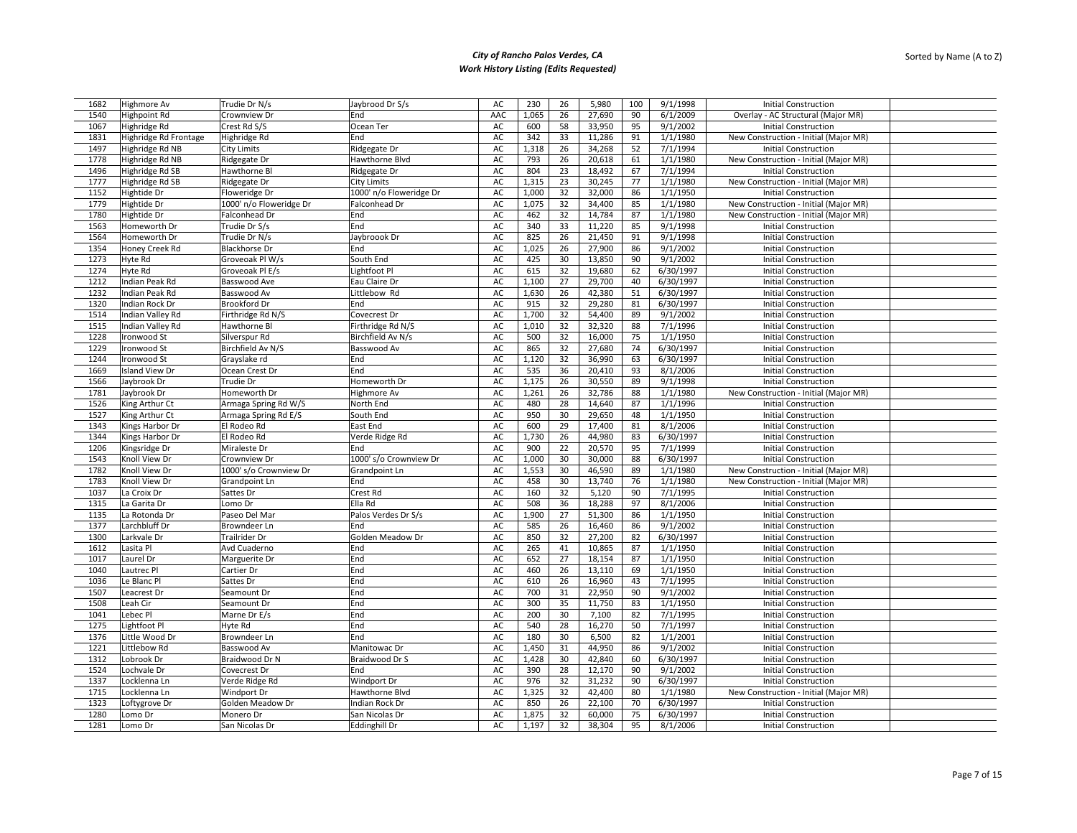| 1682 | Highmore Av           | Trudie Dr N/s           | Jaybrood Dr S/s                  | AC  | 230   | 26 | 5,980  | 100 | 9/1/1998  | <b>Initial Construction</b>           |  |
|------|-----------------------|-------------------------|----------------------------------|-----|-------|----|--------|-----|-----------|---------------------------------------|--|
| 1540 | Highpoint Rd          | Crownview Dr            | End                              | AAC | 1,065 | 26 | 27,690 | 90  | 6/1/2009  | Overlay - AC Structural (Major MR)    |  |
| 1067 | Highridge Rd          | Crest Rd S/S            | Ocean Ter                        | AC  | 600   | 58 | 33,950 | 95  | 9/1/2002  | <b>Initial Construction</b>           |  |
| 1831 | Highridge Rd Frontage | Highridge Rd            | End                              | AC  | 342   | 33 | 11,286 | 91  | 1/1/1980  | New Construction - Initial (Major MR) |  |
| 1497 | Highridge Rd NB       | <b>City Limits</b>      | Ridgegate Dr                     | AC  | 1,318 | 26 | 34,268 | 52  | 7/1/1994  | <b>Initial Construction</b>           |  |
| 1778 | Highridge Rd NB       | Ridgegate Dr            | Hawthorne Blvd                   | AC  | 793   | 26 | 20,618 | 61  | 1/1/1980  | New Construction - Initial (Major MR) |  |
| 1496 | Highridge Rd SB       | Hawthorne Bl            | Ridgegate Dr                     | AC  | 804   | 23 | 18,492 | 67  | 7/1/1994  | <b>Initial Construction</b>           |  |
| 1777 | Highridge Rd SB       | Ridgegate Dr            | City Limits                      | AC  | 1,315 | 23 | 30,245 | 77  | 1/1/1980  | New Construction - Initial (Major MR) |  |
| 1152 | Hightide Dr           | Floweridge Dr           | 1000' n/o Floweridge Dr          | AC  | 1,000 | 32 | 32,000 | 86  | 1/1/1950  | <b>Initial Construction</b>           |  |
| 1779 | Hightide Dr           | 1000' n/o Floweridge Dr | Falconhead Dr                    | AC  | 1,075 | 32 | 34,400 | 85  | 1/1/1980  | New Construction - Initial (Major MR) |  |
|      |                       |                         |                                  |     |       |    |        |     |           |                                       |  |
| 1780 | Hightide Dr           | Falconhead Dr           | End                              | AC  | 462   | 32 | 14,784 | 87  | 1/1/1980  | New Construction - Initial (Major MR) |  |
| 1563 | Homeworth Dr          | Trudie Dr S/s           | End                              | AC  | 340   | 33 | 11,220 | 85  | 9/1/1998  | <b>Initial Construction</b>           |  |
| 1564 | Homeworth Dr          | Trudie Dr N/s           | Jaybroook Dr                     | AC  | 825   | 26 | 21,450 | 91  | 9/1/1998  | <b>Initial Construction</b>           |  |
| 1354 | Honey Creek Rd        | <b>Blackhorse Dr</b>    | End                              | AC  | 1,025 | 26 | 27,900 | 86  | 9/1/2002  | <b>Initial Construction</b>           |  |
| 1273 | Hyte Rd               | Groveoak Pl W/s         | South End                        | AC  | 425   | 30 | 13,850 | 90  | 9/1/2002  | <b>Initial Construction</b>           |  |
| 1274 | Hyte Rd               | Groveoak Pl E/s         | Lightfoot Pl                     | AC  | 615   | 32 | 19,680 | 62  | 6/30/1997 | <b>Initial Construction</b>           |  |
| 1212 | Indian Peak Rd        | Basswood Ave            | Eau Claire Dr                    | AC  | 1,100 | 27 | 29,700 | 40  | 6/30/1997 | <b>Initial Construction</b>           |  |
| 1232 | Indian Peak Rd        | Basswood Av             | Littlebow Rd                     | AC  | 1,630 | 26 | 42,380 | 51  | 6/30/1997 | <b>Initial Construction</b>           |  |
| 1320 | Indian Rock Dr        | <b>Brookford Dr</b>     | End                              | AC  | 915   | 32 | 29,280 | 81  | 6/30/1997 | <b>Initial Construction</b>           |  |
| 1514 | Indian Valley Rd      | Firthridge Rd N/S       | Covecrest Dr                     | AC  | 1,700 | 32 | 54,400 | 89  | 9/1/2002  | <b>Initial Construction</b>           |  |
| 1515 | Indian Valley Rd      | Hawthorne Bl            | Firthridge Rd N/S                | AC  | 1,010 | 32 | 32,320 | 88  | 7/1/1996  | <b>Initial Construction</b>           |  |
| 1228 | Ironwood St           | Silverspur Rd           | Birchfield Av N/s                | AC  | 500   | 32 | 16,000 | 75  | 1/1/1950  | <b>Initial Construction</b>           |  |
| 1229 | Ironwood St           | Birchfield Av N/S       | Basswood Av                      | AC  | 865   | 32 | 27,680 | 74  | 6/30/1997 | <b>Initial Construction</b>           |  |
| 1244 | Ironwood St           | Grayslake rd            | End                              | AC  | 1,120 | 32 | 36,990 | 63  | 6/30/1997 | <b>Initial Construction</b>           |  |
| 1669 | <b>Island View Dr</b> | Ocean Crest Dr          | End                              | AC  | 535   | 36 | 20,410 | 93  | 8/1/2006  | <b>Initial Construction</b>           |  |
| 1566 | Jaybrook Dr           | Trudie Dr               | Homeworth Dr                     | AC  | 1,175 | 26 | 30,550 | 89  | 9/1/1998  | <b>Initial Construction</b>           |  |
| 1781 | Jaybrook Dr           | Homeworth Dr            | Highmore Av                      | AC  | 1,261 | 26 | 32,786 | 88  | 1/1/1980  | New Construction - Initial (Major MR) |  |
| 1526 | King Arthur Ct        | Armaga Spring Rd W/S    | North End                        | AC  | 480   | 28 | 14,640 | 87  | 1/1/1996  | <b>Initial Construction</b>           |  |
| 1527 | King Arthur Ct        | Armaga Spring Rd E/S    | South End                        | AC  | 950   | 30 | 29,650 | 48  | 1/1/1950  | <b>Initial Construction</b>           |  |
| 1343 | Kings Harbor Dr       | El Rodeo Rd             | East End                         | AC  | 600   | 29 | 17,400 | 81  | 8/1/2006  | <b>Initial Construction</b>           |  |
| 1344 | Kings Harbor Dr       | El Rodeo Rd             | Verde Ridge Rd                   | AC  | 1,730 | 26 | 44,980 | 83  | 6/30/1997 | <b>Initial Construction</b>           |  |
| 1206 | Kingsridge Dr         | Miraleste Dr            | End                              | AC  | 900   | 22 | 20,570 | 95  | 7/1/1999  | <b>Initial Construction</b>           |  |
| 1543 | Knoll View Dr         | Crownview Dr            | 1000' s/o Crownview Dr           | AC  | 1,000 | 30 | 30,000 | 88  | 6/30/1997 | <b>Initial Construction</b>           |  |
| 1782 | Knoll View Dr         | 1000' s/o Crownview Dr  | Grandpoint Ln                    | AC  | 1,553 | 30 | 46,590 | 89  | 1/1/1980  | New Construction - Initial (Major MR) |  |
| 1783 | Knoll View Dr         | Grandpoint Ln           | End                              | AC  | 458   | 30 | 13,740 | 76  | 1/1/1980  | New Construction - Initial (Major MR) |  |
| 1037 | La Croix Dr           | Sattes Dr               | Crest Rd                         | AC  | 160   | 32 | 5,120  | 90  | 7/1/1995  | <b>Initial Construction</b>           |  |
| 1315 | La Garita Dr          | Lomo Dr                 | Ella Rd                          | AC  | 508   | 36 | 18,288 | 97  | 8/1/2006  | <b>Initial Construction</b>           |  |
| 1135 | La Rotonda Dr         | Paseo Del Mar           | Palos Verdes Dr S/s              | AC  | 1,900 | 27 | 51,300 | 86  | 1/1/1950  | <b>Initial Construction</b>           |  |
| 1377 | Larchbluff Dr         | Browndeer Ln            | End                              | AC  | 585   | 26 | 16,460 | 86  | 9/1/2002  | <b>Initial Construction</b>           |  |
| 1300 | Larkvale Dr           | <b>Trailrider Dr</b>    | Golden Meadow Dr                 | AC  | 850   | 32 | 27,200 | 82  | 6/30/1997 | <b>Initial Construction</b>           |  |
| 1612 | Lasita Pl             | Avd Cuaderno            | End                              | AC  | 265   | 41 | 10,865 | 87  | 1/1/1950  | <b>Initial Construction</b>           |  |
| 1017 | Laurel Dr             | Marguerite Dr           | End                              | AC  | 652   | 27 | 18,154 | 87  | 1/1/1950  | <b>Initial Construction</b>           |  |
| 1040 | Lautrec Pl            | Cartier Dr              | End                              | AC  | 460   | 26 | 13,110 | 69  | 1/1/1950  | <b>Initial Construction</b>           |  |
| 1036 | Le Blanc Pl           | Sattes Dr               | End                              | AC  | 610   | 26 | 16,960 | 43  | 7/1/1995  | <b>Initial Construction</b>           |  |
| 1507 | Leacrest Dr           | Seamount Dr             | End                              | AC  | 700   | 31 | 22,950 | 90  | 9/1/2002  | <b>Initial Construction</b>           |  |
| 1508 | Leah Cir              | Seamount Dr             | End                              | AC  | 300   | 35 | 11,750 | 83  | 1/1/1950  | <b>Initial Construction</b>           |  |
| 1041 | Lebec Pl              | Marne Dr E/s            | End                              | AC  | 200   | 30 | 7,100  | 82  | 7/1/1995  | <b>Initial Construction</b>           |  |
| 1275 | Lightfoot Pl          | Hyte Rd                 | End                              | AC  | 540   | 28 | 16,270 | 50  | 7/1/1997  | <b>Initial Construction</b>           |  |
| 1376 | Little Wood Dr        | Browndeer Ln            | End                              | AC  | 180   | 30 | 6,500  | 82  | 1/1/2001  | <b>Initial Construction</b>           |  |
| 1221 | Littlebow Rd          | Basswood Av             | Manitowac Dr                     | AC  | 1,450 | 31 | 44,950 | 86  | 9/1/2002  | <b>Initial Construction</b>           |  |
| 1312 | Lobrook Dr            | Braidwood Dr N          | Braidwood Dr S                   | AC  | 1,428 | 30 | 42,840 | 60  | 6/30/1997 | <b>Initial Construction</b>           |  |
| 1524 | Lochvale Dr           | Covecrest Dr            | End                              | AC  | 390   | 28 | 12,170 | 90  | 9/1/2002  | <b>Initial Construction</b>           |  |
| 1337 | Locklenna Ln          | Verde Ridge Rd          | Windport Dr                      | AC  | 976   | 32 | 31,232 | 90  | 6/30/1997 | <b>Initial Construction</b>           |  |
| 1715 | Locklenna Ln          | Windport Dr             | Hawthorne Blvd                   | AC  | 1,325 | 32 | 42,400 | 80  | 1/1/1980  | New Construction - Initial (Major MR) |  |
| 1323 |                       | Golden Meadow Dr        |                                  | AC  | 850   | 26 | 22,100 | 70  | 6/30/1997 | <b>Initial Construction</b>           |  |
| 1280 | Loftygrove Dr         | Monero Dr               | Indian Rock Dr<br>San Nicolas Dr | AC  | 1,875 | 32 | 60,000 | 75  | 6/30/1997 | <b>Initial Construction</b>           |  |
|      | Lomo Dr               |                         |                                  |     |       |    |        |     |           |                                       |  |
| 1281 | Lomo Dr               | San Nicolas Dr          | Eddinghill Dr                    | AC  | 1.197 | 32 | 38,304 | 95  | 8/1/2006  | <b>Initial Construction</b>           |  |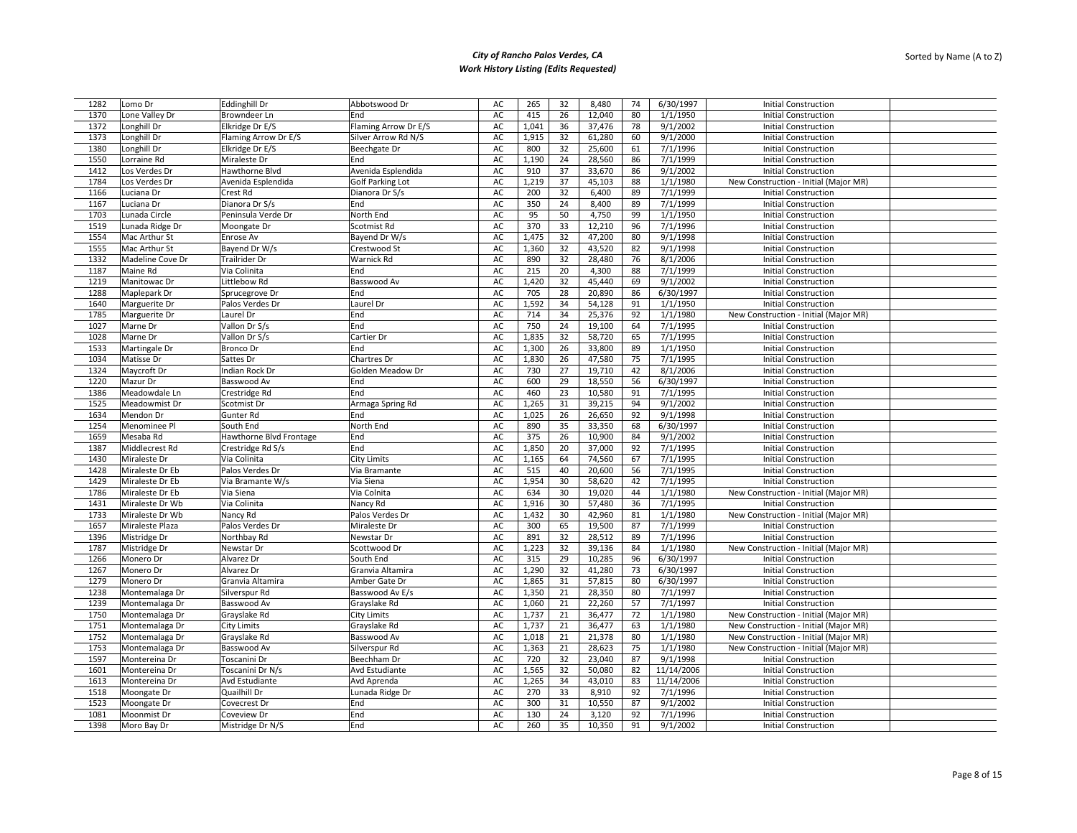| 1282         | Lomo Dr          | <b>Eddinghill Dr</b>    | Abbotswood Dr                    | AC       | 265            | 32       | 8,480            | 74       | 6/30/1997             | <b>Initial Construction</b>                                |
|--------------|------------------|-------------------------|----------------------------------|----------|----------------|----------|------------------|----------|-----------------------|------------------------------------------------------------|
| 1370         | Lone Valley Dr   | Browndeer Ln            | End                              | AC       | 415            | 26       | 12,040           | 80       | 1/1/1950              | <b>Initial Construction</b>                                |
| 1372         | Longhill Dr      | Elkridge Dr E/S         | Flaming Arrow Dr E/S             | AC       | 1,041          | 36       | 37,476           | 78       | 9/1/2002              | <b>Initial Construction</b>                                |
| 1373         | Longhill Dr      | Flaming Arrow Dr E/S    | Silver Arrow Rd N/S              | AC       | 1,915          | 32       | 61,280           | 60       | 9/1/2000              | <b>Initial Construction</b>                                |
| 1380         | Longhill Dr      | Elkridge Dr E/S         | Beechgate Dr                     | AC       | 800            | 32       | 25,600           | 61       | 7/1/1996              | <b>Initial Construction</b>                                |
| 1550         | Lorraine Rd      | Miraleste Dr            | End                              | AC       | 1,190          | 24       | 28,560           | 86       | 7/1/1999              | <b>Initial Construction</b>                                |
| 1412         | Los Verdes Dr    | Hawthorne Blvd          | Avenida Esplendida               | AC       | 910            | 37       | 33,670           | 86       | 9/1/2002              | <b>Initial Construction</b>                                |
| 1784         | Los Verdes Dr    | Avenida Esplendida      | <b>Golf Parking Lot</b>          | AC       | 1,219          | 37       | 45,103           | 88       | 1/1/1980              | New Construction - Initial (Major MR)                      |
| 1166         | Luciana Dr       | Crest Rd                | Dianora Dr S/s                   | AC       | 200            | 32       | 6,400            | 89       | 7/1/1999              | <b>Initial Construction</b>                                |
| 1167         | Luciana Dr       | Dianora Dr S/s          | End                              | AC       | 350            | 24       | 8,400            | 89       | 7/1/1999              | <b>Initial Construction</b>                                |
|              |                  | Peninsula Verde Dr      |                                  |          |                |          |                  |          | 1/1/1950              |                                                            |
| 1703         | Lunada Circle    |                         | North End                        | AC       | 95             | 50       | 4,750            | 99       |                       | <b>Initial Construction</b>                                |
| 1519         | Lunada Ridge Dr  | Moongate Dr             | Scotmist Rd                      | AC       | 370            | 33       | 12,210           | 96       | 7/1/1996              | <b>Initial Construction</b>                                |
| 1554         | Mac Arthur St    | Enrose Av               | Bayend Dr W/s                    | AC       | 1,475          | 32       | 47,200           | 80       | 9/1/1998              | <b>Initial Construction</b>                                |
| 1555         | Mac Arthur St    | Bayend Dr W/s           | Crestwood St                     | AC       | 1,360          | 32       | 43,520           | 82       | 9/1/1998              | <b>Initial Construction</b>                                |
| 1332         | Madeline Cove Dr | <b>Trailrider Dr</b>    | Warnick Rd                       | AC       | 890            | 32       | 28,480           | 76       | 8/1/2006              | <b>Initial Construction</b>                                |
| 1187         | Maine Rd         | Via Colinita            | End                              | AC       | 215            | 20       | 4,300            | 88       | 7/1/1999              | <b>Initial Construction</b>                                |
| 1219         | Manitowac Dr     | Littlebow Rd            | Basswood Av                      | AC       | 1,420          | 32       | 45,440           | 69       | 9/1/2002              | <b>Initial Construction</b>                                |
| 1288         | Maplepark Dr     | Sprucegrove Dr          | End                              | AC       | 705            | 28       | 20,890           | 86       | 6/30/1997             | <b>Initial Construction</b>                                |
| 1640         | Marguerite Dr    | Palos Verdes Dr         | Laurel Dr                        | AC       | 1,592          | 34       | 54,128           | 91       | 1/1/1950              | <b>Initial Construction</b>                                |
| 1785         | Marguerite Dr    | Laurel Dr               | End                              | AC       | 714            | 34       | 25,376           | 92       | 1/1/1980              | New Construction - Initial (Major MR)                      |
| 1027         | Marne Dr         | Vallon Dr S/s           | End                              | AC       | 750            | 24       | 19,100           | 64       | 7/1/1995              | <b>Initial Construction</b>                                |
| 1028         | Marne Dr         | Vallon Dr S/s           | Cartier Dr                       | AC       | 1,835          | 32       | 58,720           | 65       | 7/1/1995              | <b>Initial Construction</b>                                |
| 1533         | Martingale Dr    | <b>Bronco Dr</b>        | End                              | AC       | 1,300          | 26       | 33,800           | 89       | 1/1/1950              | <b>Initial Construction</b>                                |
| 1034         | Matisse Dr       | Sattes Dr               | Chartres Dr                      | AC       | 1,830          | 26       | 47,580           | 75       | 7/1/1995              | <b>Initial Construction</b>                                |
| 1324         | Maycroft Dr      | Indian Rock Dr          | Golden Meadow Dr                 | AC       | 730            | 27       | 19,710           | 42       | 8/1/2006              | <b>Initial Construction</b>                                |
| 1220         | Mazur Dr         | Basswood Av             | End                              | AC       | 600            | 29       | 18,550           | 56       | 6/30/1997             | <b>Initial Construction</b>                                |
| 1386         | Meadowdale Ln    | Crestridge Rd           | End                              | AC       | 460            | 23       | 10,580           | 91       | 7/1/1995              | <b>Initial Construction</b>                                |
| 1525         | Meadowmist Dr    | Scotmist Dr             | Armaga Spring Rd                 | AC       | 1,265          | 31       | 39,215           | 94       | 9/1/2002              | <b>Initial Construction</b>                                |
| 1634         | Mendon Dr        | Gunter Rd               | End                              | AC       | 1,025          | 26       | 26,650           | 92       | 9/1/1998              | <b>Initial Construction</b>                                |
| 1254         | Menominee Pl     | South End               | North End                        | AC       | 890            | 35       | 33,350           | 68       | 6/30/1997             | <b>Initial Construction</b>                                |
| 1659         | Mesaba Rd        | Hawthorne Blvd Frontage | End                              | AC       | 375            | 26       | 10,900           | 84       | 9/1/2002              | <b>Initial Construction</b>                                |
| 1387         | Middlecrest Rd   | Crestridge Rd S/s       | End                              | AC       | 1,850          | 20       | 37,000           | 92       | 7/1/1995              | <b>Initial Construction</b>                                |
| 1430         | Miraleste Dr     | Via Colinita            | <b>City Limits</b>               | AC       | 1,165          | 64       | 74,560           | 67       | 7/1/1995              | <b>Initial Construction</b>                                |
| 1428         | Miraleste Dr Eb  | Palos Verdes Dr         | Via Bramante                     | AC       | 515            | 40       | 20,600           | 56       | 7/1/1995              | <b>Initial Construction</b>                                |
| 1429         | Miraleste Dr Eb  | Via Bramante W/s        | Via Siena                        | AC       | 1,954          | 30       | 58,620           | 42       | 7/1/1995              | <b>Initial Construction</b>                                |
| 1786         | Miraleste Dr Eb  | Via Siena               | Via Colnita                      | AC       | 634            | 30       | 19,020           | 44       | 1/1/1980              | New Construction - Initial (Major MR)                      |
| 1431         | Miraleste Dr Wb  | Via Colinita            | Nancy Rd                         | AC       | 1,916          | 30       | 57,480           | 36       | 7/1/1995              | <b>Initial Construction</b>                                |
| 1733         | Miraleste Dr Wb  | Nancy Rd                | Palos Verdes Dr                  | AC       | 1,432          | 30       | 42,960           | 81       | 1/1/1980              | New Construction - Initial (Major MR)                      |
| 1657         | Miraleste Plaza  | Palos Verdes Dr         | Miraleste Dr                     | AC       | 300            | 65       | 19,500           | 87       | 7/1/1999              | <b>Initial Construction</b>                                |
| 1396         | Mistridge Dr     | Northbay Rd             | Newstar Dr                       | AC       | 891            | 32       | 28,512           | 89       | 7/1/1996              | <b>Initial Construction</b>                                |
| 1787         | Mistridge Dr     | Newstar Dr              | Scottwood Dr                     | AC       | 1,223          | 32       | 39,136           | 84       | 1/1/1980              | New Construction - Initial (Major MR)                      |
| 1266         | Monero Dr        | Alvarez Dr              | South End                        | AC       | 315            | 29       | 10,285           | 96       | 6/30/1997             | <b>Initial Construction</b>                                |
| 1267         | Monero Dr        | Alvarez Dr              | Granvia Altamira                 | AC       | 1,290          | 32       | 41,280           | 73       |                       | <b>Initial Construction</b>                                |
|              |                  |                         |                                  |          |                |          |                  |          | 6/30/1997             |                                                            |
| 1279<br>1238 | Monero Dr        | Granvia Altamira        | Amber Gate Dr<br>Basswood Av E/s | AC<br>AC | 1,865<br>1,350 | 31<br>21 | 57,815<br>28,350 | 80<br>80 | 6/30/1997<br>7/1/1997 | <b>Initial Construction</b><br><b>Initial Construction</b> |
|              | Montemalaga Dr   | Silverspur Rd           |                                  |          |                |          |                  |          |                       |                                                            |
| 1239         | Montemalaga Dr   | Basswood Av             | Grayslake Rd                     | AC       | 1,060          | 21       | 22,260           | 57       | 7/1/1997              | <b>Initial Construction</b>                                |
| 1750         | Montemalaga Dr   | Grayslake Rd            | City Limits                      | AC       | 1,737          | 21       | 36,477           | 72       | 1/1/1980              | New Construction - Initial (Major MR)                      |
| 1751         | Montemalaga Dr   | <b>City Limits</b>      | Grayslake Rd                     | AC       | 1,737          | 21       | 36,477           | 63       | 1/1/1980              | New Construction - Initial (Major MR)                      |
| 1752         | Montemalaga Dr   | Grayslake Rd            | Basswood Av                      | AC       | 1,018          | 21       | 21,378           | 80       | 1/1/1980              | New Construction - Initial (Major MR)                      |
| 1753         | Montemalaga Dr   | Basswood Av             | Silverspur Rd                    | AC       | 1,363          | 21       | 28,623           | 75       | 1/1/1980              | New Construction - Initial (Major MR)                      |
| 1597         | Montereina Dr    | Toscanini Dr            | Beechham Dr                      | AC       | 720            | 32       | 23,040           | 87       | 9/1/1998              | <b>Initial Construction</b>                                |
| 1601         | Montereina Dr    | Toscanini Dr N/s        | Avd Estudiante                   | AC       | 1,565          | 32       | 50,080           | 82       | 11/14/2006            | <b>Initial Construction</b>                                |
| 1613         | Montereina Dr    | Avd Estudiante          | Avd Aprenda                      | AC       | 1,265          | 34       | 43,010           | 83       | 11/14/2006            | <b>Initial Construction</b>                                |
| 1518         | Moongate Dr      | Quailhill Dr            | Lunada Ridge Dr                  | AC       | 270            | 33       | 8,910            | 92       | 7/1/1996              | <b>Initial Construction</b>                                |
| 1523         | Moongate Dr      | Covecrest Dr            | End                              | AC       | 300            | 31       | 10,550           | 87       | 9/1/2002              | <b>Initial Construction</b>                                |
| 1081         | Moonmist Dr      | Coveview Dr             | End                              | AC       | 130            | 24       | 3,120            | 92       | 7/1/1996              | <b>Initial Construction</b>                                |
| 1398         | Moro Bay Dr      | Mistridge Dr N/S        | End                              | AC       | 260            | 35       | 10,350           | 91       | 9/1/2002              | <b>Initial Construction</b>                                |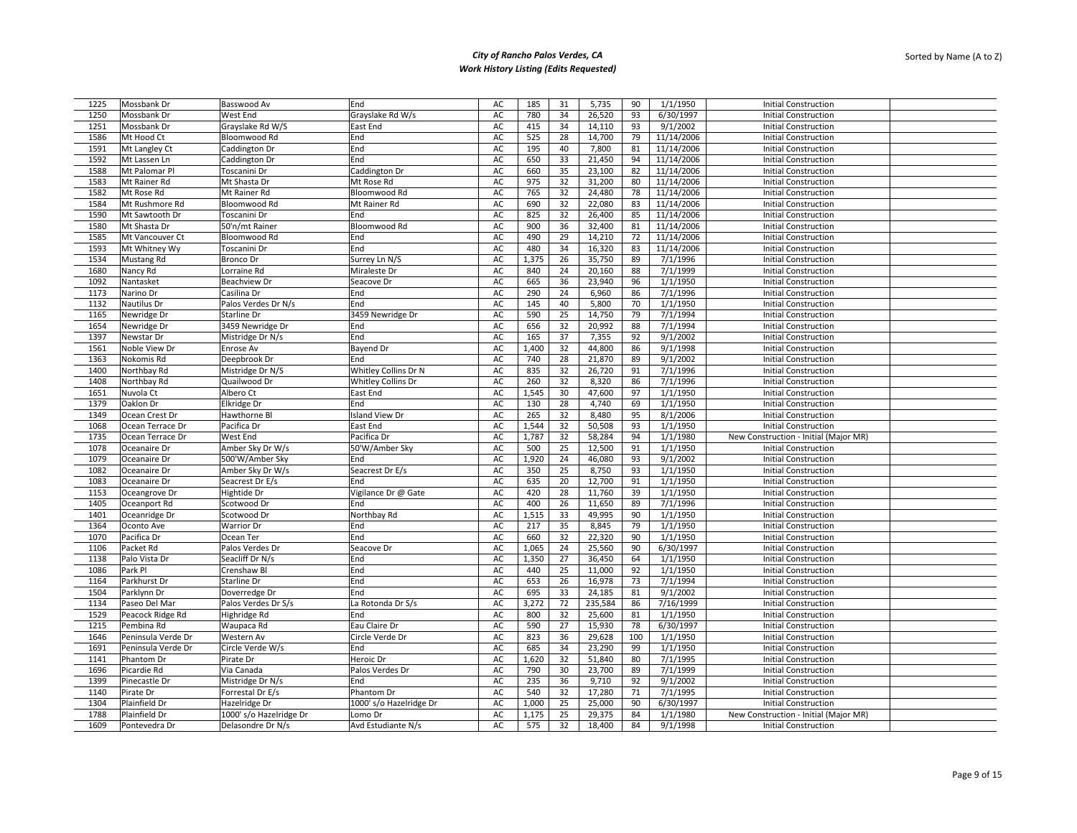| 1225 | Mossbank Dr        | Basswood Av             | End                     | AC | 185   | 31 | 5,735   | 90  | 1/1/1950   | <b>Initial Construction</b>           |  |
|------|--------------------|-------------------------|-------------------------|----|-------|----|---------|-----|------------|---------------------------------------|--|
| 1250 | Mossbank Dr        | West End                | Grayslake Rd W/s        | AC | 780   | 34 | 26,520  | 93  | 6/30/1997  | <b>Initial Construction</b>           |  |
| 1251 | Mossbank Dr        | Grayslake Rd W/S        | East End                | AC | 415   | 34 | 14,110  | 93  | 9/1/2002   | <b>Initial Construction</b>           |  |
| 1586 | Mt Hood Ct         | Bloomwood Rd            | End                     | AC | 525   | 28 | 14,700  | 79  | 11/14/2006 | <b>Initial Construction</b>           |  |
| 1591 | Mt Langley Ct      | Caddington Dr           | End                     | AC | 195   | 40 | 7,800   | 81  | 11/14/2006 | <b>Initial Construction</b>           |  |
| 1592 | Mt Lassen Ln       | Caddington Dr           | End                     | AC | 650   | 33 | 21,450  | 94  | 11/14/2006 | <b>Initial Construction</b>           |  |
| 1588 | Mt Palomar Pl      | Toscanini Dr            | Caddington Dr           | AC | 660   | 35 | 23,100  | 82  | 11/14/2006 | <b>Initial Construction</b>           |  |
| 1583 | Mt Rainer Rd       | Mt Shasta Dr            | Mt Rose Rd              | AC | 975   | 32 | 31,200  | 80  | 11/14/2006 | <b>Initial Construction</b>           |  |
| 1582 | Mt Rose Rd         | Mt Rainer Rd            | Bloomwood Rd            | AC | 765   | 32 | 24,480  | 78  | 11/14/2006 | <b>Initial Construction</b>           |  |
| 1584 | Mt Rushmore Rd     | Bloomwood Rd            | Mt Rainer Rd            | AC | 690   | 32 | 22,080  | 83  | 11/14/2006 | <b>Initial Construction</b>           |  |
| 1590 | Mt Sawtooth Dr     | Toscanini Dr            | End                     | AC | 825   | 32 | 26,400  | 85  | 11/14/2006 | <b>Initial Construction</b>           |  |
| 1580 | Mt Shasta Dr       | 50'n/mt Rainer          | Bloomwood Rd            | AC | 900   | 36 | 32,400  | 81  | 11/14/2006 | <b>Initial Construction</b>           |  |
| 1585 | Mt Vancouver Ct    | Bloomwood Rd            | End                     | AC | 490   | 29 | 14,210  | 72  | 11/14/2006 | <b>Initial Construction</b>           |  |
| 1593 | Mt Whitney Wy      | Toscanini Dr            | End                     | AC | 480   | 34 | 16,320  | 83  | 11/14/2006 | <b>Initial Construction</b>           |  |
|      |                    |                         |                         |    |       | 26 |         | 89  |            | <b>Initial Construction</b>           |  |
| 1534 | Mustang Rd         | Bronco Dr               | Surrey Ln N/S           | AC | 1,375 |    | 35,750  |     | 7/1/1996   |                                       |  |
| 1680 | Nancy Rd           | Lorraine Rd             | Miraleste Dr            | AC | 840   | 24 | 20,160  | 88  | 7/1/1999   | <b>Initial Construction</b>           |  |
| 1092 | Nantasket          | Beachview Dr            | Seacove Dr              | AC | 665   | 36 | 23,940  | 96  | 1/1/1950   | <b>Initial Construction</b>           |  |
| 1173 | Narino Dr          | Casilina Dr             | End                     | AC | 290   | 24 | 6,960   | 86  | 7/1/1996   | <b>Initial Construction</b>           |  |
| 1132 | Nautilus Dr        | Palos Verdes Dr N/s     | End                     | AC | 145   | 40 | 5,800   | 70  | 1/1/1950   | <b>Initial Construction</b>           |  |
| 1165 | Newridge Dr        | Starline Dr             | 3459 Newridge Dr        | AC | 590   | 25 | 14,750  | 79  | 7/1/1994   | <b>Initial Construction</b>           |  |
| 1654 | Newridge Dr        | 3459 Newridge Dr        | End                     | AC | 656   | 32 | 20,992  | 88  | 7/1/1994   | <b>Initial Construction</b>           |  |
| 1397 | Newstar Dr         | Mistridge Dr N/s        | End                     | AC | 165   | 37 | 7,355   | 92  | 9/1/2002   | <b>Initial Construction</b>           |  |
| 1561 | Noble View Dr      | Enrose Av               | Bayend Dr               | AC | 1,400 | 32 | 44,800  | 86  | 9/1/1998   | <b>Initial Construction</b>           |  |
| 1363 | Nokomis Rd         | Deepbrook Dr            | End                     | AC | 740   | 28 | 21,870  | 89  | 9/1/2002   | <b>Initial Construction</b>           |  |
| 1400 | Northbay Rd        | Mistridge Dr N/S        | Whitley Collins Dr N    | AC | 835   | 32 | 26,720  | 91  | 7/1/1996   | <b>Initial Construction</b>           |  |
| 1408 | Northbay Rd        | Quailwood Dr            | Whitley Collins Dr      | AC | 260   | 32 | 8,320   | 86  | 7/1/1996   | <b>Initial Construction</b>           |  |
| 1651 | Nuvola Ct          | Albero Ct               | East End                | AC | 1,545 | 30 | 47,600  | 97  | 1/1/1950   | <b>Initial Construction</b>           |  |
| 1379 | Oaklon Dr          | Elkridge Dr             | End                     | AC | 130   | 28 | 4,740   | 69  | 1/1/1950   | <b>Initial Construction</b>           |  |
| 1349 |                    |                         | Island View Dr          | AC | 265   | 32 | 8,480   | 95  | 8/1/2006   |                                       |  |
|      | Ocean Crest Dr     | Hawthorne Bl            |                         |    |       |    |         |     |            | <b>Initial Construction</b>           |  |
| 1068 | Ocean Terrace Dr   | Pacifica Dr             | East End                | AC | 1,544 | 32 | 50,508  | 93  | 1/1/1950   | <b>Initial Construction</b>           |  |
| 1735 | Ocean Terrace Dr   | West End                | Pacifica Dr             | AC | 1,787 | 32 | 58,284  | 94  | 1/1/1980   | New Construction - Initial (Major MR) |  |
| 1078 | Oceanaire Dr       | Amber Sky Dr W/s        | 50'W/Amber Sky          | AC | 500   | 25 | 12,500  | 91  | 1/1/1950   | <b>Initial Construction</b>           |  |
| 1079 | Oceanaire Dr       | 500'W/Amber Sky         | End                     | AC | 1,920 | 24 | 46,080  | 93  | 9/1/2002   | <b>Initial Construction</b>           |  |
| 1082 | Oceanaire Dr       | Amber Sky Dr W/s        | Seacrest Dr E/s         | AC | 350   | 25 | 8,750   | 93  | 1/1/1950   | <b>Initial Construction</b>           |  |
| 1083 | Oceanaire Dr       | Seacrest Dr E/s         | End                     | AC | 635   | 20 | 12,700  | 91  | 1/1/1950   | <b>Initial Construction</b>           |  |
| 1153 | Oceangrove Dr      | Hightide Dr             | Vigilance Dr @ Gate     | AC | 420   | 28 | 11,760  | 39  | 1/1/1950   | <b>Initial Construction</b>           |  |
| 1405 | Oceanport Rd       | Scotwood Dr             | End                     | AC | 400   | 26 | 11,650  | 89  | 7/1/1996   | <b>Initial Construction</b>           |  |
| 1401 | Oceanridge Dr      | Scotwood Dr             | Northbay Rd             | AC | 1,515 | 33 | 49,995  | 90  | 1/1/1950   | <b>Initial Construction</b>           |  |
| 1364 | Oconto Ave         | <b>Warrior Dr</b>       | End                     | AC | 217   | 35 | 8,845   | 79  | 1/1/1950   | <b>Initial Construction</b>           |  |
| 1070 | Pacifica Dr        | Ocean Ter               | End                     | AC | 660   | 32 | 22,320  | 90  | 1/1/1950   | <b>Initial Construction</b>           |  |
| 1106 | Packet Rd          | Palos Verdes Dr         | Seacove Dr              | AC | 1,065 | 24 | 25,560  | 90  | 6/30/1997  | <b>Initial Construction</b>           |  |
| 1138 | Palo Vista Dr      | Seacliff Dr N/s         | End                     | AC | 1,350 | 27 | 36,450  | 64  | 1/1/1950   | <b>Initial Construction</b>           |  |
| 1086 | Park Pl            | Crenshaw Bl             | End                     | AC | 440   | 25 | 11,000  | 92  | 1/1/1950   | <b>Initial Construction</b>           |  |
| 1164 | Parkhurst Dr       | Starline Dr             | End                     | AC | 653   | 26 | 16,978  | 73  | 7/1/1994   | <b>Initial Construction</b>           |  |
| 1504 | Parklynn Dr        | Doverredge Dr           | End                     | AC | 695   | 33 | 24,185  | 81  | 9/1/2002   | <b>Initial Construction</b>           |  |
| 1134 |                    |                         |                         |    | 3,272 | 72 |         |     |            |                                       |  |
|      | Paseo Del Mar      | Palos Verdes Dr S/s     | La Rotonda Dr S/s       | AC |       |    | 235,584 | 86  | 7/16/1999  | <b>Initial Construction</b>           |  |
| 1529 | Peacock Ridge Rd   | Highridge Rd            | End                     | AC | 800   | 32 | 25,600  | 81  | 1/1/1950   | <b>Initial Construction</b>           |  |
| 1215 | Pembina Rd         | Waupaca Rd              | Eau Claire Dr           | AC | 590   | 27 | 15,930  | 78  | 6/30/1997  | <b>Initial Construction</b>           |  |
| 1646 | Peninsula Verde Dr | Western Av              | Circle Verde Dr         | AC | 823   | 36 | 29,628  | 100 | 1/1/1950   | <b>Initial Construction</b>           |  |
| 1691 | Peninsula Verde Dr | Circle Verde W/s        | End                     | AC | 685   | 34 | 23,290  | 99  | 1/1/1950   | <b>Initial Construction</b>           |  |
| 1141 | Phantom Dr         | Pirate Dr               | Heroic Dr               | AC | 1,620 | 32 | 51,840  | 80  | 7/1/1995   | <b>Initial Construction</b>           |  |
| 1696 | Picardie Rd        | Via Canada              | Palos Verdes Dr         | AC | 790   | 30 | 23,700  | 89  | 7/1/1999   | <b>Initial Construction</b>           |  |
| 1399 | Pinecastle Dr      | Mistridge Dr N/s        | End                     | AC | 235   | 36 | 9,710   | 92  | 9/1/2002   | <b>Initial Construction</b>           |  |
| 1140 | Pirate Dr          | Forrestal Dr E/s        | Phantom Dr              | AC | 540   | 32 | 17,280  | 71  | 7/1/1995   | <b>Initial Construction</b>           |  |
| 1304 | Plainfield Dr      | Hazelridge Dr           | 1000' s/o Hazelridge Dr | AC | 1,000 | 25 | 25,000  | 90  | 6/30/1997  | <b>Initial Construction</b>           |  |
| 1788 | Plainfield Dr      | 1000' s/o Hazelridge Dr | Lomo Dr                 | AC | 1,175 | 25 | 29,375  | 84  | 1/1/1980   | New Construction - Initial (Major MR) |  |
| 1609 | Pontevedra Dr      | Delasondre Dr N/s       | Avd Estudiante N/s      | AC | 575   | 32 | 18,400  | 84  | 9/1/1998   | <b>Initial Construction</b>           |  |
|      |                    |                         |                         |    |       |    |         |     |            |                                       |  |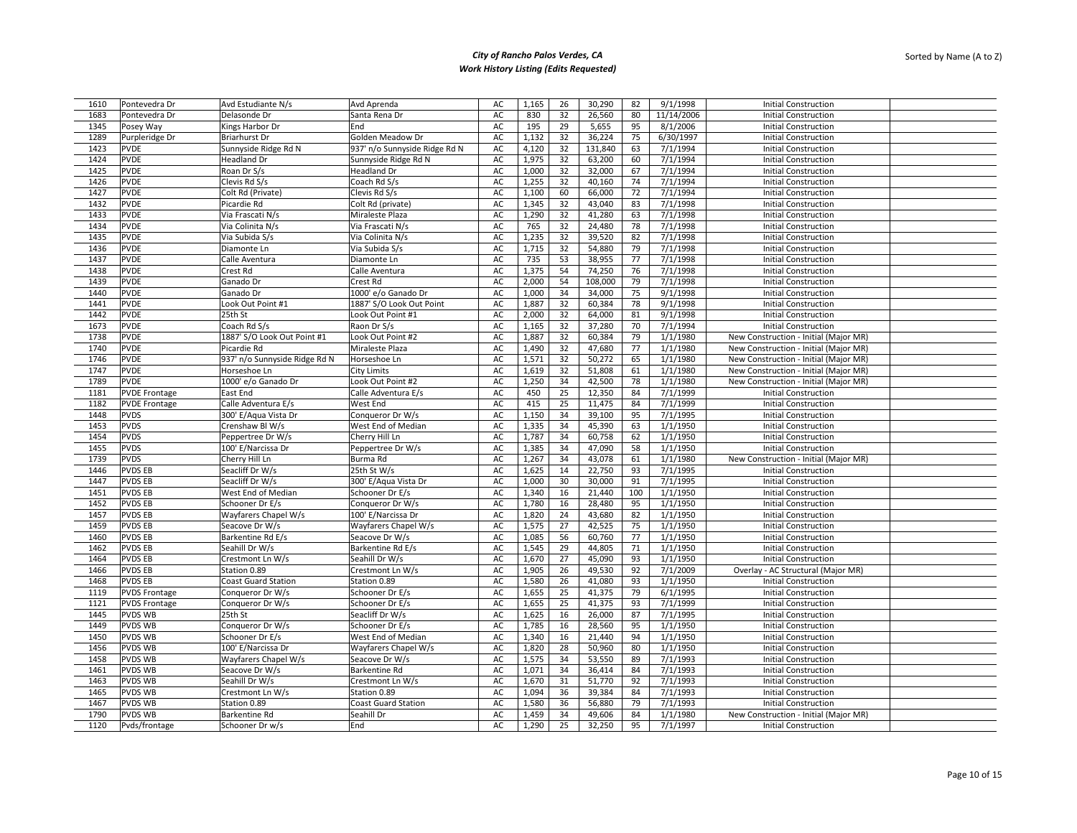| 1610 | Pontevedra Dr        | Avd Estudiante N/s            | Avd Aprenda                   | AC | 1,165 | 26 | 30,290  | 82       | 9/1/1998   | <b>Initial Construction</b>           |
|------|----------------------|-------------------------------|-------------------------------|----|-------|----|---------|----------|------------|---------------------------------------|
| 1683 | Pontevedra Dr        | Delasonde Dr                  | Santa Rena Dr                 | AC | 830   | 32 | 26,560  | 80       | 11/14/2006 | <b>Initial Construction</b>           |
| 1345 | Posey Way            | Kings Harbor Dr               | End                           | AC | 195   | 29 | 5,655   | 95       | 8/1/2006   | <b>Initial Construction</b>           |
| 1289 | Purpleridge Dr       | <b>Briarhurst Dr</b>          | Golden Meadow Dr              | AC | 1,132 | 32 | 36,224  | 75       | 6/30/1997  | <b>Initial Construction</b>           |
| 1423 | <b>PVDE</b>          | Sunnyside Ridge Rd N          | 937' n/o Sunnyside Ridge Rd N | AC | 4,120 | 32 | 131,840 | 63       | 7/1/1994   | <b>Initial Construction</b>           |
| 1424 | <b>PVDE</b>          | Headland Dr                   | Sunnyside Ridge Rd N          | AC | 1,975 | 32 | 63,200  | 60       | 7/1/1994   | <b>Initial Construction</b>           |
| 1425 | PVDE                 | Roan Dr S/s                   | Headland Dr                   | AC | 1,000 | 32 | 32,000  | 67       | 7/1/1994   | <b>Initial Construction</b>           |
| 1426 | <b>PVDE</b>          | Clevis Rd S/s                 | Coach Rd S/s                  | AC | 1,255 | 32 | 40,160  | 74       | 7/1/1994   | <b>Initial Construction</b>           |
| 1427 | <b>PVDE</b>          | Colt Rd (Private)             | Clevis Rd S/s                 | AC | 1,100 | 60 | 66,000  | 72       | 7/1/1994   | <b>Initial Construction</b>           |
| 1432 | <b>PVDE</b>          | Picardie Rd                   | Colt Rd (private)             | AC | 1,345 | 32 | 43,040  | 83       | 7/1/1998   | <b>Initial Construction</b>           |
| 1433 | <b>PVDE</b>          | Via Frascati N/s              | Miraleste Plaza               | AC | 1,290 | 32 | 41,280  | 63       | 7/1/1998   | <b>Initial Construction</b>           |
| 1434 | <b>PVDE</b>          | Via Colinita N/s              | Via Frascati N/s              | AC | 765   | 32 | 24,480  | 78       | 7/1/1998   | <b>Initial Construction</b>           |
| 1435 | <b>PVDE</b>          |                               |                               |    |       | 32 |         |          | 7/1/1998   | <b>Initial Construction</b>           |
|      | <b>PVDE</b>          | Via Subida S/s                | Via Colinita N/s              | AC | 1,235 | 32 | 39,520  | 82<br>79 | 7/1/1998   | <b>Initial Construction</b>           |
| 1436 |                      | Diamonte Ln                   | Via Subida S/s                | AC | 1,715 |    | 54,880  |          |            |                                       |
| 1437 | <b>PVDE</b>          | Calle Aventura                | Diamonte Ln                   | AC | 735   | 53 | 38,955  | 77       | 7/1/1998   | <b>Initial Construction</b>           |
| 1438 | <b>PVDE</b>          | Crest Rd                      | Calle Aventura                | AC | 1,375 | 54 | 74,250  | 76       | 7/1/1998   | <b>Initial Construction</b>           |
| 1439 | <b>PVDE</b>          | Ganado Dr                     | Crest Rd                      | AC | 2,000 | 54 | 108,000 | 79       | 7/1/1998   | <b>Initial Construction</b>           |
| 1440 | <b>PVDE</b>          | Ganado Dr                     | 1000' e/o Ganado Dr           | AC | 1,000 | 34 | 34,000  | 75       | 9/1/1998   | <b>Initial Construction</b>           |
| 1441 | <b>PVDE</b>          | Look Out Point #1             | 1887' S/O Look Out Point      | AC | 1,887 | 32 | 60,384  | 78       | 9/1/1998   | <b>Initial Construction</b>           |
| 1442 | <b>PVDE</b>          | 25th St                       | Look Out Point #1             | AC | 2,000 | 32 | 64,000  | 81       | 9/1/1998   | <b>Initial Construction</b>           |
| 1673 | <b>PVDE</b>          | Coach Rd S/s                  | Raon Dr S/s                   | AC | 1,165 | 32 | 37,280  | 70       | 7/1/1994   | <b>Initial Construction</b>           |
| 1738 | <b>PVDE</b>          | 1887' S/O Look Out Point #1   | Look Out Point #2             | AC | 1,887 | 32 | 60,384  | 79       | 1/1/1980   | New Construction - Initial (Major MR) |
| 1740 | <b>PVDE</b>          | Picardie Rd                   | Miraleste Plaza               | AC | 1,490 | 32 | 47,680  | 77       | 1/1/1980   | New Construction - Initial (Major MR) |
| 1746 | <b>PVDE</b>          | 937' n/o Sunnyside Ridge Rd N | Horseshoe Ln                  | AC | 1,571 | 32 | 50,272  | 65       | 1/1/1980   | New Construction - Initial (Major MR) |
| 1747 | <b>PVDE</b>          | Horseshoe Ln                  | City Limits                   | AC | 1,619 | 32 | 51,808  | 61       | 1/1/1980   | New Construction - Initial (Major MR) |
| 1789 | <b>PVDE</b>          | 1000' e/o Ganado Dr           | Look Out Point #2             | AC | 1,250 | 34 | 42,500  | 78       | 1/1/1980   | New Construction - Initial (Major MR) |
| 1181 | <b>PVDE Frontage</b> | East End                      | Calle Adventura E/s           | AC | 450   | 25 | 12,350  | 84       | 7/1/1999   | <b>Initial Construction</b>           |
| 1182 | <b>PVDE Frontage</b> | Calle Adventura E/s           | West End                      | AC | 415   | 25 | 11,475  | 84       | 7/1/1999   | <b>Initial Construction</b>           |
| 1448 | <b>PVDS</b>          | 300' E/Aqua Vista Dr          | Conqueror Dr W/s              | AC | 1,150 | 34 | 39,100  | 95       | 7/1/1995   | <b>Initial Construction</b>           |
| 1453 | <b>PVDS</b>          | Crenshaw Bl W/s               | West End of Median            | AC | 1,335 | 34 | 45,390  | 63       | 1/1/1950   | <b>Initial Construction</b>           |
| 1454 | <b>PVDS</b>          | Peppertree Dr W/s             | Cherry Hill Ln                | AC | 1,787 | 34 | 60,758  | 62       | 1/1/1950   | <b>Initial Construction</b>           |
| 1455 | <b>PVDS</b>          | 100' E/Narcissa Dr            | Peppertree Dr W/s             | AC | 1,385 | 34 | 47,090  | 58       | 1/1/1950   | <b>Initial Construction</b>           |
| 1739 | <b>PVDS</b>          | Cherry Hill Ln                | Burma Rd                      | AC | 1,267 | 34 | 43,078  | 61       | 1/1/1980   | New Construction - Initial (Major MR) |
| 1446 | <b>PVDS EB</b>       | Seacliff Dr W/s               | 25th St W/s                   | AC | 1,625 | 14 | 22,750  | 93       | 7/1/1995   | <b>Initial Construction</b>           |
| 1447 | <b>PVDS EB</b>       | Seacliff Dr W/s               | 300' E/Aqua Vista Dr          | AC | 1,000 | 30 | 30,000  | 91       | 7/1/1995   | <b>Initial Construction</b>           |
| 1451 | <b>PVDS EB</b>       | West End of Median            | Schooner Dr E/s               | AC | 1,340 | 16 | 21,440  | 100      | 1/1/1950   | Initial Construction                  |
| 1452 | <b>PVDS EB</b>       | Schooner Dr E/s               | Conqueror Dr W/s              | AC | 1,780 | 16 | 28,480  | 95       | 1/1/1950   | <b>Initial Construction</b>           |
| 1457 | <b>PVDS EB</b>       |                               |                               |    |       | 24 | 43,680  |          | 1/1/1950   |                                       |
|      |                      | Wayfarers Chapel W/s          | 100' E/Narcissa Dr            | AC | 1,820 |    |         | 82       |            | <b>Initial Construction</b>           |
| 1459 | <b>PVDS EB</b>       | Seacove Dr W/s                | Wayfarers Chapel W/s          | AC | 1,575 | 27 | 42,525  | 75       | 1/1/1950   | <b>Initial Construction</b>           |
| 1460 | <b>PVDS EB</b>       | Barkentine Rd E/s             | Seacove Dr W/s                | AC | 1,085 | 56 | 60,760  | 77       | 1/1/1950   | <b>Initial Construction</b>           |
| 1462 | <b>PVDS EB</b>       | Seahill Dr W/s                | Barkentine Rd E/s             | AC | 1,545 | 29 | 44,805  | 71       | 1/1/1950   | <b>Initial Construction</b>           |
| 1464 | <b>PVDS EB</b>       | Crestmont Ln W/s              | Seahill Dr W/s                | AC | 1,670 | 27 | 45,090  | 93       | 1/1/1950   | <b>Initial Construction</b>           |
| 1466 | <b>PVDS EB</b>       | Station 0.89                  | Crestmont Ln W/s              | AC | 1,905 | 26 | 49,530  | 92       | 7/1/2009   | Overlay - AC Structural (Major MR)    |
| 1468 | <b>PVDS EB</b>       | Coast Guard Station           | Station 0.89                  | AC | 1,580 | 26 | 41,080  | 93       | 1/1/1950   | <b>Initial Construction</b>           |
| 1119 | <b>PVDS Frontage</b> | Conqueror Dr W/s              | Schooner Dr E/s               | AC | 1,655 | 25 | 41,375  | 79       | 6/1/1995   | <b>Initial Construction</b>           |
| 1121 | <b>PVDS Frontage</b> | Conqueror Dr W/s              | Schooner Dr E/s               | AC | 1,655 | 25 | 41,375  | 93       | 7/1/1999   | <b>Initial Construction</b>           |
| 1445 | PVDS WB              | 25th St                       | Seacliff Dr W/s               | AC | 1,625 | 16 | 26,000  | 87       | 7/1/1995   | <b>Initial Construction</b>           |
| 1449 | PVDS WB              | Conqueror Dr W/s              | Schooner Dr E/s               | AC | 1,785 | 16 | 28,560  | 95       | 1/1/1950   | Initial Construction                  |
| 1450 | PVDS WB              | Schooner Dr E/s               | West End of Median            | AC | 1,340 | 16 | 21,440  | 94       | 1/1/1950   | <b>Initial Construction</b>           |
| 1456 | PVDS WB              | 100' E/Narcissa Dr            | Wayfarers Chapel W/s          | AC | 1,820 | 28 | 50,960  | 80       | 1/1/1950   | <b>Initial Construction</b>           |
| 1458 | PVDS WB              | Wayfarers Chapel W/s          | Seacove Dr W/s                | AC | 1,575 | 34 | 53,550  | 89       | 7/1/1993   | <b>Initial Construction</b>           |
| 1461 | PVDS WB              | Seacove Dr W/s                | Barkentine Rd                 | AC | 1,071 | 34 | 36,414  | 84       | 7/1/1993   | <b>Initial Construction</b>           |
| 1463 | PVDS WB              | Seahill Dr W/s                | Crestmont Ln W/s              | AC | 1,670 | 31 | 51,770  | 92       | 7/1/1993   | <b>Initial Construction</b>           |
| 1465 | PVDS WB              | Crestmont Ln W/s              | Station 0.89                  | AC | 1,094 | 36 | 39,384  | 84       | 7/1/1993   | <b>Initial Construction</b>           |
| 1467 | PVDS WB              | Station 0.89                  | Coast Guard Station           | AC | 1,580 | 36 | 56,880  | 79       | 7/1/1993   | <b>Initial Construction</b>           |
| 1790 | PVDS WB              | Barkentine Rd                 | Seahill Dr                    | AC | 1,459 | 34 | 49,606  | 84       | 1/1/1980   | New Construction - Initial (Major MR) |
| 1120 | Pvds/frontage        | Schooner Dr w/s               | End                           | AC | 1.290 | 25 | 32,250  | 95       | 7/1/1997   | <b>Initial Construction</b>           |
|      |                      |                               |                               |    |       |    |         |          |            |                                       |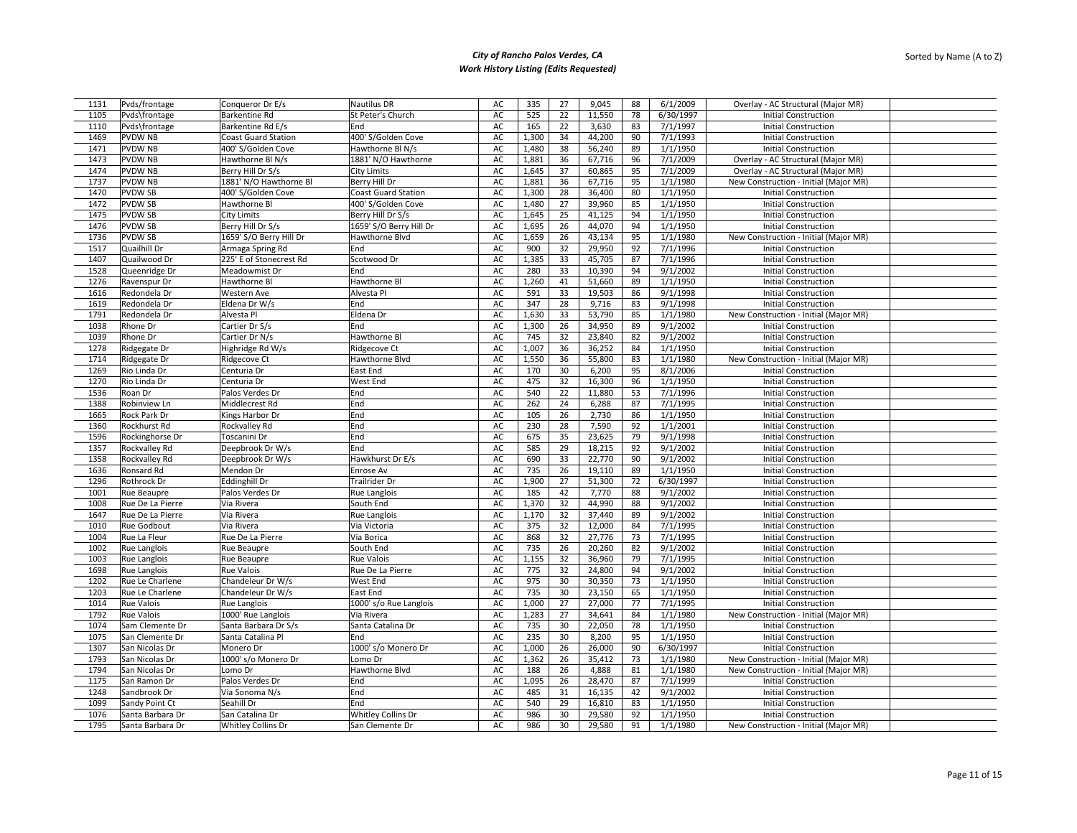| 1131         | Pvds/frontage     | Conqueror Dr E/s           | Nautilus DR                | AC | 335   | 27 | 9,045            | 88 | 6/1/2009             | Overlay - AC Structural (Major MR)    |  |
|--------------|-------------------|----------------------------|----------------------------|----|-------|----|------------------|----|----------------------|---------------------------------------|--|
| 1105         | Pvds\frontage     | <b>Barkentine Rd</b>       | St Peter's Church          | AC | 525   | 22 | 11,550           | 78 | 6/30/1997            | <b>Initial Construction</b>           |  |
| 1110         | Pvds\frontage     | Barkentine Rd E/s          | End                        | AC | 165   | 22 | 3,630            | 83 | 7/1/1997             | <b>Initial Construction</b>           |  |
| 1469         | <b>PVDW NB</b>    | <b>Coast Guard Station</b> | 400' S/Golden Cove         | AC | 1,300 | 34 | 44,200           | 90 | 7/1/1993             | <b>Initial Construction</b>           |  |
| 1471         | <b>PVDW NB</b>    | 400' S/Golden Cove         | Hawthorne Bl N/s           | AC | 1,480 | 38 | 56,240           | 89 | 1/1/1950             | <b>Initial Construction</b>           |  |
| 1473         | <b>PVDW NB</b>    | Hawthorne Bl N/s           | 1881' N/O Hawthorne        | AC | 1,881 | 36 | 67,716           | 96 | 7/1/2009             | Overlay - AC Structural (Major MR)    |  |
| 1474         | <b>PVDW NB</b>    | Berry Hill Dr S/s          | <b>City Limits</b>         | AC | 1,645 | 37 | 60,865           | 95 | 7/1/2009             | Overlay - AC Structural (Major MR)    |  |
|              | <b>PVDW NB</b>    | 1881' N/O Hawthorne Bl     |                            |    |       | 36 | 67,716           | 95 | 1/1/1980             |                                       |  |
| 1737         |                   |                            | Berry Hill Dr              | AC | 1,881 |    |                  |    |                      | New Construction - Initial (Major MR) |  |
| 1470         | <b>PVDWSB</b>     | 400' S/Golden Cove         | <b>Coast Guard Station</b> | AC | 1,300 | 28 | 36,400           | 80 | 1/1/1950             | <b>Initial Construction</b>           |  |
| 1472         | <b>PVDWSB</b>     | Hawthorne Bl               | 400' S/Golden Cove         | AC | 1,480 | 27 | 39,960           | 85 | 1/1/1950             | <b>Initial Construction</b>           |  |
| 1475         | <b>PVDWSB</b>     | <b>City Limits</b>         | Berry Hill Dr S/s          | AC | 1,645 | 25 | 41,125           | 94 | 1/1/1950             | <b>Initial Construction</b>           |  |
| 1476         | <b>PVDWSB</b>     | Berry Hill Dr S/s          | 1659' S/O Berry Hill Dr    | AC | 1,695 | 26 | 44,070           | 94 | 1/1/1950             | <b>Initial Construction</b>           |  |
| 1736         | <b>PVDWSB</b>     | 1659' S/O Berry Hill Dr    | Hawthorne Blvd             | AC | 1,659 | 26 | 43,134           | 95 | 1/1/1980             | New Construction - Initial (Major MR) |  |
| 1517         | Quailhill Dr      | Armaga Spring Rd           | End                        | AC | 900   | 32 | 29,950           | 92 | 7/1/1996             | <b>Initial Construction</b>           |  |
| 1407         | Quailwood Dr      | 225' E of Stonecrest Rd    | Scotwood Dr                | AC | 1,385 | 33 | 45,705           | 87 | 7/1/1996             | <b>Initial Construction</b>           |  |
| 1528         | Queenridge Dr     | Meadowmist Dr              | End                        | AC | 280   | 33 | 10,390           | 94 | 9/1/2002             | <b>Initial Construction</b>           |  |
| 1276         | Ravenspur Dr      | Hawthorne Bl               | Hawthorne Bl               | AC | 1,260 | 41 | 51,660           | 89 | 1/1/1950             | <b>Initial Construction</b>           |  |
| 1616         | Redondela Dr      | Western Ave                | Alvesta Pl                 | AC | 591   | 33 | 19,503           | 86 | 9/1/1998             | <b>Initial Construction</b>           |  |
| 1619         | Redondela Dr      | Eldena Dr W/s              | End                        | AC | 347   | 28 | 9,716            | 83 | 9/1/1998             | <b>Initial Construction</b>           |  |
| 1791         | Redondela Dr      | Alvesta Pl                 | Eldena Dr                  | AC | 1,630 | 33 | 53,790           | 85 | 1/1/1980             | New Construction - Initial (Major MR) |  |
| 1038         | Rhone Dr          | Cartier Dr S/s             | End                        | AC | 1,300 | 26 | 34,950           | 89 | 9/1/2002             | <b>Initial Construction</b>           |  |
| 1039         | Rhone Dr          | Cartier Dr N/s             | Hawthorne Bl               | AC | 745   | 32 | 23,840           | 82 | 9/1/2002             | <b>Initial Construction</b>           |  |
| 1278         | Ridgegate Dr      | Highridge Rd W/s           | Ridgecove Ct               | AC | 1,007 | 36 | 36,252           | 84 | 1/1/1950             | <b>Initial Construction</b>           |  |
| 1714         | Ridgegate Dr      | Ridgecove Ct               | Hawthorne Blvd             | AC | 1,550 | 36 | 55,800           | 83 | 1/1/1980             | New Construction - Initial (Major MR) |  |
| 1269         | Rio Linda Dr      | Centuria Dr                | East End                   | AC | 170   | 30 | 6,200            | 95 | 8/1/2006             | <b>Initial Construction</b>           |  |
| 1270         | Rio Linda Dr      | Centuria Dr                | West End                   | AC | 475   | 32 | 16,300           | 96 | 1/1/1950             | <b>Initial Construction</b>           |  |
| 1536         | Roan Dr           | Palos Verdes Dr            | End                        | AC | 540   | 22 | 11,880           | 53 | 7/1/1996             | <b>Initial Construction</b>           |  |
| 1388         | Robinview Ln      | Middlecrest Rd             | End                        | AC | 262   | 24 | 6,288            | 87 | 7/1/1995             | <b>Initial Construction</b>           |  |
| 1665         | Rock Park Dr      | Kings Harbor Dr            | End                        | AC | 105   | 26 | 2,730            | 86 | 1/1/1950             | <b>Initial Construction</b>           |  |
| 1360         | Rockhurst Rd      |                            | End                        | AC | 230   | 28 | 7,590            | 92 | 1/1/2001             | <b>Initial Construction</b>           |  |
|              |                   | Rockvalley Rd              | End                        | AC | 675   | 35 |                  | 79 |                      |                                       |  |
| 1596<br>1357 | Rockinghorse Dr   | Toscanini Dr               | End                        | AC | 585   | 29 | 23,625<br>18,215 | 92 | 9/1/1998<br>9/1/2002 | <b>Initial Construction</b>           |  |
|              | Rockvalley Rd     | Deepbrook Dr W/s           |                            |    |       |    |                  |    |                      | <b>Initial Construction</b>           |  |
| 1358         | Rockvalley Rd     | Deepbrook Dr W/s           | Hawkhurst Dr E/s           | AC | 690   | 33 | 22,770           | 90 | 9/1/2002             | <b>Initial Construction</b>           |  |
| 1636         | Ronsard Rd        | Mendon Dr                  | Enrose Av                  | AC | 735   | 26 | 19,110           | 89 | 1/1/1950             | <b>Initial Construction</b>           |  |
| 1296         | Rothrock Dr       | <b>Eddinghill Dr</b>       | Trailrider Dr              | AC | 1,900 | 27 | 51,300           | 72 | 6/30/1997            | <b>Initial Construction</b>           |  |
| 1001         | Rue Beaupre       | Palos Verdes Dr            | Rue Langlois               | AC | 185   | 42 | 7,770            | 88 | 9/1/2002             | <b>Initial Construction</b>           |  |
| 1008         | Rue De La Pierre  | Via Rivera                 | South End                  | AC | 1,370 | 32 | 44,990           | 88 | 9/1/2002             | <b>Initial Construction</b>           |  |
| 1647         | Rue De La Pierre  | Via Rivera                 | <b>Rue Langlois</b>        | AC | 1,170 | 32 | 37,440           | 89 | 9/1/2002             | <b>Initial Construction</b>           |  |
| 1010         | Rue Godbout       | Via Rivera                 | Via Victoria               | AC | 375   | 32 | 12,000           | 84 | 7/1/1995             | <b>Initial Construction</b>           |  |
| 1004         | Rue La Fleur      | Rue De La Pierre           | Via Borica                 | AC | 868   | 32 | 27,776           | 73 | 7/1/1995             | <b>Initial Construction</b>           |  |
| 1002         | Rue Langlois      | Rue Beaupre                | South End                  | AC | 735   | 26 | 20,260           | 82 | 9/1/2002             | <b>Initial Construction</b>           |  |
| 1003         | Rue Langlois      | Rue Beaupre                | <b>Rue Valois</b>          | AC | 1,155 | 32 | 36,960           | 79 | 7/1/1995             | <b>Initial Construction</b>           |  |
| 1698         | Rue Langlois      | Rue Valois                 | Rue De La Pierre           | AC | 775   | 32 | 24,800           | 94 | 9/1/2002             | <b>Initial Construction</b>           |  |
| 1202         | Rue Le Charlene   | Chandeleur Dr W/s          | West End                   | AC | 975   | 30 | 30,350           | 73 | 1/1/1950             | <b>Initial Construction</b>           |  |
| 1203         | Rue Le Charlene   | Chandeleur Dr W/s          | East End                   | AC | 735   | 30 | 23,150           | 65 | 1/1/1950             | <b>Initial Construction</b>           |  |
| 1014         | <b>Rue Valois</b> | Rue Langlois               | 1000' s/o Rue Langlois     | AC | 1,000 | 27 | 27,000           | 77 | 7/1/1995             | <b>Initial Construction</b>           |  |
| 1792         | <b>Rue Valois</b> | 1000' Rue Langlois         | Via Rivera                 | AC | 1,283 | 27 | 34,641           | 84 | 1/1/1980             | New Construction - Initial (Major MR) |  |
| 1074         | Sam Clemente Dr   | Santa Barbara Dr S/s       | Santa Catalina Dr          | AC | 735   | 30 | 22,050           | 78 | 1/1/1950             | <b>Initial Construction</b>           |  |
| 1075         | San Clemente Dr   | Santa Catalina Pl          | End                        | AC | 235   | 30 | 8,200            | 95 | 1/1/1950             | <b>Initial Construction</b>           |  |
| 1307         | San Nicolas Dr    | Monero Dr                  | 1000' s/o Monero Dr        | AC | 1,000 | 26 | 26,000           | 90 | 6/30/1997            | <b>Initial Construction</b>           |  |
| 1793         | San Nicolas Dr    | 1000' s/o Monero Dr        | Lomo Dr                    | AC | 1,362 | 26 | 35,412           | 73 | 1/1/1980             | New Construction - Initial (Major MR) |  |
| 1794         | San Nicolas Dr    | Lomo Dr                    | Hawthorne Blvd             | AC | 188   | 26 | 4,888            | 81 | 1/1/1980             | New Construction - Initial (Major MR) |  |
| 1175         | San Ramon Dr      | Palos Verdes Dr            | End                        | AC | 1,095 | 26 | 28,470           | 87 | 7/1/1999             | <b>Initial Construction</b>           |  |
| 1248         | Sandbrook Dr      | Via Sonoma N/s             | End                        | AC | 485   | 31 | 16,135           | 42 | 9/1/2002             | <b>Initial Construction</b>           |  |
| 1099         | Sandy Point Ct    | Seahill Dr                 | End                        | AC | 540   | 29 | 16,810           | 83 | 1/1/1950             | <b>Initial Construction</b>           |  |
| 1076         | Santa Barbara Dr  | San Catalina Dr            | <b>Whitley Collins Dr</b>  | AC | 986   | 30 | 29,580           | 92 | 1/1/1950             | <b>Initial Construction</b>           |  |
| 1795         | Santa Barbara Dr  | <b>Whitley Collins Dr</b>  | San Clemente Dr            | AC | 986   | 30 | 29,580           | 91 | 1/1/1980             | New Construction - Initial (Major MR) |  |
|              |                   |                            |                            |    |       |    |                  |    |                      |                                       |  |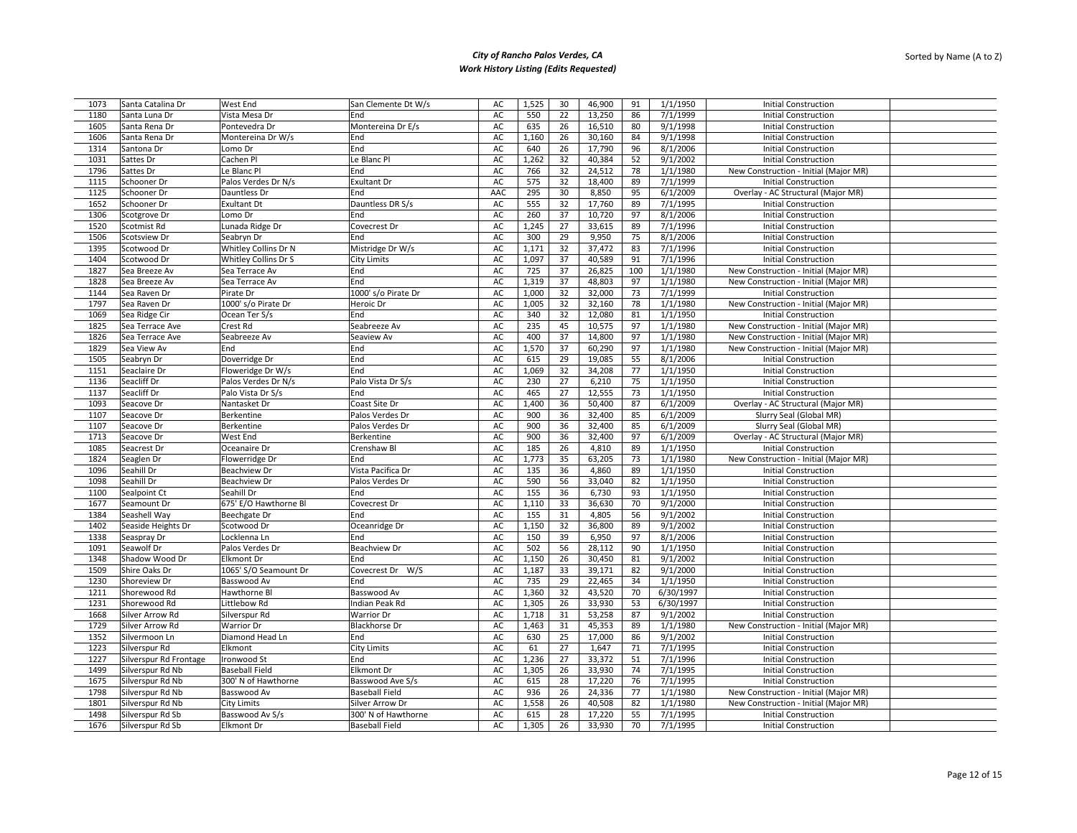| 1073         | Santa Catalina Dr      | West End              | San Clemente Dt W/s   | AC            | 1,525 | 30 | 46,900 | 91  | 1/1/1950  | <b>Initial Construction</b>           |  |
|--------------|------------------------|-----------------------|-----------------------|---------------|-------|----|--------|-----|-----------|---------------------------------------|--|
| 1180         | Santa Luna Dr          | Vista Mesa Dr         | End                   | AC            | 550   | 22 | 13,250 | 86  | 7/1/1999  | <b>Initial Construction</b>           |  |
| 1605         | Santa Rena Dr          | Pontevedra Dr         | Montereina Dr E/s     | AC            | 635   | 26 | 16,510 | 80  | 9/1/1998  | <b>Initial Construction</b>           |  |
| 1606         | Santa Rena Dr          | Montereina Dr W/s     | End                   | AC            | 1,160 | 26 | 30,160 | 84  | 9/1/1998  | <b>Initial Construction</b>           |  |
| 1314         | Santona Dr             | Lomo Dr               | End                   | AC            | 640   | 26 | 17,790 | 96  | 8/1/2006  | <b>Initial Construction</b>           |  |
| 1031         | Sattes Dr              | Cachen Pl             | Le Blanc Pl           | AC            | 1,262 | 32 | 40,384 | 52  | 9/1/2002  | <b>Initial Construction</b>           |  |
| 1796         | Sattes Dr              | Le Blanc Pl           | End                   | AC            | 766   | 32 | 24,512 | 78  | 1/1/1980  | New Construction - Initial (Major MR) |  |
| 1115         | Schooner Dr            | Palos Verdes Dr N/s   | <b>Exultant Dr</b>    | AC            | 575   | 32 | 18,400 | 89  | 7/1/1999  | <b>Initial Construction</b>           |  |
| 1125         | Schooner Dr            | Dauntless Dr          | End                   | AAC           | 295   | 30 | 8,850  | 95  | 6/1/2009  | Overlay - AC Structural (Major MR)    |  |
| 1652         | Schooner Dr            | <b>Exultant Dt</b>    | Dauntless DR S/s      | $\mathsf{AC}$ | 555   | 32 | 17,760 | 89  | 7/1/1995  | <b>Initial Construction</b>           |  |
| 1306         | Scotgrove Dr           | Lomo Dr               | End                   | AC            | 260   | 37 | 10,720 | 97  | 8/1/2006  | <b>Initial Construction</b>           |  |
| 1520         | Scotmist Rd            | Lunada Ridge Dr       | Covecrest Dr          | AC            | 1,245 | 27 | 33,615 | 89  | 7/1/1996  | <b>Initial Construction</b>           |  |
| 1506         | Scotsview Dr           | Seabryn Dr            | End                   | AC            | 300   | 29 | 9,950  | 75  | 8/1/2006  | <b>Initial Construction</b>           |  |
| 1395         | Scotwood Dr            | Whitley Collins Dr N  | Mistridge Dr W/s      | AC            | 1,171 | 32 | 37,472 | 83  | 7/1/1996  | <b>Initial Construction</b>           |  |
| 1404         | Scotwood Dr            | Whitley Collins Dr S  | City Limits           | AC            | 1,097 | 37 | 40,589 | 91  | 7/1/1996  | <b>Initial Construction</b>           |  |
| 1827         | Sea Breeze Av          | Sea Terrace Av        | End                   | AC            | 725   | 37 | 26,825 | 100 | 1/1/1980  | New Construction - Initial (Major MR) |  |
| 1828         | Sea Breeze Av          | Sea Terrace Av        | End                   | AC            | 1,319 | 37 | 48,803 | 97  | 1/1/1980  | New Construction - Initial (Major MR) |  |
|              | Sea Raven Dr           | Pirate Dr             | 1000' s/o Pirate Dr   | AC            | 1,000 | 32 | 32,000 | 73  | 7/1/1999  | <b>Initial Construction</b>           |  |
| 1144<br>1797 | Sea Raven Dr           | 1000' s/o Pirate Dr   | Heroic Dr             | AC            | 1,005 | 32 | 32,160 | 78  | 1/1/1980  | New Construction - Initial (Major MR) |  |
|              |                        |                       |                       |               |       |    |        |     |           |                                       |  |
| 1069         | Sea Ridge Cir          | Ocean Ter S/s         | End                   | AC            | 340   | 32 | 12,080 | 81  | 1/1/1950  | <b>Initial Construction</b>           |  |
| 1825         | Sea Terrace Ave        | Crest Rd              | Seabreeze Av          | AC            | 235   | 45 | 10,575 | 97  | 1/1/1980  | New Construction - Initial (Major MR) |  |
| 1826         | Sea Terrace Ave        | Seabreeze Av          | Seaview Av            | AC            | 400   | 37 | 14,800 | 97  | 1/1/1980  | New Construction - Initial (Major MR) |  |
| 1829         | Sea View Av            | End                   | End                   | $\mathsf{AC}$ | 1,570 | 37 | 60,290 | 97  | 1/1/1980  | New Construction - Initial (Major MR) |  |
| 1505         | Seabryn Dr             | Doverridge Dr         | End                   | AC            | 615   | 29 | 19,085 | 55  | 8/1/2006  | <b>Initial Construction</b>           |  |
| 1151         | Seaclaire Dr           | Floweridge Dr W/s     | End                   | AC            | 1,069 | 32 | 34,208 | 77  | 1/1/1950  | <b>Initial Construction</b>           |  |
| 1136         | Seacliff Dr            | Palos Verdes Dr N/s   | Palo Vista Dr S/s     | AC            | 230   | 27 | 6,210  | 75  | 1/1/1950  | <b>Initial Construction</b>           |  |
| 1137         | Seacliff Dr            | Palo Vista Dr S/s     | End                   | AC            | 465   | 27 | 12,555 | 73  | 1/1/1950  | <b>Initial Construction</b>           |  |
| 1093         | Seacove Dr             | Nantasket Dr          | Coast Site Dr         | AC            | 1,400 | 36 | 50,400 | 87  | 6/1/2009  | Overlay - AC Structural (Major MR)    |  |
| 1107         | Seacove Dr             | Berkentine            | Palos Verdes Dr       | AC            | 900   | 36 | 32,400 | 85  | 6/1/2009  | Slurry Seal (Global MR)               |  |
| 1107         | Seacove Dr             | Berkentine            | Palos Verdes Dr       | AC            | 900   | 36 | 32,400 | 85  | 6/1/2009  | Slurry Seal (Global MR)               |  |
| 1713         | Seacove Dr             | West End              | Berkentine            | AC            | 900   | 36 | 32,400 | 97  | 6/1/2009  | Overlay - AC Structural (Major MR)    |  |
| 1085         | Seacrest Dr            | Oceanaire Dr          | Crenshaw Bl           | AC            | 185   | 26 | 4,810  | 89  | 1/1/1950  | <b>Initial Construction</b>           |  |
| 1824         | Seaglen Dr             | Flowerridge Dr        | End                   | AC            | 1,773 | 35 | 63,205 | 73  | 1/1/1980  | New Construction - Initial (Major MR) |  |
| 1096         | Seahill Dr             | Beachview Dr          | Vista Pacifica Dr     | AC            | 135   | 36 | 4,860  | 89  | 1/1/1950  | <b>Initial Construction</b>           |  |
| 1098         | Seahill Dr             | <b>Beachview Dr</b>   | Palos Verdes Dr       | AC            | 590   | 56 | 33,040 | 82  | 1/1/1950  | <b>Initial Construction</b>           |  |
| 1100         | Sealpoint Ct           | Seahill Dr            | End                   | AC            | 155   | 36 | 6,730  | 93  | 1/1/1950  | <b>Initial Construction</b>           |  |
| 1677         | Seamount Dr            | 675' E/O Hawthorne Bl | Covecrest Dr          | AC            | 1,110 | 33 | 36,630 | 70  | 9/1/2000  | <b>Initial Construction</b>           |  |
| 1384         | Seashell Way           | Beechgate Dr          | End                   | AC            | 155   | 31 | 4,805  | 56  | 9/1/2002  | <b>Initial Construction</b>           |  |
| 1402         | Seaside Heights Dr     | Scotwood Dr           | Oceanridge Dr         | AC            | 1,150 | 32 | 36,800 | 89  | 9/1/2002  | <b>Initial Construction</b>           |  |
| 1338         | Seaspray Dr            | Locklenna Ln          | End                   | AC            | 150   | 39 | 6,950  | 97  | 8/1/2006  | <b>Initial Construction</b>           |  |
| 1091         | Seawolf Dr             | Palos Verdes Dr       | Beachview Dr          | AC            | 502   | 56 | 28,112 | 90  | 1/1/1950  | <b>Initial Construction</b>           |  |
| 1348         | Shadow Wood Dr         | <b>Elkmont Dr</b>     | End                   | AC            | 1,150 | 26 | 30,450 | 81  | 9/1/2002  | <b>Initial Construction</b>           |  |
| 1509         | Shire Oaks Dr          | 1065' S/O Seamount Dr | Covecrest Dr W/S      | AC            | 1,187 | 33 | 39,171 | 82  | 9/1/2000  | <b>Initial Construction</b>           |  |
| 1230         | Shoreview Dr           | Basswood Av           | End                   | AC            | 735   | 29 | 22,465 | 34  | 1/1/1950  | <b>Initial Construction</b>           |  |
| 1211         | Shorewood Rd           | Hawthorne Bl          | Basswood Av           | AC            | 1,360 | 32 | 43,520 | 70  | 6/30/1997 | <b>Initial Construction</b>           |  |
| 1231         | Shorewood Rd           | Littlebow Rd          | Indian Peak Rd        | AC            | 1,305 | 26 | 33,930 | 53  | 6/30/1997 | <b>Initial Construction</b>           |  |
| 1668         | Silver Arrow Rd        | Silverspur Rd         | <b>Warrior Dr</b>     | AC            | 1,718 | 31 | 53,258 | 87  | 9/1/2002  | <b>Initial Construction</b>           |  |
| 1729         | Silver Arrow Rd        | <b>Warrior Dr</b>     | <b>Blackhorse Dr</b>  | AC            | 1,463 | 31 | 45,353 | 89  | 1/1/1980  | New Construction - Initial (Major MR) |  |
| 1352         | Silvermoon Ln          | Diamond Head Ln       | End                   | AC            | 630   | 25 | 17,000 | 86  | 9/1/2002  | <b>Initial Construction</b>           |  |
| 1223         | Silverspur Rd          | Elkmont               | City Limits           | AC            | 61    | 27 | 1,647  | 71  | 7/1/1995  | <b>Initial Construction</b>           |  |
| 1227         |                        | Ironwood St           | End                   | AC            | 1,236 | 27 | 33,372 | 51  | 7/1/1996  | <b>Initial Construction</b>           |  |
|              | Silverspur Rd Frontage |                       |                       |               |       |    |        |     |           |                                       |  |
| 1499         | Silverspur Rd Nb       | <b>Baseball Field</b> | <b>Elkmont Dr</b>     | AC            | 1,305 | 26 | 33,930 | 74  | 7/1/1995  | <b>Initial Construction</b>           |  |
| 1675         | Silverspur Rd Nb       | 300' N of Hawthorne   | Basswood Ave S/s      | AC            | 615   | 28 | 17,220 | 76  | 7/1/1995  | <b>Initial Construction</b>           |  |
| 1798         | Silverspur Rd Nb       | Basswood Av           | <b>Baseball Field</b> | AC            | 936   | 26 | 24,336 | 77  | 1/1/1980  | New Construction - Initial (Major MR) |  |
| 1801         | Silverspur Rd Nb       | City Limits           | Silver Arrow Dr       | AC            | 1,558 | 26 | 40,508 | 82  | 1/1/1980  | New Construction - Initial (Major MR) |  |
| 1498         | Silverspur Rd Sb       | Basswood Av S/s       | 300' N of Hawthorne   | AC            | 615   | 28 | 17,220 | 55  | 7/1/1995  | <b>Initial Construction</b>           |  |
| 1676         | Silverspur Rd Sb       | <b>Elkmont Dr</b>     | <b>Baseball Field</b> | AC            | 1,305 | 26 | 33,930 | 70  | 7/1/1995  | <b>Initial Construction</b>           |  |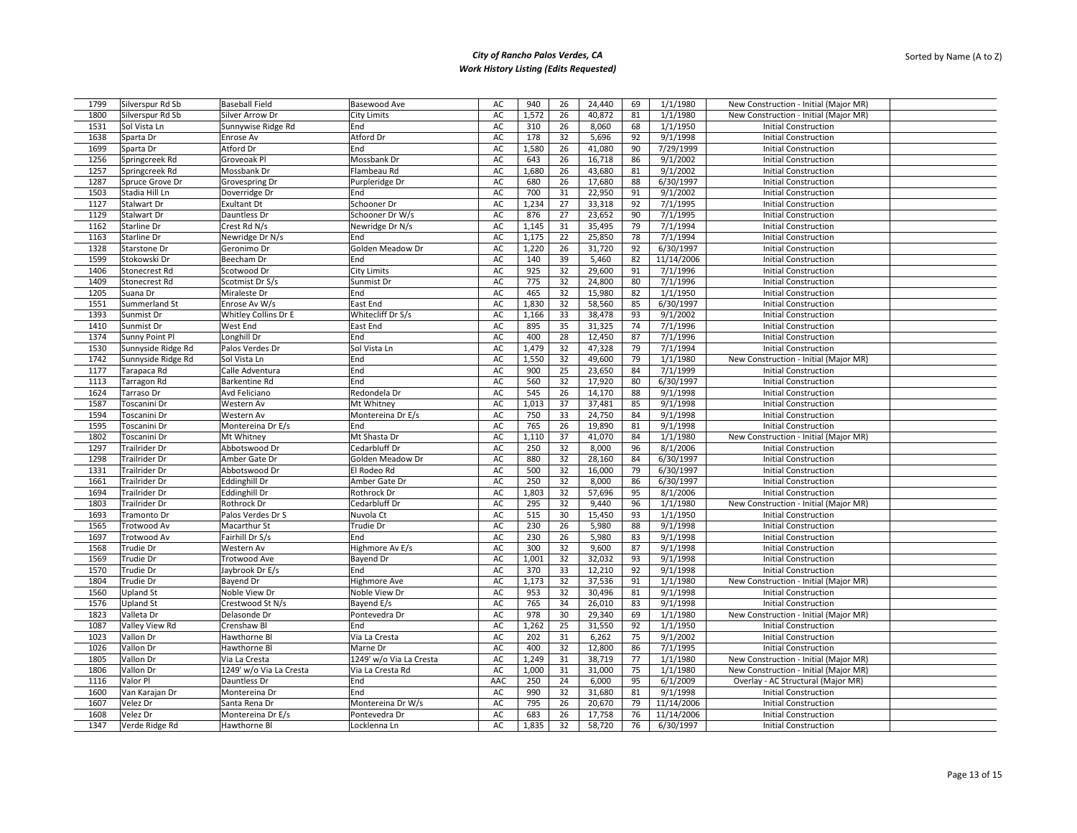| 1799 | Silverspur Rd Sb   | <b>Baseball Field</b>             | Basewood Ave                         | AC       | 940          | 26       | 24,440           | 69       | 1/1/1980              | New Construction - Initial (Major MR) |  |
|------|--------------------|-----------------------------------|--------------------------------------|----------|--------------|----------|------------------|----------|-----------------------|---------------------------------------|--|
| 1800 | Silverspur Rd Sb   | Silver Arrow Dr                   | <b>City Limits</b>                   | AC       | 1,572        | 26       | 40,872           | 81       | 1/1/1980              | New Construction - Initial (Major MR) |  |
| 1531 | Sol Vista Ln       | Sunnywise Ridge Rd                | End                                  | AC       | 310          | 26       | 8,060            | 68       | 1/1/1950              | <b>Initial Construction</b>           |  |
| 1638 | Sparta Dr          | Enrose Av                         | Atford Dr                            | AC       | 178          | 32       | 5,696            | 92       | 9/1/1998              | <b>Initial Construction</b>           |  |
| 1699 | Sparta Dr          | Atford Dr                         | End                                  | AC       | 1,580        | 26       | 41,080           | 90       | 7/29/1999             | <b>Initial Construction</b>           |  |
| 1256 | Springcreek Rd     | Groveoak Pl                       | Mossbank Dr                          | AC       | 643          | 26       | 16,718           | 86       | 9/1/2002              | <b>Initial Construction</b>           |  |
| 1257 | Springcreek Rd     | Mossbank Dr                       | Flambeau Rd                          | AC       | 1,680        | 26       | 43,680           | 81       | 9/1/2002              | <b>Initial Construction</b>           |  |
| 1287 | Spruce Grove Dr    | Grovespring Dr                    | Purpleridge Dr                       | AC       | 680          | 26       | 17,680           | 88       | 6/30/1997             | <b>Initial Construction</b>           |  |
| 1503 | Stadia Hill Ln     | Doverridge Dr                     | End                                  | AC       | 700          | 31       | 22,950           | 91       | 9/1/2002              | <b>Initial Construction</b>           |  |
| 1127 | Stalwart Dr        | <b>Exultant Dt</b>                | Schooner Dr                          | AC       | 1,234        | 27       | 33,318           | 92       | 7/1/1995              | <b>Initial Construction</b>           |  |
| 1129 |                    | Dauntless Dr                      | Schooner Dr W/s                      | AC       |              | 27       | 23,652           | 90       | 7/1/1995              | <b>Initial Construction</b>           |  |
| 1162 | Stalwart Dr        |                                   |                                      | AC       | 876          | 31       |                  | 79       | 7/1/1994              |                                       |  |
|      | Starline Dr        | Crest Rd N/s                      | Newridge Dr N/s                      |          | 1,145        |          | 35,495           |          |                       | <b>Initial Construction</b>           |  |
| 1163 | Starline Dr        | Newridge Dr N/s                   | End                                  | AC       | 1,175        | 22<br>26 | 25,850           | 78       | 7/1/1994<br>6/30/1997 | <b>Initial Construction</b>           |  |
| 1328 | Starstone Dr       | Geronimo Dr                       | Golden Meadow Dr                     | AC       | 1,220        |          | 31,720           | 92       |                       | <b>Initial Construction</b>           |  |
| 1599 | Stokowski Dr       | Beecham Dr                        | End                                  | AC       | 140          | 39       | 5,460            | 82       | 11/14/2006            | <b>Initial Construction</b>           |  |
| 1406 | Stonecrest Rd      | Scotwood Dr                       | <b>City Limits</b>                   | AC       | 925          | 32       | 29,600           | 91       | 7/1/1996              | <b>Initial Construction</b>           |  |
| 1409 | Stonecrest Rd      | Scotmist Dr S/s                   | Sunmist Dr                           | AC       | 775          | 32       | 24,800           | 80       | 7/1/1996              | <b>Initial Construction</b>           |  |
| 1205 | Suana Dr           | Miraleste Dr                      | End                                  | AC       | 465          | 32       | 15,980           | 82       | 1/1/1950              | <b>Initial Construction</b>           |  |
| 1551 | Summerland St      | Enrose Av W/s                     | East End                             | AC       | 1,830        | 32       | 58,560           | 85       | 6/30/1997             | <b>Initial Construction</b>           |  |
| 1393 | Sunmist Dr         | Whitley Collins Dr E              | Whitecliff Dr S/s                    | AC       | 1,166        | 33       | 38,478           | 93       | 9/1/2002              | <b>Initial Construction</b>           |  |
| 1410 | Sunmist Dr         | West End                          | East End                             | AC       | 895          | 35       | 31,325           | 74       | 7/1/1996              | <b>Initial Construction</b>           |  |
| 1374 | Sunny Point Pl     | Longhill Dr                       | End                                  | AC       | 400          | 28       | 12,450           | 87       | 7/1/1996              | <b>Initial Construction</b>           |  |
| 1530 | Sunnyside Ridge Rd | Palos Verdes Dr                   | Sol Vista Ln                         | AC       | 1,479        | 32       | 47,328           | 79       | 7/1/1994              | <b>Initial Construction</b>           |  |
| 1742 | Sunnyside Ridge Rd | Sol Vista Ln                      | End                                  | AC       | 1,550        | 32       | 49,600           | 79       | 1/1/1980              | New Construction - Initial (Major MR) |  |
| 1177 | Tarapaca Rd        | Calle Adventura                   | End                                  | AC       | 900          | 25       | 23,650           | 84       | 7/1/1999              | <b>Initial Construction</b>           |  |
| 1113 | Tarragon Rd        | Barkentine Rd                     | End                                  | AC       | 560          | 32       | 17,920           | 80       | 6/30/1997             | <b>Initial Construction</b>           |  |
| 1624 | Tarraso Dr         | Avd Feliciano                     | Redondela Dr                         | AC       | 545          | 26       | 14,170           | 88       | 9/1/1998              | <b>Initial Construction</b>           |  |
| 1587 | Toscanini Dr       | Western Av                        | Mt Whitney                           | AC       | 1,013        | 37       | 37,481           | 85       | 9/1/1998              | <b>Initial Construction</b>           |  |
| 1594 | Toscanini Dr       | Western Av                        | Montereina Dr E/s                    | AC       | 750          | 33       | 24,750           | 84       | 9/1/1998              | <b>Initial Construction</b>           |  |
| 1595 | Toscanini Dr       | Montereina Dr E/s                 | End                                  | AC       | 765          | 26       | 19,890           | 81       | 9/1/1998              | <b>Initial Construction</b>           |  |
| 1802 | Toscanini Dr       | Mt Whitney                        | Mt Shasta Dr                         | AC       | 1,110        | 37       | 41,070           | 84       | 1/1/1980              | New Construction - Initial (Major MR) |  |
| 1297 | Trailrider Dr      | Abbotswood Dr                     | Cedarbluff Dr                        | AC       | 250          | 32       | 8,000            | 96       | 8/1/2006              | <b>Initial Construction</b>           |  |
| 1298 | Trailrider Dr      | Amber Gate Dr                     | Golden Meadow Dr                     | AC       | 880          | 32       | 28,160           | 84       | 6/30/1997             | <b>Initial Construction</b>           |  |
| 1331 | Trailrider Dr      | Abbotswood Dr                     | El Rodeo Rd                          | AC       | 500          | 32       | 16,000           | 79       | 6/30/1997             | <b>Initial Construction</b>           |  |
| 1661 | Trailrider Dr      | <b>Eddinghill Dr</b>              | Amber Gate Dr                        | AC       | 250          | 32       | 8,000            | 86       | 6/30/1997             | <b>Initial Construction</b>           |  |
| 1694 | Trailrider Dr      | Eddinghill Dr                     | Rothrock Dr                          | AC       | 1,803        | 32       | 57,696           | 95       | 8/1/2006              | <b>Initial Construction</b>           |  |
| 1803 | Trailrider Dr      | Rothrock Dr                       | Cedarbluff Dr                        | AC       | 295          | 32       | 9,440            | 96       | 1/1/1980              | New Construction - Initial (Major MR) |  |
| 1693 | Tramonto Dr        | Palos Verdes Dr S                 | Nuvola Ct                            | AC       | 515          | 30       | 15,450           | 93       | 1/1/1950              | <b>Initial Construction</b>           |  |
| 1565 | Trotwood Av        | Macarthur St                      | Trudie Dr                            | AC       | 230          | 26       | 5,980            | 88       | 9/1/1998              | <b>Initial Construction</b>           |  |
| 1697 | Trotwood Av        | Fairhill Dr S/s                   | End                                  | AC       | 230          | 26       | 5,980            | 83       | 9/1/1998              | <b>Initial Construction</b>           |  |
| 1568 | Trudie Dr          | Western Av                        | Highmore Av E/s                      | AC       | 300          | 32       | 9,600            | 87       | 9/1/1998              | <b>Initial Construction</b>           |  |
| 1569 | Trudie Dr          | Trotwood Ave                      | Bayend Dr                            | AC       | 1,001        | 32       | 32,032           | 93       | 9/1/1998              | <b>Initial Construction</b>           |  |
| 1570 | Trudie Dr          | Jaybrook Dr E/s                   | End                                  | AC       | 370          | 33       | 12,210           | 92       | 9/1/1998              | <b>Initial Construction</b>           |  |
| 1804 | Trudie Dr          |                                   |                                      |          |              |          |                  |          |                       |                                       |  |
| 1560 |                    | <b>Bayend Dr</b><br>Noble View Dr | <b>Highmore Ave</b><br>Noble View Dr | AC<br>AC | 1,173<br>953 | 32<br>32 | 37,536<br>30,496 | 91<br>81 | 1/1/1980<br>9/1/1998  | New Construction - Initial (Major MR) |  |
|      | <b>Upland St</b>   |                                   |                                      |          |              |          |                  |          |                       | <b>Initial Construction</b>           |  |
| 1576 | <b>Upland St</b>   | Crestwood St N/s                  | Bayend E/s                           | AC       | 765          | 34       | 26,010           | 83       | 9/1/1998              | <b>Initial Construction</b>           |  |
| 1823 | Valleta Dr         | Delasonde Dr                      | Pontevedra Dr                        | AC       | 978          | 30       | 29,340           | 69       | 1/1/1980              | New Construction - Initial (Major MR) |  |
| 1087 | Valley View Rd     | Crenshaw Bl                       | End                                  | AC       | 1,262        | 25       | 31,550           | 92       | 1/1/1950              | <b>Initial Construction</b>           |  |
| 1023 | Vallon Dr          | Hawthorne Bl                      | Via La Cresta                        | AC       | 202          | 31       | 6,262            | 75       | 9/1/2002              | <b>Initial Construction</b>           |  |
| 1026 | Vallon Dr          | Hawthorne Bl                      | Marne Dr                             | AC       | 400          | 32       | 12,800           | 86       | 7/1/1995              | <b>Initial Construction</b>           |  |
| 1805 | Vallon Dr          | Via La Cresta                     | 1249' w/o Via La Cresta              | AC       | 1,249        | 31       | 38,719           | 77       | 1/1/1980              | New Construction - Initial (Major MR) |  |
| 1806 | Vallon Dr          | 1249' w/o Via La Cresta           | Via La Cresta Rd                     | AC       | 1,000        | 31       | 31,000           | 75       | 1/1/1980              | New Construction - Initial (Major MR) |  |
| 1116 | Valor Pl           | Dauntless Dr                      | End                                  | AAC      | 250          | 24       | 6,000            | 95       | 6/1/2009              | Overlay - AC Structural (Major MR)    |  |
| 1600 | Van Karajan Dr     | Montereina Dr                     | End                                  | AC       | 990          | 32       | 31,680           | 81       | 9/1/1998              | <b>Initial Construction</b>           |  |
| 1607 | Velez Dr           | Santa Rena Dr                     | Montereina Dr W/s                    | AC       | 795          | 26       | 20,670           | 79       | 11/14/2006            | <b>Initial Construction</b>           |  |
| 1608 | Velez Dr           | Montereina Dr E/s                 | Pontevedra Dr                        | AC       | 683          | 26       | 17,758           | 76       | 11/14/2006            | <b>Initial Construction</b>           |  |
| 1347 | Verde Ridge Rd     | Hawthorne Bl                      | Locklenna Ln                         | AC       | 1,835        | 32       | 58,720           | 76       | 6/30/1997             | <b>Initial Construction</b>           |  |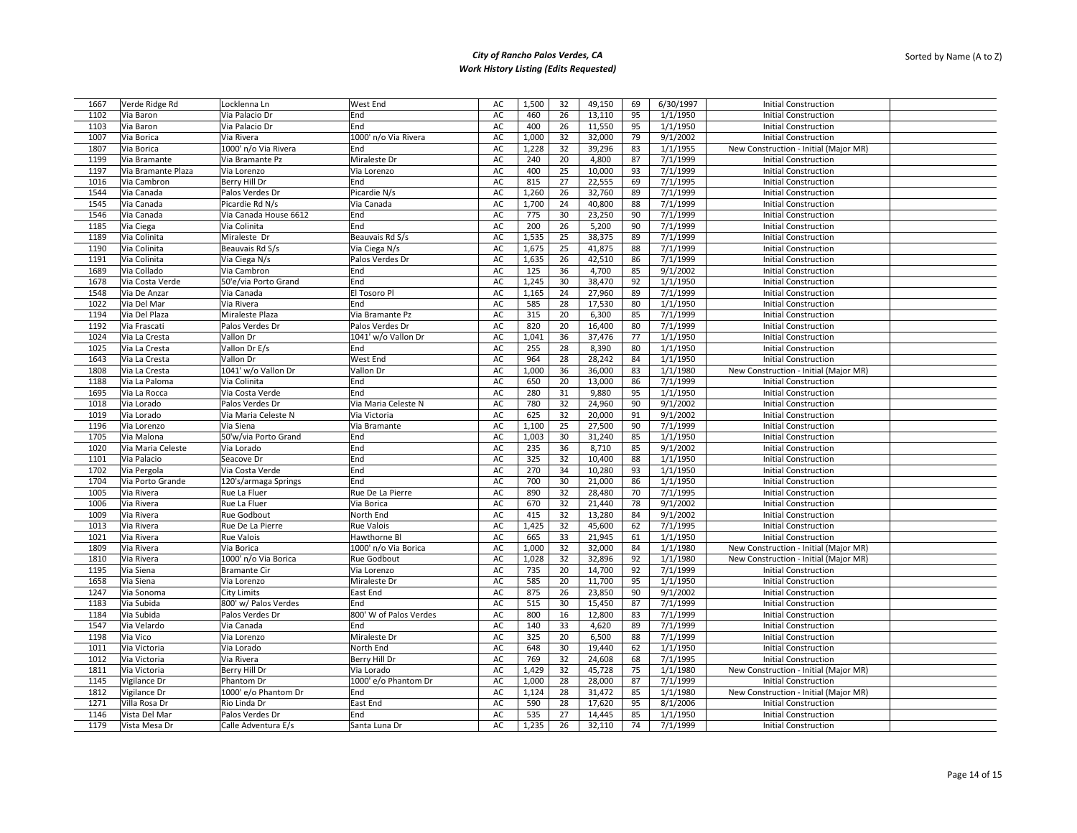| 1667         | Verde Ridge Rd              | Locklenna Ln          | West End               | AC            | 1,500        | 32       | 49,150           | 69       | 6/30/1997 | <b>Initial Construction</b>           |  |
|--------------|-----------------------------|-----------------------|------------------------|---------------|--------------|----------|------------------|----------|-----------|---------------------------------------|--|
| 1102         | Via Baron                   | Via Palacio Dr        | End                    | AC            | 460          | 26       | 13,110           | 95       | 1/1/1950  | <b>Initial Construction</b>           |  |
| 1103         | Via Baron                   | Via Palacio Dr        | End                    | AC            | 400          | 26       | 11,550           | 95       | 1/1/1950  | <b>Initial Construction</b>           |  |
| 1007         | Via Borica                  | Via Rivera            | 1000' n/o Via Rivera   | AC            | 1,000        | 32       | 32,000           | 79       | 9/1/2002  | <b>Initial Construction</b>           |  |
| 1807         | Via Borica                  | 1000' n/o Via Rivera  | End                    | AC            | 1,228        | 32       | 39,296           | 83       | 1/1/1955  | New Construction - Initial (Major MR) |  |
| 1199         | Via Bramante                | Via Bramante Pz       | Miraleste Dr           | AC            | 240          | 20       | 4,800            | 87       | 7/1/1999  | <b>Initial Construction</b>           |  |
| 1197         | Via Bramante Plaza          | Via Lorenzo           | Via Lorenzo            | AC            | 400          | 25       | 10,000           | 93       | 7/1/1999  | <b>Initial Construction</b>           |  |
| 1016         | Via Cambron                 | Berry Hill Dr         | End                    | AC            | 815          | 27       | 22,555           | 69       | 7/1/1995  | <b>Initial Construction</b>           |  |
| 1544         | Via Canada                  | Palos Verdes Dr       | Picardie N/s           | AC            | 1,260        | 26       | 32,760           | 89       | 7/1/1999  | <b>Initial Construction</b>           |  |
| 1545         | Via Canada                  | Picardie Rd N/s       | Via Canada             | AC            | 1,700        | 24       | 40,800           | 88       | 7/1/1999  | <b>Initial Construction</b>           |  |
| 1546         | Via Canada                  | Via Canada House 6612 | End                    | AC            | 775          | 30       | 23,250           | 90       | 7/1/1999  | <b>Initial Construction</b>           |  |
| 1185         | Via Ciega                   | Via Colinita          | End                    | AC            | 200          | 26       | 5,200            | 90       | 7/1/1999  | <b>Initial Construction</b>           |  |
| 1189         | Via Colinita                | Miraleste Dr          | Beauvais Rd S/s        | AC            | 1,535        | 25       | 38,375           | 89       | 7/1/1999  | <b>Initial Construction</b>           |  |
| 1190         | Via Colinita                | Beauvais Rd S/s       | Via Ciega N/s          | AC            | 1,675        | 25       | 41,875           | 88       | 7/1/1999  | <b>Initial Construction</b>           |  |
| 1191         | Via Colinita                | Via Ciega N/s         | Palos Verdes Dr        | AC            | 1,635        | 26       | 42,510           | 86       | 7/1/1999  | <b>Initial Construction</b>           |  |
| 1689         | Via Collado                 | Via Cambron           | End                    | AC            | 125          | 36       | 4,700            | 85       | 9/1/2002  | <b>Initial Construction</b>           |  |
| 1678         | Via Costa Verde             | 50'e/via Porto Grand  | End                    | AC            | 1,245        | 30       | 38,470           | 92       | 1/1/1950  | <b>Initial Construction</b>           |  |
|              |                             |                       | El Tosoro Pl           |               |              |          |                  |          | 7/1/1999  |                                       |  |
| 1548<br>1022 | Via De Anzar<br>Via Del Mar | Via Canada            | End                    | AC<br>AC      | 1,165<br>585 | 24<br>28 | 27,960<br>17,530 | 89<br>80 |           | <b>Initial Construction</b>           |  |
|              |                             | Via Rivera            |                        |               |              |          |                  |          | 1/1/1950  | <b>Initial Construction</b>           |  |
| 1194         | Via Del Plaza               | Miraleste Plaza       | Via Bramante Pz        | AC            | 315          | 20       | 6,300            | 85       | 7/1/1999  | <b>Initial Construction</b>           |  |
| 1192         | Via Frascati                | Palos Verdes Dr       | Palos Verdes Dr        | AC            | 820          | 20       | 16,400           | 80       | 7/1/1999  | <b>Initial Construction</b>           |  |
| 1024         | Via La Cresta               | Vallon Dr             | 1041' w/o Vallon Dr    | AC            | 1,041        | 36       | 37,476           | 77       | 1/1/1950  | <b>Initial Construction</b>           |  |
| 1025         | Via La Cresta               | Vallon Dr E/s         | End                    | $\mathsf{AC}$ | 255          | 28       | 8,390            | 80       | 1/1/1950  | <b>Initial Construction</b>           |  |
| 1643         | Via La Cresta               | Vallon Dr             | West End               | AC            | 964          | 28       | 28,242           | 84       | 1/1/1950  | <b>Initial Construction</b>           |  |
| 1808         | Via La Cresta               | 1041' w/o Vallon Dr   | Vallon Dr              | AC            | 1,000        | 36       | 36,000           | 83       | 1/1/1980  | New Construction - Initial (Major MR) |  |
| 1188         | Via La Paloma               | Via Colinita          | End                    | AC            | 650          | 20       | 13,000           | 86       | 7/1/1999  | <b>Initial Construction</b>           |  |
| 1695         | Via La Rocca                | Via Costa Verde       | End                    | AC            | 280          | 31       | 9,880            | 95       | 1/1/1950  | <b>Initial Construction</b>           |  |
| 1018         | Via Lorado                  | Palos Verdes Dr       | Via Maria Celeste N    | AC            | 780          | 32       | 24,960           | 90       | 9/1/2002  | Initial Construction                  |  |
| 1019         | Via Lorado                  | Via Maria Celeste N   | Via Victoria           | AC            | 625          | 32       | 20,000           | 91       | 9/1/2002  | <b>Initial Construction</b>           |  |
| 1196         | Via Lorenzo                 | Via Siena             | Via Bramante           | AC            | 1,100        | 25       | 27,500           | 90       | 7/1/1999  | <b>Initial Construction</b>           |  |
| 1705         | Via Malona                  | 50'w/via Porto Grand  | End                    | AC            | 1,003        | 30       | 31,240           | 85       | 1/1/1950  | <b>Initial Construction</b>           |  |
| 1020         | Via Maria Celeste           | Via Lorado            | End                    | AC            | 235          | 36       | 8,710            | 85       | 9/1/2002  | <b>Initial Construction</b>           |  |
| 1101         | Via Palacio                 | Seacove Dr            | End                    | AC            | 325          | 32       | 10,400           | 88       | 1/1/1950  | <b>Initial Construction</b>           |  |
| 1702         | Via Pergola                 | Via Costa Verde       | End                    | AC            | 270          | 34       | 10,280           | 93       | 1/1/1950  | <b>Initial Construction</b>           |  |
| 1704         | Via Porto Grande            | 120's/armaga Springs  | End                    | AC            | 700          | 30       | 21,000           | 86       | 1/1/1950  | <b>Initial Construction</b>           |  |
| 1005         | Via Rivera                  | Rue La Fluer          | Rue De La Pierre       | $\mathsf{AC}$ | 890          | 32       | 28,480           | 70       | 7/1/1995  | <b>Initial Construction</b>           |  |
| 1006         | Via Rivera                  | Rue La Fluer          | Via Borica             | AC            | 670          | 32       | 21,440           | 78       | 9/1/2002  | <b>Initial Construction</b>           |  |
| 1009         | Via Rivera                  | Rue Godbout           | North End              | AC            | 415          | 32       | 13,280           | 84       | 9/1/2002  | <b>Initial Construction</b>           |  |
| 1013         | Via Rivera                  | Rue De La Pierre      | Rue Valois             | AC            | 1,425        | 32       | 45,600           | 62       | 7/1/1995  | <b>Initial Construction</b>           |  |
| 1021         | Via Rivera                  | <b>Rue Valois</b>     | Hawthorne Bl           | AC            | 665          | 33       | 21,945           | 61       | 1/1/1950  | <b>Initial Construction</b>           |  |
| 1809         | Via Rivera                  | Via Borica            | 1000' n/o Via Borica   | AC            | 1,000        | 32       | 32,000           | 84       | 1/1/1980  | New Construction - Initial (Major MR) |  |
| 1810         | Via Rivera                  | 1000' n/o Via Borica  | Rue Godbout            | AC            | 1,028        | 32       | 32,896           | 92       | 1/1/1980  | New Construction - Initial (Major MR) |  |
| 1195         | Via Siena                   | <b>Bramante Cir</b>   | Via Lorenzo            | AC            | 735          | 20       | 14,700           | 92       | 7/1/1999  | <b>Initial Construction</b>           |  |
| 1658         | Via Siena                   | Via Lorenzo           | Miraleste Dr           | AC            | 585          | 20       | 11,700           | 95       | 1/1/1950  | <b>Initial Construction</b>           |  |
| 1247         | Via Sonoma                  | City Limits           | East End               | AC            | 875          | 26       | 23,850           | 90       | 9/1/2002  | <b>Initial Construction</b>           |  |
| 1183         | Via Subida                  | 800' w/ Palos Verdes  | End                    | AC            | 515          | 30       | 15,450           | 87       | 7/1/1999  | <b>Initial Construction</b>           |  |
| 1184         | Via Subida                  | Palos Verdes Dr       | 800' W of Palos Verdes | AC            | 800          | 16       | 12,800           | 83       | 7/1/1999  | <b>Initial Construction</b>           |  |
|              |                             |                       |                        |               |              |          |                  |          |           |                                       |  |
| 1547         | Via Velardo                 | Via Canada            | End                    | AC            | 140          | 33       | 4,620            | 89       | 7/1/1999  | <b>Initial Construction</b>           |  |
| 1198         | Via Vico                    | Via Lorenzo           | Miraleste Dr           | AC            | 325          | 20       | 6,500            | 88       | 7/1/1999  | <b>Initial Construction</b>           |  |
| 1011         | Via Victoria                | Via Lorado            | North End              | AC            | 648          | 30       | 19,440           | 62       | 1/1/1950  | <b>Initial Construction</b>           |  |
| 1012         | Via Victoria                | Via Rivera            | Berry Hill Dr          | AC            | 769          | 32       | 24,608           | 68       | 7/1/1995  | <b>Initial Construction</b>           |  |
| 1811         | Via Victoria                | Berry Hill Dr         | Via Lorado             | AC            | 1,429        | 32       | 45,728           | 75       | 1/1/1980  | New Construction - Initial (Major MR) |  |
| 1145         | Vigilance Dr                | Phantom Dr            | 1000' e/o Phantom Dr   | AC            | 1,000        | 28       | 28,000           | 87       | 7/1/1999  | <b>Initial Construction</b>           |  |
| 1812         | Vigilance Dr                | 1000' e/o Phantom Dr  | End                    | AC            | 1,124        | 28       | 31,472           | 85       | 1/1/1980  | New Construction - Initial (Major MR) |  |
| 1271         | Villa Rosa Dr               | Rio Linda Dr          | East End               | AC            | 590          | 28       | 17,620           | 95       | 8/1/2006  | <b>Initial Construction</b>           |  |
| 1146         | Vista Del Mar               | Palos Verdes Dr       | End                    | AC            | 535          | 27       | 14,445           | 85       | 1/1/1950  | <b>Initial Construction</b>           |  |
| 1179         | Vista Mesa Dr               | Calle Adventura E/s   | Santa Luna Dr          | AC            | 1,235        | 26       | 32,110           | 74       | 7/1/1999  | <b>Initial Construction</b>           |  |